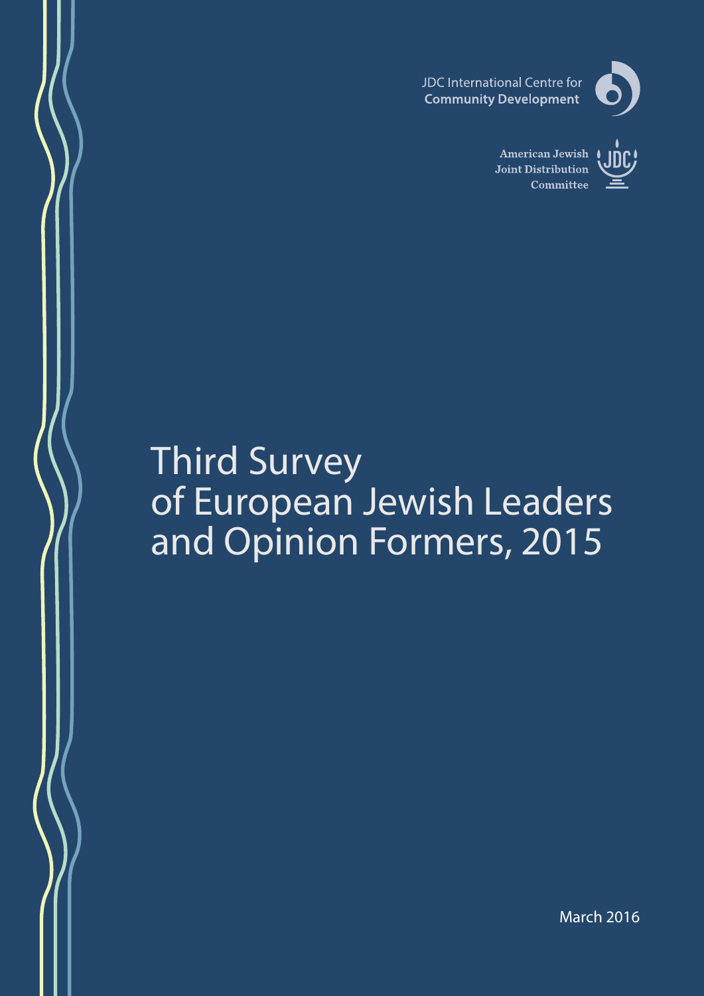



**American Jewish** Joint Distribution Committee



# Third Survey of European Jewish Leaders and Opinion Formers, 2015

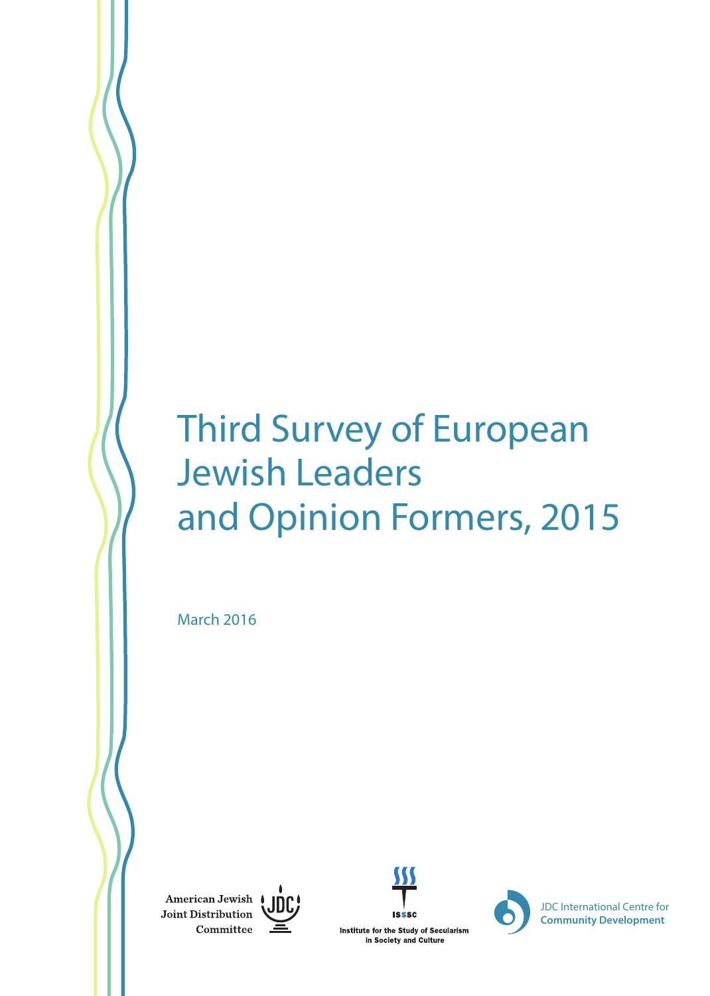# Third Survey of European Jewish Leaders and Opinion Formers, 2015

March 2016

American Jewish | Joint Distribution Committee







JDC International Centre for **Community Development**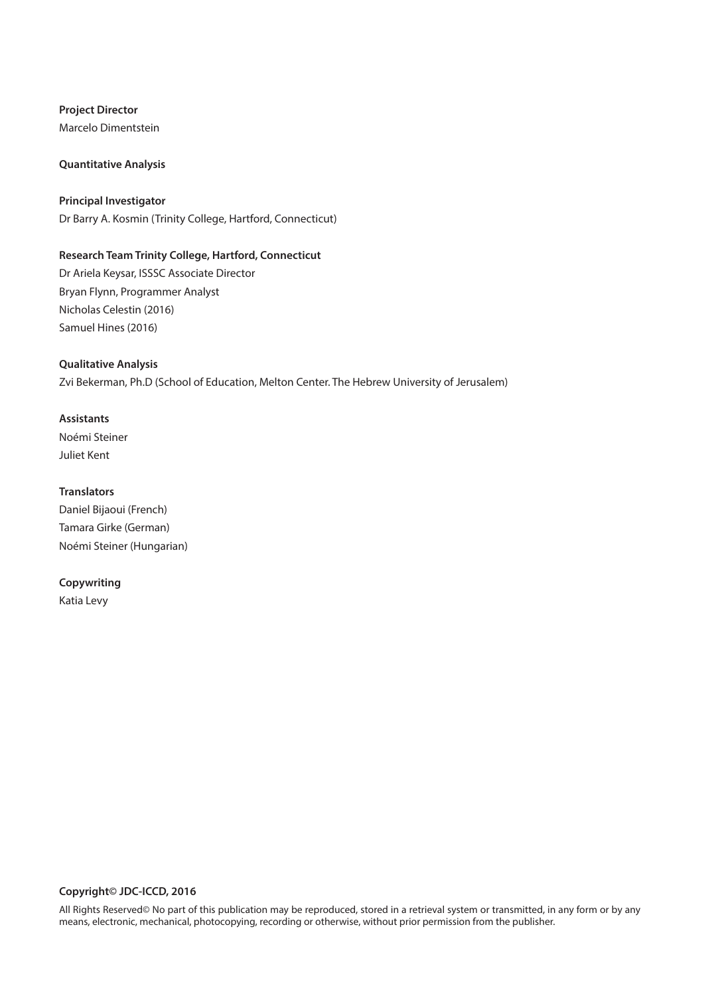**Project Director** Marcelo Dimentstein

#### **Quantitative Analysis**

**Principal Investigator** Dr Barry A. Kosmin (Trinity College, Hartford, Connecticut)

#### **Research Team Trinity College, Hartford, Connecticut**

Dr Ariela Keysar, ISSSC Associate Director Bryan Flynn, Programmer Analyst Nicholas Celestin (2016) Samuel Hines (2016)

#### **Qualitative Analysis**

Zvi Bekerman, Ph.D (School of Education, Melton Center. The Hebrew University of Jerusalem)

#### **Assistants**

Noémi Steiner Juliet Kent

#### **Translators**

Daniel Bijaoui (French) Tamara Girke (German) Noémi Steiner (Hungarian)

#### **Copywriting**

Katia Levy

#### **Copyright© JDC-ICCD, 2016**

All Rights Reserved© No part of this publication may be reproduced, stored in a retrieval system or transmitted, in any form or by any means, electronic, mechanical, photocopying, recording or otherwise, without prior permission from the publisher.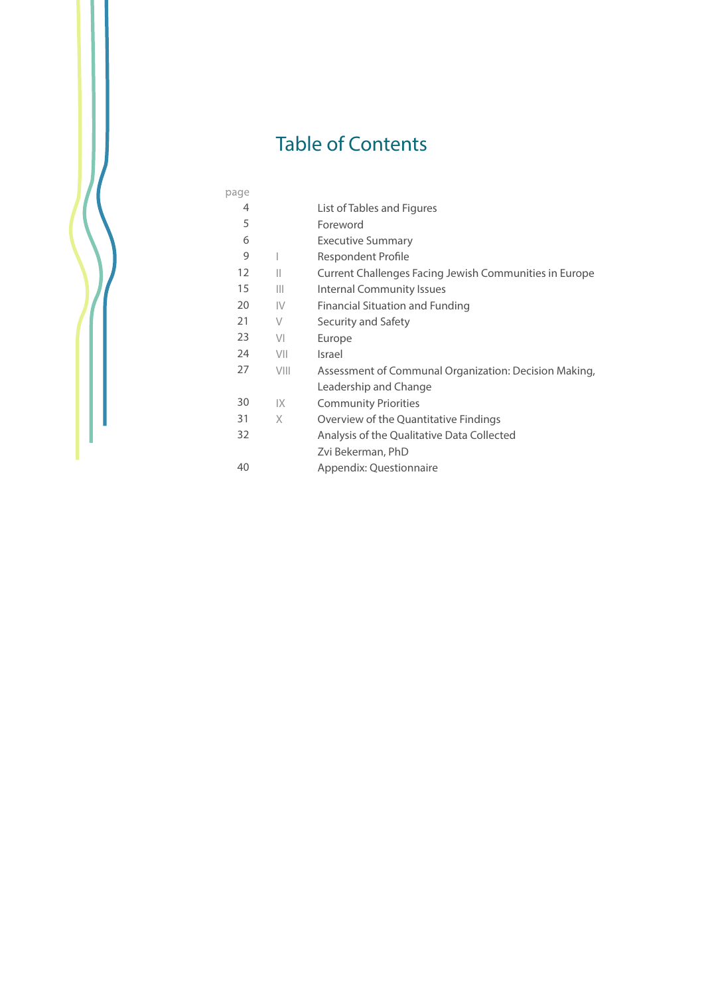# Table of Contents

| page |        |                                                        |
|------|--------|--------------------------------------------------------|
| 4    |        | List of Tables and Figures                             |
| 5    |        | Foreword                                               |
| 6    |        | <b>Executive Summary</b>                               |
| 9    |        | Respondent Profile                                     |
| 12   | Ш      | Current Challenges Facing Jewish Communities in Europe |
| 15   | Ш      | Internal Community Issues                              |
| 20   | IV     | Financial Situation and Funding                        |
| 21   | $\vee$ | Security and Safety                                    |
| 23   | VI     | Europe                                                 |
| 24   | VII    | Israel                                                 |
| 27   | VIII   | Assessment of Communal Organization: Decision Making,  |
|      |        | Leadership and Change                                  |
| 30   | IX     | <b>Community Priorities</b>                            |
| 31   | X      | Overview of the Quantitative Findings                  |
| 32   |        | Analysis of the Qualitative Data Collected             |
|      |        | Zvi Bekerman, PhD                                      |
| 40   |        | Appendix: Questionnaire                                |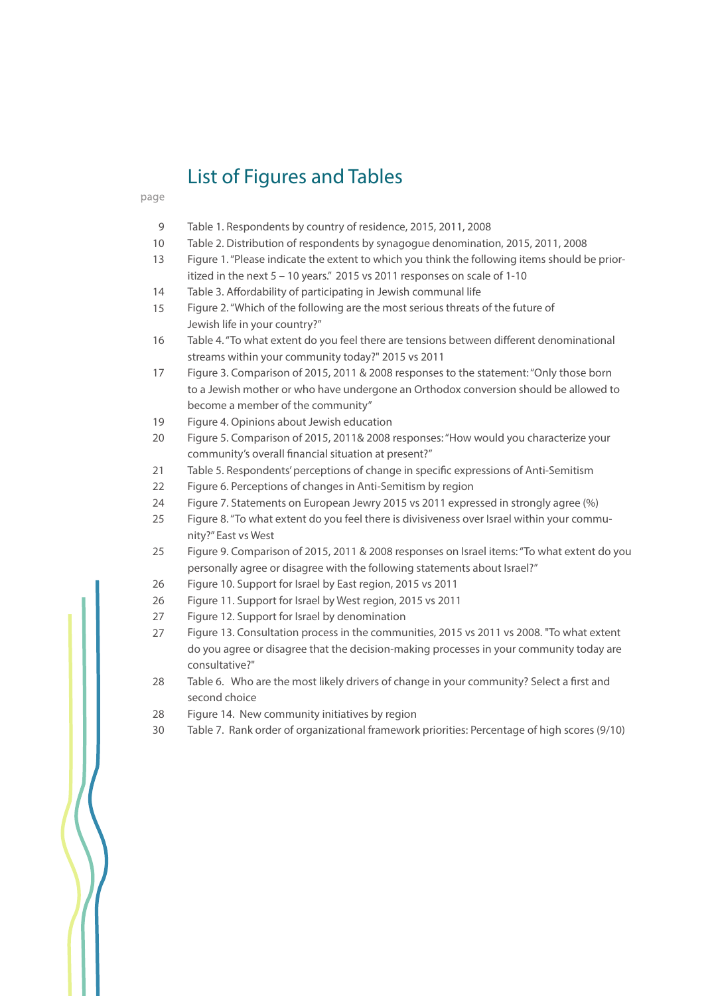# List of Figures and Tables

#### page

- Table 1. Respondents by country of residence, 2015, 2011, 2008 9
- Table 2. Distribution of respondents by synagogue denomination, 2015, 2011, 2008 10
- Figure 1. "Please indicate the extent to which you think the following items should be prioritized in the next 5 – 10 years." 2015 vs 2011 responses on scale of 1-10 13
- Table 3. Affordability of participating in Jewish communal life 14
- Figure 2. "Which of the following are the most serious threats of the future of Jewish life in your country?" 15
- Table 4. "To what extent do you feel there are tensions between different denominational streams within your community today?" 2015 vs 2011 16
- Figure 3. Comparison of 2015, 2011 & 2008 responses to the statement: "Only those born to a Jewish mother or who have undergone an Orthodox conversion should be allowed to become a member of the community" 17
- Figure 4. Opinions about Jewish education 19
- Figure 5. Comparison of 2015, 2011& 2008 responses: "How would you characterize your community's overall financial situation at present?" 20
- Table 5. Respondents' perceptions of change in specific expressions of Anti-Semitism 21
- Figure 6. Perceptions of changes in Anti-Semitism by region 22
- Figure 7. Statements on European Jewry 2015 vs 2011 expressed in strongly agree (%) 24
- Figure 8. "To what extent do you feel there is divisiveness over Israel within your community?" East vs West 25
- Figure 9. Comparison of 2015, 2011 & 2008 responses on Israel items: "To what extent do you personally agree or disagree with the following statements about Israel?" 25
- Figure 10. Support for Israel by East region, 2015 vs 2011 26
- Figure 11. Support for Israel by West region, 2015 vs 2011 26
- Figure 12. Support for Israel by denomination 27
- Figure 13. Consultation process in the communities, 2015 vs 2011 vs 2008. "To what extent do you agree or disagree that the decision-making processes in your community today are consultative?" 27
- Table 6. Who are the most likely drivers of change in your community? Select a first and second choice 28
- Figure 14. New community initiatives by region 28
- Table 7. Rank order of organizational framework priorities: Percentage of high scores (9/10) 30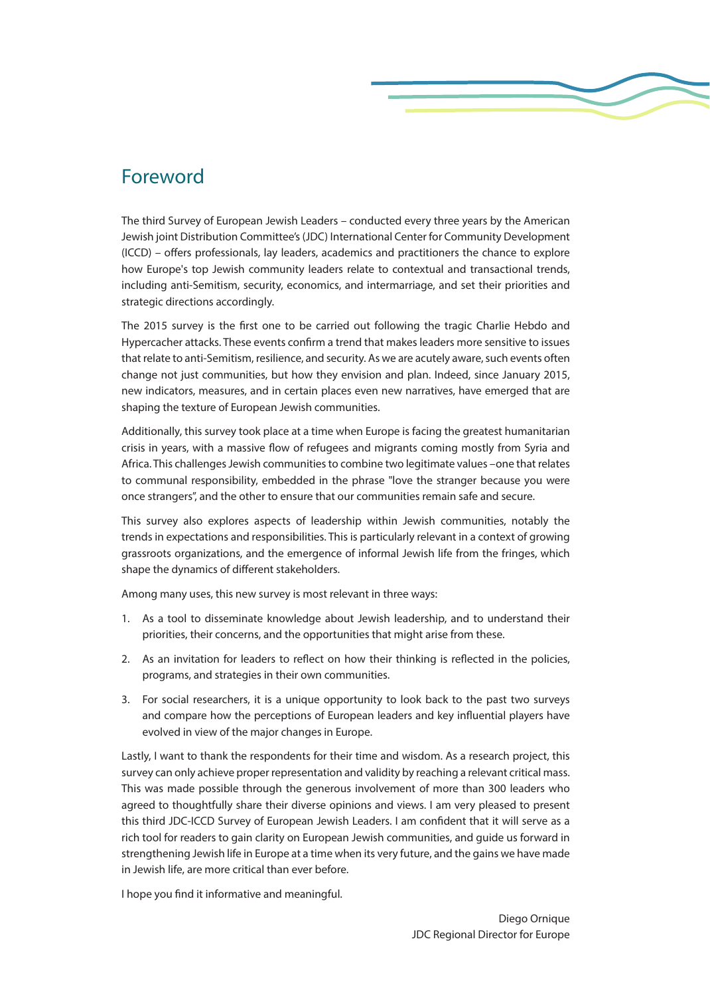# Foreword

The third Survey of European Jewish Leaders – conducted every three years by the American Jewish joint Distribution Committee's (JDC) International Center for Community Development (ICCD) – offers professionals, lay leaders, academics and practitioners the chance to explore how Europe's top Jewish community leaders relate to contextual and transactional trends, including anti-Semitism, security, economics, and intermarriage, and set their priorities and strategic directions accordingly.

The 2015 survey is the first one to be carried out following the tragic Charlie Hebdo and Hypercacher attacks. These events confirm a trend that makes leaders more sensitive to issues that relate to anti-Semitism, resilience, and security. As we are acutely aware, such events often change not just communities, but how they envision and plan. Indeed, since January 2015, new indicators, measures, and in certain places even new narratives, have emerged that are shaping the texture of European Jewish communities.

Additionally, this survey took place at a time when Europe is facing the greatest humanitarian crisis in years, with a massive flow of refugees and migrants coming mostly from Syria and Africa. This challenges Jewish communities to combine two legitimate values –one that relates to communal responsibility, embedded in the phrase "love the stranger because you were once strangers", and the other to ensure that our communities remain safe and secure.

This survey also explores aspects of leadership within Jewish communities, notably the trends in expectations and responsibilities. This is particularly relevant in a context of growing grassroots organizations, and the emergence of informal Jewish life from the fringes, which shape the dynamics of different stakeholders.

Among many uses, this new survey is most relevant in three ways:

- 1. As a tool to disseminate knowledge about Jewish leadership, and to understand their priorities, their concerns, and the opportunities that might arise from these.
- 2. As an invitation for leaders to reflect on how their thinking is reflected in the policies, programs, and strategies in their own communities.
- 3. For social researchers, it is a unique opportunity to look back to the past two surveys and compare how the perceptions of European leaders and key influential players have evolved in view of the major changes in Europe.

Lastly, I want to thank the respondents for their time and wisdom. As a research project, this survey can only achieve proper representation and validity by reaching a relevant critical mass. This was made possible through the generous involvement of more than 300 leaders who agreed to thoughtfully share their diverse opinions and views. I am very pleased to present this third JDC-ICCD Survey of European Jewish Leaders. I am confident that it will serve as a rich tool for readers to gain clarity on European Jewish communities, and guide us forward in strengthening Jewish life in Europe at a time when its very future, and the gains we have made in Jewish life, are more critical than ever before.

I hope you find it informative and meaningful.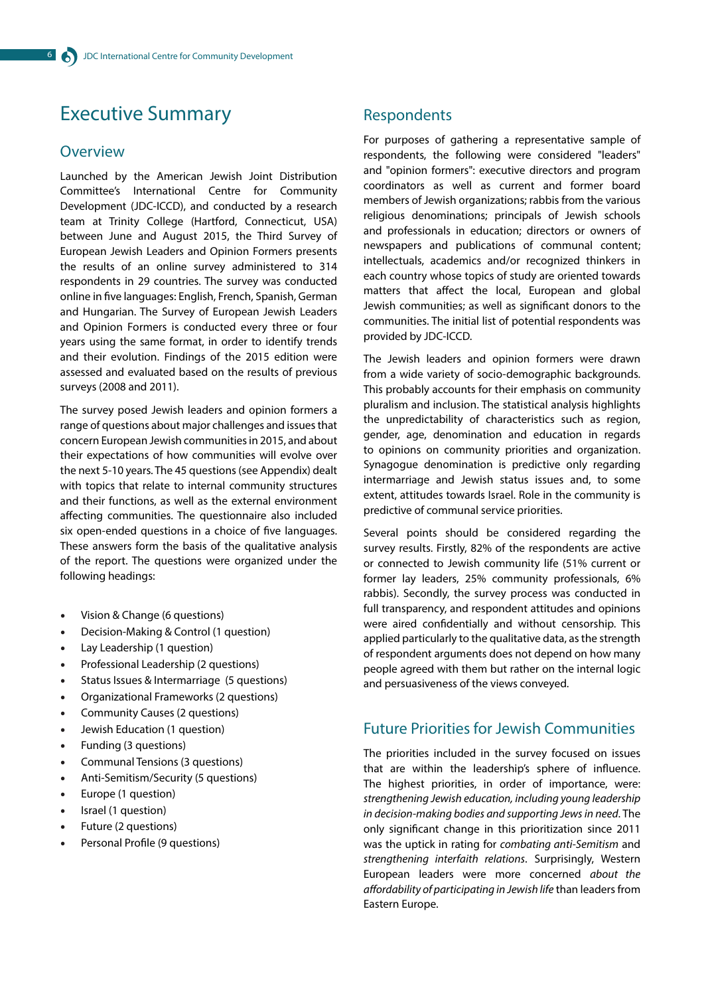# Executive Summary

#### **Overview**

Launched by the American Jewish Joint Distribution Committee's International Centre for Community Development (JDC-ICCD), and conducted by a research team at Trinity College (Hartford, Connecticut, USA) between June and August 2015, the Third Survey of European Jewish Leaders and Opinion Formers presents the results of an online survey administered to 314 respondents in 29 countries. The survey was conducted online in five languages: English, French, Spanish, German and Hungarian. The Survey of European Jewish Leaders and Opinion Formers is conducted every three or four years using the same format, in order to identify trends and their evolution. Findings of the 2015 edition were assessed and evaluated based on the results of previous surveys (2008 and 2011).

The survey posed Jewish leaders and opinion formers a range of questions about major challenges and issues that concern European Jewish communities in 2015, and about their expectations of how communities will evolve over the next 5-10 years. The 45 questions (see Appendix) dealt with topics that relate to internal community structures and their functions, as well as the external environment affecting communities. The questionnaire also included six open-ended questions in a choice of five languages. These answers form the basis of the qualitative analysis of the report. The questions were organized under the following headings:

- Vision & Change (6 questions)
- Decision-Making & Control (1 question)
- Lay Leadership (1 question)
- Professional Leadership (2 questions)
- Status Issues & Intermarriage (5 questions)
- Organizational Frameworks (2 questions)
- Community Causes (2 questions)
- Jewish Education (1 question)
- Funding (3 questions)
- Communal Tensions (3 questions)
- Anti-Semitism/Security (5 questions)
- Europe (1 question)
- Israel (1 question)
- Future (2 questions)
- Personal Profile (9 questions)

#### Respondents

For purposes of gathering a representative sample of respondents, the following were considered "leaders" and "opinion formers": executive directors and program coordinators as well as current and former board members of Jewish organizations; rabbis from the various religious denominations; principals of Jewish schools and professionals in education; directors or owners of newspapers and publications of communal content; intellectuals, academics and/or recognized thinkers in each country whose topics of study are oriented towards matters that affect the local, European and global Jewish communities; as well as significant donors to the communities. The initial list of potential respondents was provided by JDC-ICCD.

The Jewish leaders and opinion formers were drawn from a wide variety of socio-demographic backgrounds. This probably accounts for their emphasis on community pluralism and inclusion. The statistical analysis highlights the unpredictability of characteristics such as region, gender, age, denomination and education in regards to opinions on community priorities and organization. Synagogue denomination is predictive only regarding intermarriage and Jewish status issues and, to some extent, attitudes towards Israel. Role in the community is predictive of communal service priorities.

Several points should be considered regarding the survey results. Firstly, 82% of the respondents are active or connected to Jewish community life (51% current or former lay leaders, 25% community professionals, 6% rabbis). Secondly, the survey process was conducted in full transparency, and respondent attitudes and opinions were aired confidentially and without censorship. This applied particularly to the qualitative data, as the strength of respondent arguments does not depend on how many people agreed with them but rather on the internal logic and persuasiveness of the views conveyed.

# Future Priorities for Jewish Communities

The priorities included in the survey focused on issues that are within the leadership's sphere of influence. The highest priorities, in order of importance, were: *strengthening Jewish education, including young leadership in decision-making bodies and supporting Jews in need*. The only significant change in this prioritization since 2011 was the uptick in rating for *combating anti-Semitism* and *strengthening interfaith relations*. Surprisingly, Western European leaders were more concerned *about the affordability of participating in Jewish life* than leaders from Eastern Europe.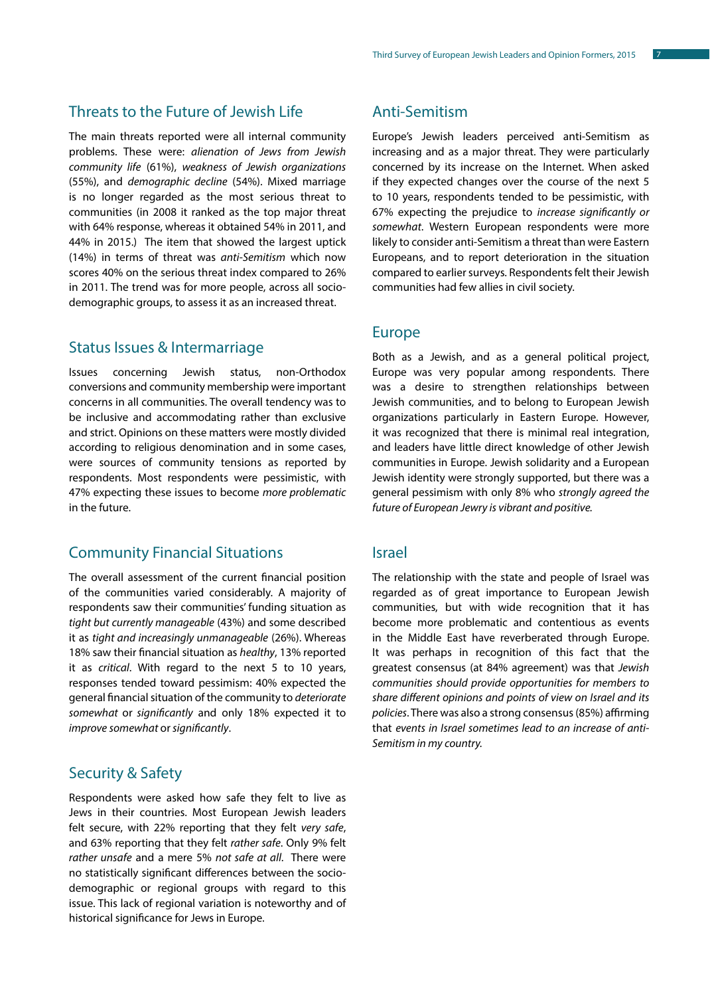### Threats to the Future of Jewish Life

The main threats reported were all internal community problems. These were: *alienation of Jews from Jewish community life* (61%), *weakness of Jewish organizations* (55%), and *demographic decline* (54%). Mixed marriage is no longer regarded as the most serious threat to communities (in 2008 it ranked as the top major threat with 64% response, whereas it obtained 54% in 2011, and 44% in 2015.) The item that showed the largest uptick (14%) in terms of threat was *anti-Semitism* which now scores 40% on the serious threat index compared to 26% in 2011. The trend was for more people, across all sociodemographic groups, to assess it as an increased threat.

#### Status Issues & Intermarriage

Issues concerning Jewish status, non-Orthodox conversions and community membership were important concerns in all communities. The overall tendency was to be inclusive and accommodating rather than exclusive and strict. Opinions on these matters were mostly divided according to religious denomination and in some cases, were sources of community tensions as reported by respondents. Most respondents were pessimistic, with 47% expecting these issues to become *more problematic* in the future.

#### Community Financial Situations

The overall assessment of the current financial position of the communities varied considerably. A majority of respondents saw their communities' funding situation as *tight but currently manageable* (43%) and some described it as *tight and increasingly unmanageable* (26%). Whereas 18% saw their financial situation as *healthy*, 13% reported it as *critical*. With regard to the next 5 to 10 years, responses tended toward pessimism: 40% expected the general financial situation of the community to *deteriorate somewhat* or *significantly* and only 18% expected it to *improve somewhat* or *significantly*.

### Security & Safety

Respondents were asked how safe they felt to live as Jews in their countries. Most European Jewish leaders felt secure, with 22% reporting that they felt *very safe*, and 63% reporting that they felt *rather safe*. Only 9% felt *rather unsafe* and a mere 5% *not safe at all*. There were no statistically significant differences between the sociodemographic or regional groups with regard to this issue. This lack of regional variation is noteworthy and of historical significance for Jews in Europe.

#### Anti-Semitism

Europe's Jewish leaders perceived anti-Semitism as increasing and as a major threat. They were particularly concerned by its increase on the Internet. When asked if they expected changes over the course of the next 5 to 10 years, respondents tended to be pessimistic, with 67% expecting the prejudice to *increase significantly or somewhat*. Western European respondents were more likely to consider anti-Semitism a threat than were Eastern Europeans, and to report deterioration in the situation compared to earlier surveys. Respondents felt their Jewish communities had few allies in civil society.

#### Europe

Both as a Jewish, and as a general political project, Europe was very popular among respondents. There was a desire to strengthen relationships between Jewish communities, and to belong to European Jewish organizations particularly in Eastern Europe. However, it was recognized that there is minimal real integration, and leaders have little direct knowledge of other Jewish communities in Europe. Jewish solidarity and a European Jewish identity were strongly supported, but there was a general pessimism with only 8% who *strongly agreed the future of European Jewry is vibrant and positive.*

#### Israel

The relationship with the state and people of Israel was regarded as of great importance to European Jewish communities, but with wide recognition that it has become more problematic and contentious as events in the Middle East have reverberated through Europe. It was perhaps in recognition of this fact that the greatest consensus (at 84% agreement) was that *Jewish communities should provide opportunities for members to share different opinions and points of view on Israel and its policies*. There was also a strong consensus (85%) affirming that *events in Israel sometimes lead to an increase of anti-Semitism in my country.*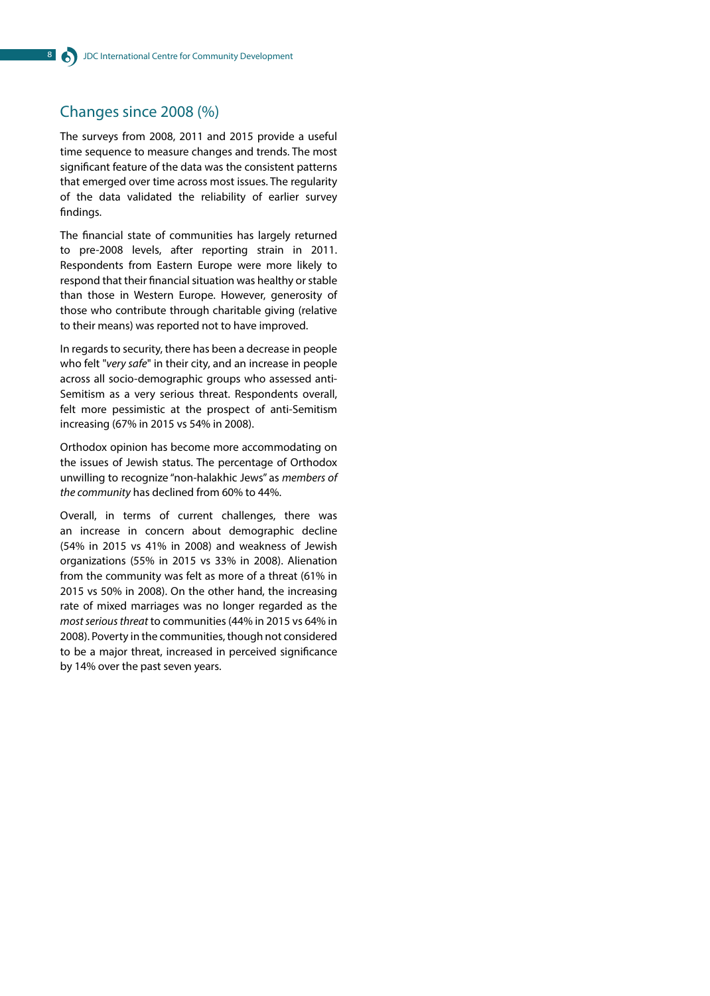### Changes since 2008 (%)

The surveys from 2008, 2011 and 2015 provide a useful time sequence to measure changes and trends. The most significant feature of the data was the consistent patterns that emerged over time across most issues. The regularity of the data validated the reliability of earlier survey findings.

The financial state of communities has largely returned to pre-2008 levels, after reporting strain in 2011. Respondents from Eastern Europe were more likely to respond that their financial situation was healthy or stable than those in Western Europe. However, generosity of those who contribute through charitable giving (relative to their means) was reported not to have improved.

In regards to security, there has been a decrease in people who felt "*very safe*" in their city, and an increase in people across all socio-demographic groups who assessed anti-Semitism as a very serious threat. Respondents overall, felt more pessimistic at the prospect of anti-Semitism increasing (67% in 2015 vs 54% in 2008).

Orthodox opinion has become more accommodating on the issues of Jewish status. The percentage of Orthodox unwilling to recognize "non-halakhic Jews" as *members of the community* has declined from 60% to 44%.

Overall, in terms of current challenges, there was an increase in concern about demographic decline (54% in 2015 vs 41% in 2008) and weakness of Jewish organizations (55% in 2015 vs 33% in 2008). Alienation from the community was felt as more of a threat (61% in 2015 vs 50% in 2008). On the other hand, the increasing rate of mixed marriages was no longer regarded as the *most serious threat* to communities (44% in 2015 vs 64% in 2008). Poverty in the communities, though not considered to be a major threat, increased in perceived significance by 14% over the past seven years.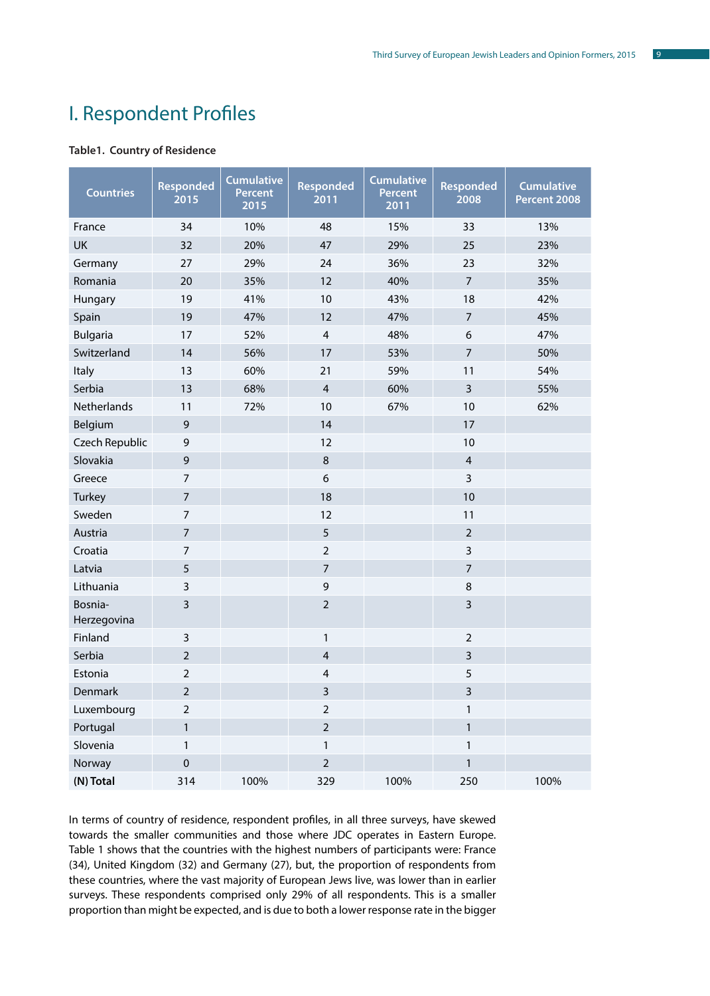# I. Respondent Profiles

#### **Table1. Country of Residence**

| <b>Countries</b>       | Responded<br>2015 | <b>Cumulative</b><br><b>Percent</b><br>2015 | <b>Responded</b><br>2011 | <b>Cumulative</b><br>Percent<br>2011 | <b>Responded</b><br>2008 | <b>Cumulative</b><br>Percent 2008 |
|------------------------|-------------------|---------------------------------------------|--------------------------|--------------------------------------|--------------------------|-----------------------------------|
| France                 | 34                | 10%                                         | 48                       | 15%                                  | 33                       | 13%                               |
| <b>UK</b>              | 32                | 20%                                         | 47                       | 29%                                  | 25                       | 23%                               |
| Germany                | 27                | 29%                                         | 24                       | 36%                                  | 23                       | 32%                               |
| Romania                | 20                | 35%                                         | 12                       | 40%                                  | $\overline{7}$           | 35%                               |
| Hungary                | 19                | 41%                                         | 10                       | 43%                                  | 18                       | 42%                               |
| Spain                  | 19                | 47%                                         | 12                       | 47%                                  | $\overline{7}$           | 45%                               |
| <b>Bulgaria</b>        | 17                | 52%                                         | $\overline{4}$           | 48%                                  | 6                        | 47%                               |
| Switzerland            | 14                | 56%                                         | 17                       | 53%                                  | $\overline{7}$           | 50%                               |
| Italy                  | 13                | 60%                                         | 21                       | 59%                                  | 11                       | 54%                               |
| Serbia                 | 13                | 68%                                         | $\overline{4}$           | 60%                                  | $\overline{3}$           | 55%                               |
| Netherlands            | 11                | 72%                                         | 10                       | 67%                                  | 10                       | 62%                               |
| Belgium                | 9                 |                                             | 14                       |                                      | 17                       |                                   |
| Czech Republic         | 9                 |                                             | 12                       |                                      | 10                       |                                   |
| Slovakia               | 9                 |                                             | $\,8\,$                  |                                      | $\overline{4}$           |                                   |
| Greece                 | $\overline{7}$    |                                             | 6                        |                                      | $\overline{\mathbf{3}}$  |                                   |
| Turkey                 | $\overline{7}$    |                                             | 18                       |                                      | 10                       |                                   |
| Sweden                 | $\overline{7}$    |                                             | 12                       |                                      | 11                       |                                   |
| Austria                | $\overline{7}$    |                                             | 5                        |                                      | $\overline{2}$           |                                   |
| Croatia                | $\overline{7}$    |                                             | $\overline{2}$           |                                      | 3                        |                                   |
| Latvia                 | 5                 |                                             | $\overline{7}$           |                                      | $\overline{7}$           |                                   |
| Lithuania              | 3                 |                                             | 9                        |                                      | $\,8\,$                  |                                   |
| Bosnia-<br>Herzegovina | 3                 |                                             | $\overline{2}$           |                                      | $\overline{3}$           |                                   |
| Finland                | 3                 |                                             | $\mathbf{1}$             |                                      | $\overline{2}$           |                                   |
| Serbia                 | $\overline{2}$    |                                             | 4                        |                                      | $\overline{\mathbf{3}}$  |                                   |
| Estonia                | $\overline{2}$    |                                             | $\overline{4}$           |                                      | 5                        |                                   |
| Denmark                | $\overline{2}$    |                                             | 3                        |                                      | 3                        |                                   |
| Luxembourg             | $\overline{2}$    |                                             | $\overline{2}$           |                                      | 1                        |                                   |
| Portugal               | $\mathbf{1}$      |                                             | $\mathbf 2$              |                                      | $\mathbf{1}$             |                                   |
| Slovenia               | $\mathbf{1}$      |                                             | $\mathbf{1}$             |                                      | $\mathbf{1}$             |                                   |
| Norway                 | $\pmb{0}$         |                                             | $\overline{2}$           |                                      | $\mathbf{1}$             |                                   |
| (N) Total              | 314               | 100%                                        | 329                      | 100%                                 | 250                      | 100%                              |

In terms of country of residence, respondent profiles, in all three surveys, have skewed towards the smaller communities and those where JDC operates in Eastern Europe. Table 1 shows that the countries with the highest numbers of participants were: France (34), United Kingdom (32) and Germany (27), but, the proportion of respondents from these countries, where the vast majority of European Jews live, was lower than in earlier surveys. These respondents comprised only 29% of all respondents. This is a smaller proportion than might be expected, and is due to both a lower response rate in the bigger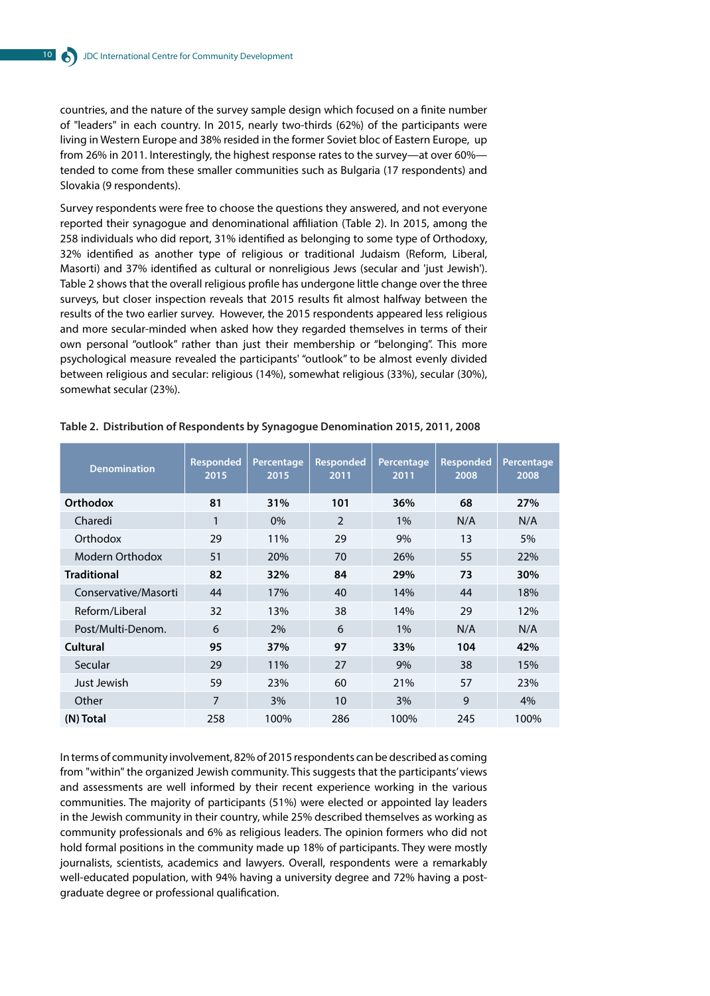countries, and the nature of the survey sample design which focused on a finite number of "leaders" in each country. In 2015, nearly two-thirds (62%) of the participants were living in Western Europe and 38% resided in the former Soviet bloc of Eastern Europe, up from 26% in 2011. Interestingly, the highest response rates to the survey—at over 60% tended to come from these smaller communities such as Bulgaria (17 respondents) and Slovakia (9 respondents).

Survey respondents were free to choose the questions they answered, and not everyone reported their synagogue and denominational affiliation (Table 2). In 2015, among the 258 individuals who did report, 31% identified as belonging to some type of Orthodoxy, 32% identified as another type of religious or traditional Judaism (Reform, Liberal, Masorti) and 37% identified as cultural or nonreligious Jews (secular and 'just Jewish'). Table 2 shows that the overall religious profile has undergone little change over the three surveys, but closer inspection reveals that 2015 results fit almost halfway between the results of the two earlier survey. However, the 2015 respondents appeared less religious and more secular-minded when asked how they regarded themselves in terms of their own personal "outlook" rather than just their membership or "belonging". This more psychological measure revealed the participants' "outlook" to be almost evenly divided between religious and secular: religious (14%), somewhat religious (33%), secular (30%), somewhat secular (23%).

| <b>Denomination</b>  | <b>Responded</b><br>2015 | Percentage<br>2015 | <b>Responded</b><br>2011 | Percentage<br>2011 | <b>Responded</b><br>2008 | Percentage<br>2008 |
|----------------------|--------------------------|--------------------|--------------------------|--------------------|--------------------------|--------------------|
| <b>Orthodox</b>      | 81                       | 31%                | 101                      | 36%                | 68                       | 27%                |
| Charedi              | 1                        | $0\%$              | $\mathcal{P}$            | 1%                 | N/A                      | N/A                |
| Orthodox             | 29                       | 11%                | 29                       | 9%                 | 13                       | 5%                 |
| Modern Orthodox      | 51                       | 20%                | 70                       | 26%                | 55                       | 22%                |
| <b>Traditional</b>   | 82                       | 32%                | 84                       | 29%                | 73                       | 30%                |
| Conservative/Masorti | 44                       | 17%                | 40                       | 14%                | 44                       | 18%                |
| Reform/Liberal       | 32                       | 13%                | 38                       | 14%                | 29                       | 12%                |
| Post/Multi-Denom.    | 6                        | 2%                 | 6                        | 1%                 | N/A                      | N/A                |
| Cultural             | 95                       | 37%                | 97                       | 33%                | 104                      | 42%                |
| Secular              | 29                       | 11%                | 27                       | 9%                 | 38                       | 15%                |
| Just Jewish          | 59                       | 23%                | 60                       | 21%                | 57                       | 23%                |
| Other                | 7                        | 3%                 | 10                       | 3%                 | 9                        | 4%                 |
| (N) Total            | 258                      | 100%               | 286                      | 100%               | 245                      | 100%               |

**Table 2. Distribution of Respondents by Synagogue Denomination 2015, 2011, 2008**

In terms of community involvement, 82% of 2015 respondents can be described as coming from "within" the organized Jewish community. This suggests that the participants' views and assessments are well informed by their recent experience working in the various communities. The majority of participants (51%) were elected or appointed lay leaders in the Jewish community in their country, while 25% described themselves as working as community professionals and 6% as religious leaders. The opinion formers who did not hold formal positions in the community made up 18% of participants. They were mostly journalists, scientists, academics and lawyers. Overall, respondents were a remarkably well-educated population, with 94% having a university degree and 72% having a postgraduate degree or professional qualification.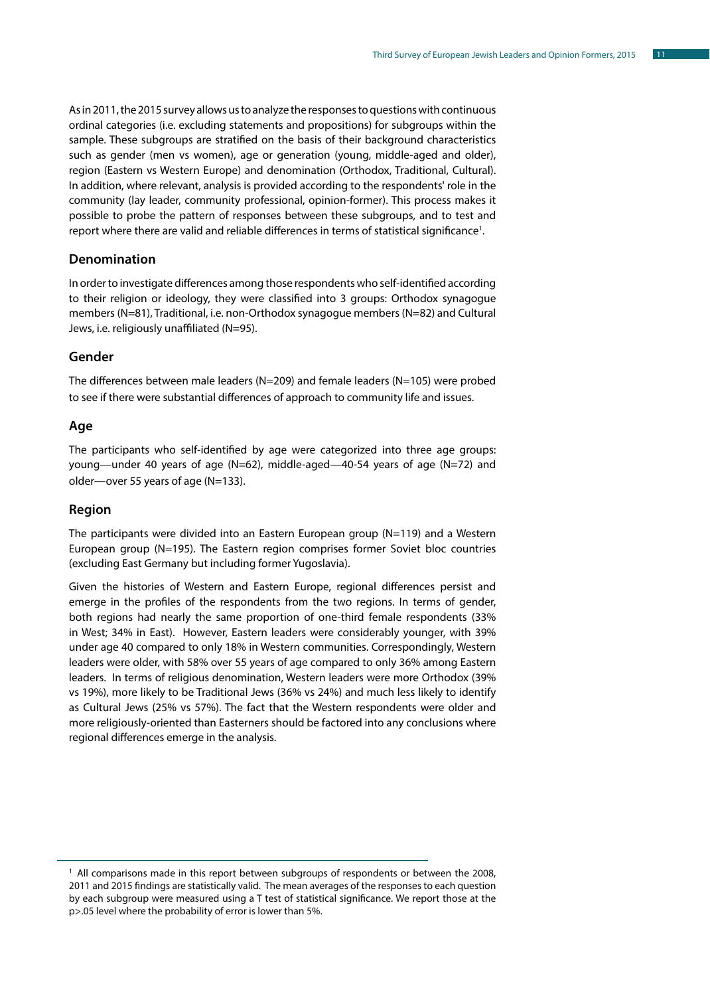As in 2011, the 2015 survey allows us to analyze the responses to questions with continuous ordinal categories (i.e. excluding statements and propositions) for subgroups within the sample. These subgroups are stratified on the basis of their background characteristics such as gender (men vs women), age or generation (young, middle-aged and older), region (Eastern vs Western Europe) and denomination (Orthodox, Traditional, Cultural). In addition, where relevant, analysis is provided according to the respondents' role in the community (lay leader, community professional, opinion-former). This process makes it possible to probe the pattern of responses between these subgroups, and to test and report where there are valid and reliable differences in terms of statistical significance<sup>1</sup>.

#### **Denomination**

In order to investigate differences among those respondents who self-identified according to their religion or ideology, they were classified into 3 groups: Orthodox synagogue members (N=81), Traditional, i.e. non-Orthodox synagogue members (N=82) and Cultural Jews, i.e. religiously unaffiliated (N=95).

#### **Gender**

The differences between male leaders (N=209) and female leaders (N=105) were probed to see if there were substantial differences of approach to community life and issues.

#### **Age**

The participants who self-identified by age were categorized into three age groups: young—under 40 years of age (N=62), middle-aged—40-54 years of age (N=72) and older—over 55 years of age (N=133).

#### **Region**

The participants were divided into an Eastern European group  $(N=119)$  and a Western European group (N=195). The Eastern region comprises former Soviet bloc countries (excluding East Germany but including former Yugoslavia).

Given the histories of Western and Eastern Europe, regional differences persist and emerge in the profiles of the respondents from the two regions. In terms of gender, both regions had nearly the same proportion of one-third female respondents (33% in West; 34% in East). However, Eastern leaders were considerably younger, with 39% under age 40 compared to only 18% in Western communities. Correspondingly, Western leaders were older, with 58% over 55 years of age compared to only 36% among Eastern leaders. In terms of religious denomination, Western leaders were more Orthodox (39% vs 19%), more likely to be Traditional Jews (36% vs 24%) and much less likely to identify as Cultural Jews (25% vs 57%). The fact that the Western respondents were older and more religiously-oriented than Easterners should be factored into any conclusions where regional differences emerge in the analysis.

<sup>&</sup>lt;sup>1</sup> All comparisons made in this report between subgroups of respondents or between the 2008, 2011 and 2015 findings are statistically valid. The mean averages of the responses to each question by each subgroup were measured using a T test of statistical significance. We report those at the p>.05 level where the probability of error is lower than 5%.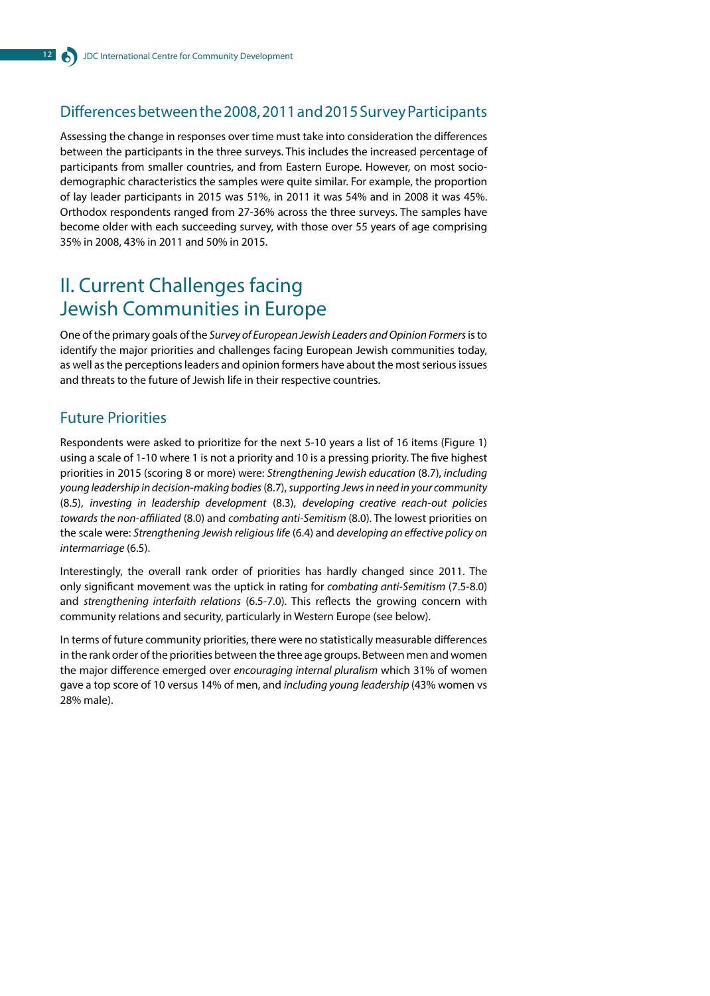### Differences between the 2008, 2011 and 2015 Survey Participants

Assessing the change in responses over time must take into consideration the differences between the participants in the three surveys. This includes the increased percentage of participants from smaller countries, and from Eastern Europe. However, on most sociodemographic characteristics the samples were quite similar. For example, the proportion of lay leader participants in 2015 was 51%, in 2011 it was 54% and in 2008 it was 45%. Orthodox respondents ranged from 27-36% across the three surveys. The samples have become older with each succeeding survey, with those over 55 years of age comprising 35% in 2008, 43% in 2011 and 50% in 2015.

# II. Current Challenges facing Jewish Communities in Europe

One of the primary goals of the *Survey of European Jewish Leaders and Opinion Formers* is to identify the major priorities and challenges facing European Jewish communities today, as well as the perceptions leaders and opinion formers have about the most serious issues and threats to the future of Jewish life in their respective countries.

# Future Priorities

Respondents were asked to prioritize for the next 5-10 years a list of 16 items (Figure 1) using a scale of 1-10 where 1 is not a priority and 10 is a pressing priority. The five highest priorities in 2015 (scoring 8 or more) were: *Strengthening Jewish education* (8.7), *including young leadership in decision-making bodies* (8.7), *supporting Jews in need in your community*  (8.5), *investing in leadership development* (8.3), *developing creative reach-out policies towards the non-affiliated* (8.0) and *combating anti-Semitism* (8.0). The lowest priorities on the scale were: *Strengthening Jewish religious life* (6.4) and *developing an effective policy on intermarriage* (6.5).

Interestingly, the overall rank order of priorities has hardly changed since 2011. The only significant movement was the uptick in rating for *combating anti-Semitism* (7.5-8.0) and *strengthening interfaith relations* (6.5-7.0). This reflects the growing concern with community relations and security, particularly in Western Europe (see below).

In terms of future community priorities, there were no statistically measurable differences in the rank order of the priorities between the three age groups. Between men and women the major difference emerged over *encouraging internal pluralism* which 31% of women gave a top score of 10 versus 14% of men, and *including young leadership* (43% women vs 28% male).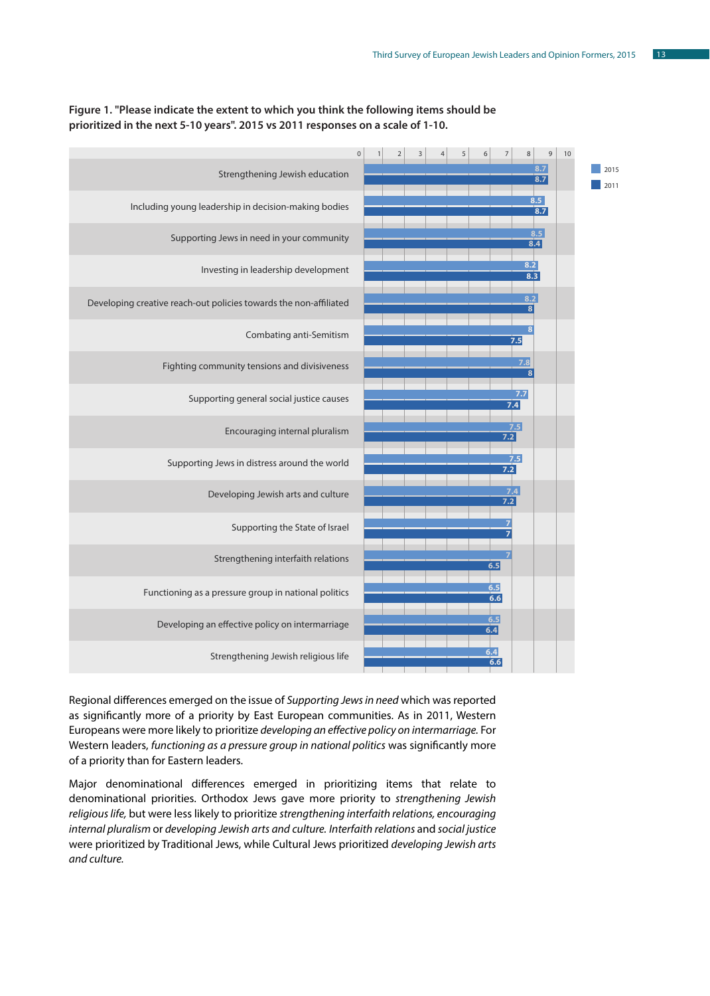

#### **Figure 1. "Please indicate the extent to which you think the following items should be prioritized in the next 5-10 years". 2015 vs 2011 responses on a scale of 1-10.**

Regional differences emerged on the issue of *Supporting Jews in need* which was reported as significantly more of a priority by East European communities. As in 2011, Western Europeans were more likely to prioritize *developing an effective policy on intermarriage.* For Western leaders, *functioning as a pressure group in national politics* was significantly more of a priority than for Eastern leaders.

Major denominational differences emerged in prioritizing items that relate to denominational priorities. Orthodox Jews gave more priority to *strengthening Jewish religious life,* but were less likely to prioritize *strengthening interfaith relations, encouraging internal pluralism* or *developing Jewish arts and culture. Interfaith relations* and *social justice* were prioritized by Traditional Jews, while Cultural Jews prioritized *developing Jewish arts and culture.*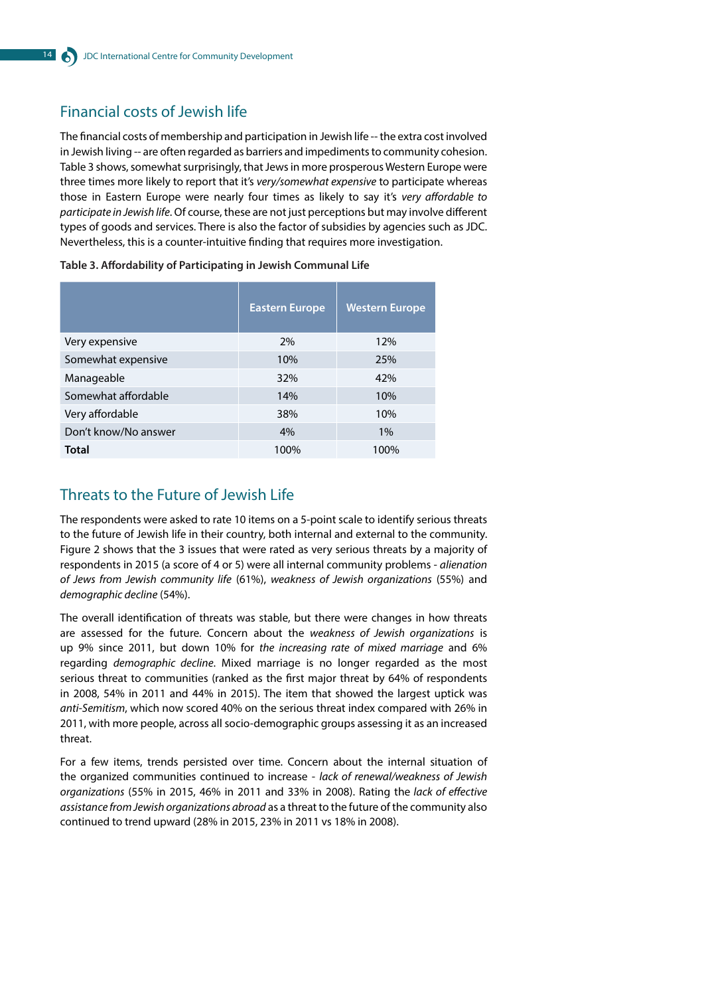# Financial costs of Jewish life

The financial costs of membership and participation in Jewish life -- the extra cost involved in Jewish living -- are often regarded as barriers and impediments to community cohesion. Table 3 shows, somewhat surprisingly, that Jews in more prosperous Western Europe were three times more likely to report that it's *very/somewhat expensive* to participate whereas those in Eastern Europe were nearly four times as likely to say it's *very affordable to participate in Jewish life*. Of course, these are not just perceptions but may involve different types of goods and services. There is also the factor of subsidies by agencies such as JDC. Nevertheless, this is a counter-intuitive finding that requires more investigation.

|                      | <b>Eastern Europe</b> | <b>Western Europe</b> |
|----------------------|-----------------------|-----------------------|
| Very expensive       | 2%                    | 12%                   |
| Somewhat expensive   | 10%                   | 25%                   |
| Manageable           | 32%                   | 42%                   |
| Somewhat affordable  | 14%                   | 10%                   |
| Very affordable      | 38%                   | 10%                   |
| Don't know/No answer | 4%                    | 1%                    |
| <b>Total</b>         | 100%                  | 100%                  |

**Table 3. Affordability of Participating in Jewish Communal Life** 

### Threats to the Future of Jewish Life

The respondents were asked to rate 10 items on a 5-point scale to identify serious threats to the future of Jewish life in their country, both internal and external to the community. Figure 2 shows that the 3 issues that were rated as very serious threats by a majority of respondents in 2015 (a score of 4 or 5) were all internal community problems - *alienation of Jews from Jewish community life* (61%), *weakness of Jewish organizations* (55%) and *demographic decline* (54%).

The overall identification of threats was stable, but there were changes in how threats are assessed for the future. Concern about the *weakness of Jewish organizations* is up 9% since 2011, but down 10% for *the increasing rate of mixed marriage* and 6% regarding *demographic decline*. Mixed marriage is no longer regarded as the most serious threat to communities (ranked as the first major threat by 64% of respondents in 2008, 54% in 2011 and 44% in 2015). The item that showed the largest uptick was *anti-Semitism*, which now scored 40% on the serious threat index compared with 26% in 2011, with more people, across all socio-demographic groups assessing it as an increased threat.

For a few items, trends persisted over time. Concern about the internal situation of the organized communities continued to increase - *lack of renewal/weakness of Jewish organizations* (55% in 2015, 46% in 2011 and 33% in 2008). Rating the *lack of effective assistance from Jewish organizations abroad* as a threat to the future of the community also continued to trend upward (28% in 2015, 23% in 2011 vs 18% in 2008).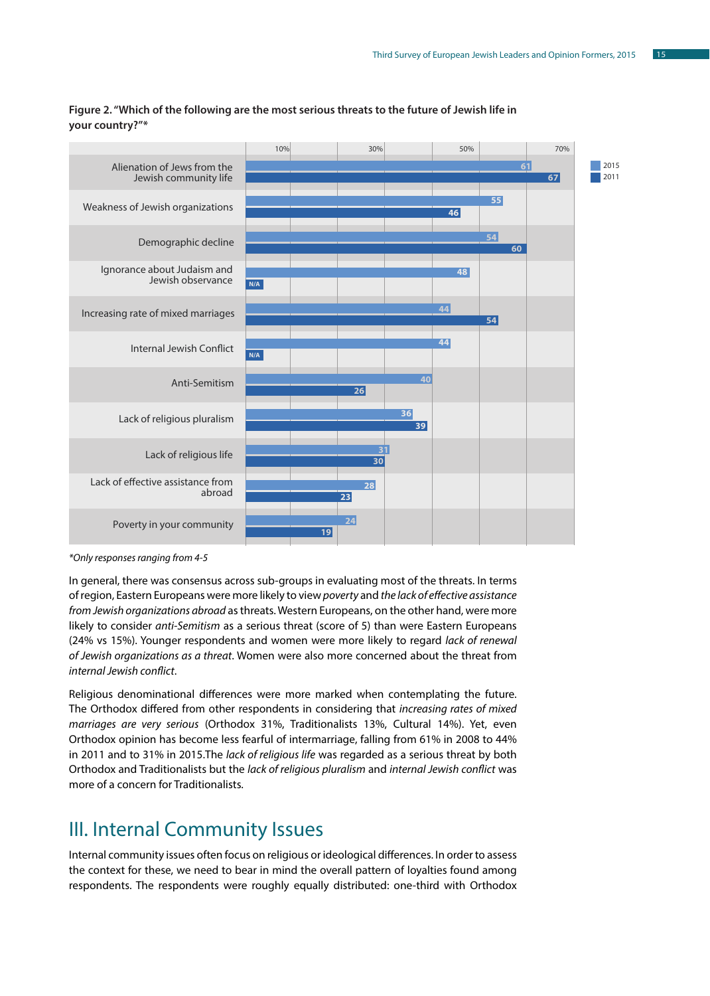

#### **Figure 2. "Which of the following are the most serious threats to the future of Jewish life in your country?"\***

*\*Only responses ranging from 4-5*

In general, there was consensus across sub-groups in evaluating most of the threats. In terms of region, Eastern Europeans were more likely to view *poverty* and *the lack of effective assistance from Jewish organizations abroad* as threats. Western Europeans, on the other hand, were more likely to consider *anti-Semitism* as a serious threat (score of 5) than were Eastern Europeans (24% vs 15%). Younger respondents and women were more likely to regard *lack of renewal of Jewish organizations as a threat*. Women were also more concerned about the threat from *internal Jewish conflict*.

Religious denominational differences were more marked when contemplating the future. The Orthodox differed from other respondents in considering that *increasing rates of mixed marriages are very serious* (Orthodox 31%, Traditionalists 13%, Cultural 14%). Yet, even Orthodox opinion has become less fearful of intermarriage, falling from 61% in 2008 to 44% in 2011 and to 31% in 2015.The *lack of religious life* was regarded as a serious threat by both Orthodox and Traditionalists but the *lack of religious pluralism* and *internal Jewish conflict* was more of a concern for Traditionalists.

# III. Internal Community Issues

Internal community issues often focus on religious or ideological differences. In order to assess the context for these, we need to bear in mind the overall pattern of loyalties found among respondents. The respondents were roughly equally distributed: one-third with Orthodox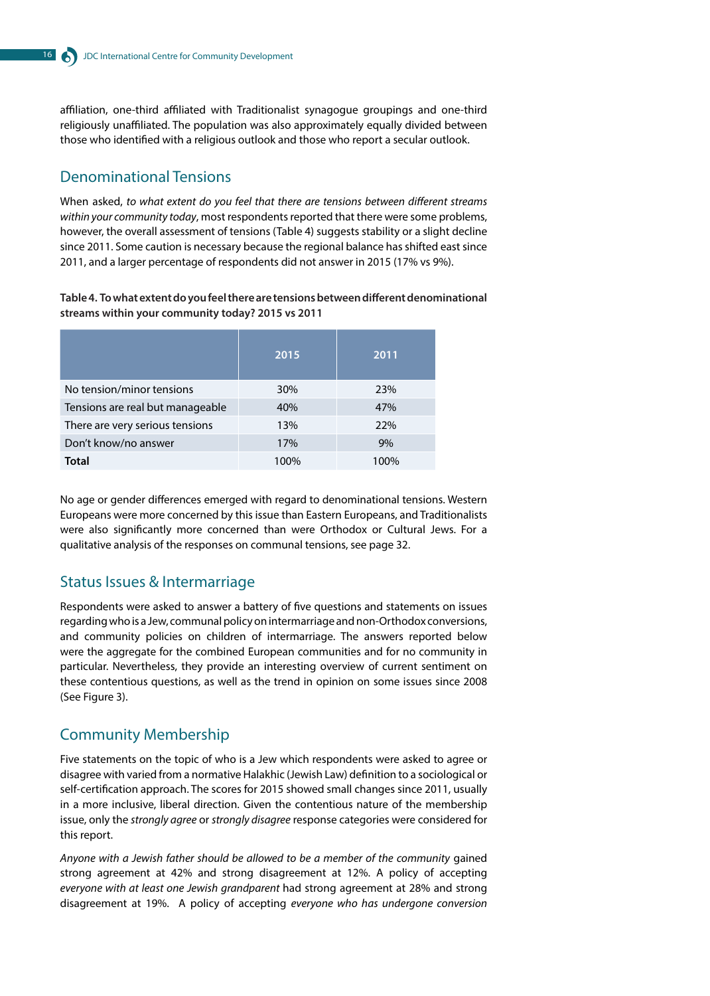affiliation, one-third affiliated with Traditionalist synagogue groupings and one-third religiously unaffiliated. The population was also approximately equally divided between those who identified with a religious outlook and those who report a secular outlook.

# Denominational Tensions

When asked, *to what extent do you feel that there are tensions between different streams within your community today*, most respondents reported that there were some problems, however, the overall assessment of tensions (Table 4) suggests stability or a slight decline since 2011. Some caution is necessary because the regional balance has shifted east since 2011, and a larger percentage of respondents did not answer in 2015 (17% vs 9%).

**Table 4. To what extent do you feel there are tensions between different denominational streams within your community today? 2015 vs 2011**

|                                  | 2015 | 2011 |
|----------------------------------|------|------|
| No tension/minor tensions        | 30%  | 23%  |
| Tensions are real but manageable | 40%  | 47%  |
| There are very serious tensions  | 13%  | 22%  |
| Don't know/no answer             | 17%  | 9%   |
| Total                            | 100% | 100% |

No age or gender differences emerged with regard to denominational tensions. Western Europeans were more concerned by this issue than Eastern Europeans, and Traditionalists were also significantly more concerned than were Orthodox or Cultural Jews. For a qualitative analysis of the responses on communal tensions, see page 32.

### Status Issues & Intermarriage

Respondents were asked to answer a battery of five questions and statements on issues regarding who is a Jew, communal policy on intermarriage and non-Orthodox conversions, and community policies on children of intermarriage. The answers reported below were the aggregate for the combined European communities and for no community in particular. Nevertheless, they provide an interesting overview of current sentiment on these contentious questions, as well as the trend in opinion on some issues since 2008 (See Figure 3).

### Community Membership

Five statements on the topic of who is a Jew which respondents were asked to agree or disagree with varied from a normative Halakhic (Jewish Law) definition to a sociological or self-certification approach. The scores for 2015 showed small changes since 2011, usually in a more inclusive, liberal direction. Given the contentious nature of the membership issue, only the *strongly agree* or *strongly disagree* response categories were considered for this report.

*Anyone with a Jewish father should be allowed to be a member of the community* gained strong agreement at 42% and strong disagreement at 12%. A policy of accepting *everyone with at least one Jewish grandparent* had strong agreement at 28% and strong disagreement at 19%. A policy of accepting *everyone who has undergone conversion*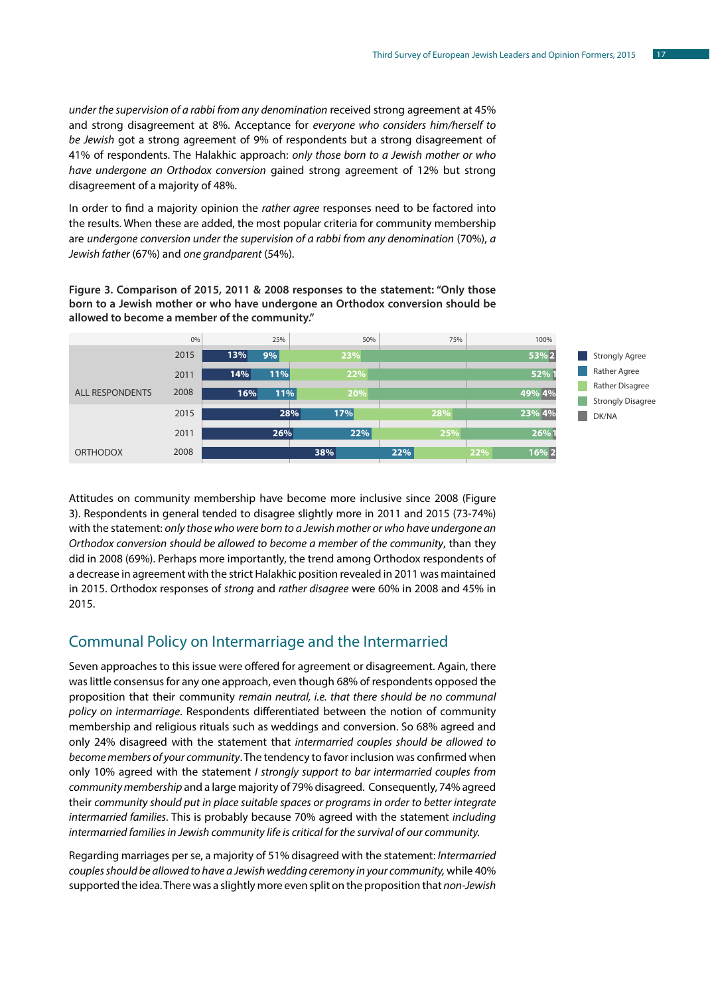*under the supervision of a rabbi from any denomination* received strong agreement at 45% and strong disagreement at 8%. Acceptance for *everyone who considers him/herself to be Jewish* got a strong agreement of 9% of respondents but a strong disagreement of 41% of respondents. The Halakhic approach: *only those born to a Jewish mother or who have undergone an Orthodox conversion* gained strong agreement of 12% but strong disagreement of a majority of 48%.

In order to find a majority opinion the *rather agree* responses need to be factored into the results. When these are added, the most popular criteria for community membership are *undergone conversion under the supervision of a rabbi from any denomination* (70%), *a Jewish father* (67%) and *one grandparent* (54%).

**Figure 3. Comparison of 2015, 2011 & 2008 responses to the statement: "Only those born to a Jewish mother or who have undergone an Orthodox conversion should be allowed to become a member of the community."**



Attitudes on community membership have become more inclusive since 2008 (Figure 3). Respondents in general tended to disagree slightly more in 2011 and 2015 (73-74%) with the statement: *only those who were born to a Jewish mother or who have undergone an Orthodox conversion should be allowed to become a member of the community*, than they did in 2008 (69%). Perhaps more importantly, the trend among Orthodox respondents of a decrease in agreement with the strict Halakhic position revealed in 2011 was maintained in 2015. Orthodox responses of *strong* and *rather disagree* were 60% in 2008 and 45% in 2015.

### Communal Policy on Intermarriage and the Intermarried

Seven approaches to this issue were offered for agreement or disagreement. Again, there was little consensus for any one approach, even though 68% of respondents opposed the proposition that their community *remain neutral, i.e. that there should be no communal policy on intermarriage*. Respondents differentiated between the notion of community membership and religious rituals such as weddings and conversion. So 68% agreed and only 24% disagreed with the statement that *intermarried couples should be allowed to become members of your community*. The tendency to favor inclusion was confirmed when only 10% agreed with the statement *I strongly support to bar intermarried couples from community membership* and a large majority of 79% disagreed. Consequently, 74% agreed their *community should put in place suitable spaces or programs in order to better integrate intermarried families*. This is probably because 70% agreed with the statement *including intermarried families in Jewish community life is critical for the survival of our community.*

Regarding marriages per se, a majority of 51% disagreed with the statement: *Intermarried couples should be allowed to have a Jewish wedding ceremony in your community,* while 40% supported the idea. There was a slightly more even split on the proposition that *non-Jewish*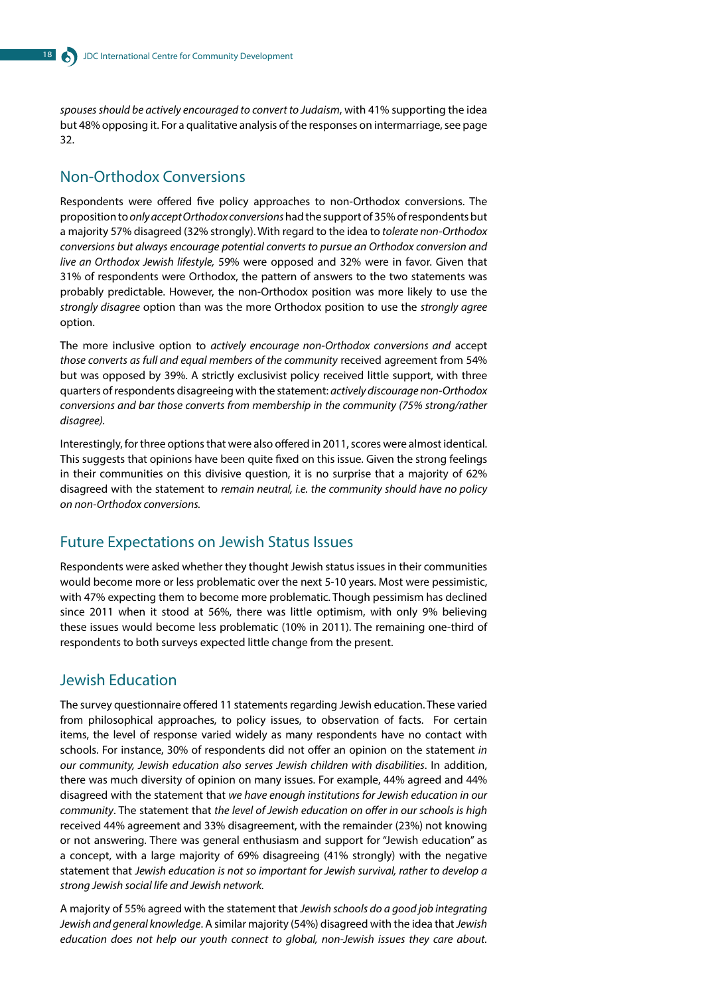*spouses should be actively encouraged to convert to Judaism*, with 41% supporting the idea but 48% opposing it. For a qualitative analysis of the responses on intermarriage, see page 32.

# Non-Orthodox Conversions

Respondents were offered five policy approaches to non-Orthodox conversions. The proposition to *only accept Orthodox conversions* had the support of 35% of respondents but a majority 57% disagreed (32% strongly). With regard to the idea to *tolerate non-Orthodox conversions but always encourage potential converts to pursue an Orthodox conversion and live an Orthodox Jewish lifestyle,* 59% were opposed and 32% were in favor. Given that 31% of respondents were Orthodox, the pattern of answers to the two statements was probably predictable. However, the non-Orthodox position was more likely to use the *strongly disagree* option than was the more Orthodox position to use the *strongly agree*  option.

The more inclusive option to *actively encourage non-Orthodox conversions and* accept *those converts as full and equal members of the community* received agreement from 54% but was opposed by 39%. A strictly exclusivist policy received little support, with three quarters of respondents disagreeing with the statement: *actively discourage non-Orthodox conversions and bar those converts from membership in the community (75% strong/rather disagree).*

Interestingly, for three options that were also offered in 2011, scores were almost identical. This suggests that opinions have been quite fixed on this issue. Given the strong feelings in their communities on this divisive question, it is no surprise that a majority of 62% disagreed with the statement to *remain neutral, i.e. the community should have no policy on non-Orthodox conversions.*

### Future Expectations on Jewish Status Issues

Respondents were asked whether they thought Jewish status issues in their communities would become more or less problematic over the next 5-10 years. Most were pessimistic, with 47% expecting them to become more problematic. Though pessimism has declined since 2011 when it stood at 56%, there was little optimism, with only 9% believing these issues would become less problematic (10% in 2011). The remaining one-third of respondents to both surveys expected little change from the present.

### Jewish Education

The survey questionnaire offered 11 statements regarding Jewish education. These varied from philosophical approaches, to policy issues, to observation of facts. For certain items, the level of response varied widely as many respondents have no contact with schools. For instance, 30% of respondents did not offer an opinion on the statement *in our community, Jewish education also serves Jewish children with disabilities*. In addition, there was much diversity of opinion on many issues. For example, 44% agreed and 44% disagreed with the statement that *we have enough institutions for Jewish education in our community*. The statement that *the level of Jewish education on offer in our schools is high* received 44% agreement and 33% disagreement, with the remainder (23%) not knowing or not answering. There was general enthusiasm and support for "Jewish education" as a concept, with a large majority of 69% disagreeing (41% strongly) with the negative statement that *Jewish education is not so important for Jewish survival, rather to develop a strong Jewish social life and Jewish network.*

A majority of 55% agreed with the statement that *Jewish schools do a good job integrating Jewish and general knowledge*. A similar majority (54%) disagreed with the idea that *Jewish education does not help our youth connect to global, non-Jewish issues they care about.*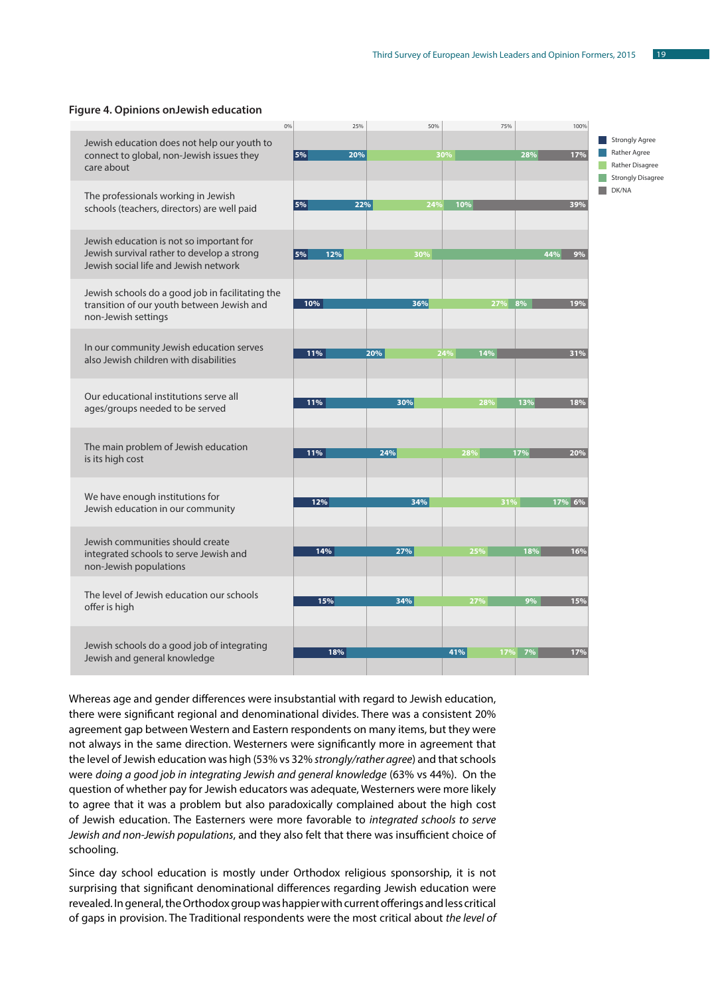#### **Figure 4. Opinions onJewish education**

|                                                                                                                                 | 0%      | 25% | 50% |     | 75% |     | 100%   |                                                                                      |
|---------------------------------------------------------------------------------------------------------------------------------|---------|-----|-----|-----|-----|-----|--------|--------------------------------------------------------------------------------------|
| Jewish education does not help our youth to<br>connect to global, non-Jewish issues they<br>care about                          | $ 5\% $ | 20% |     | 30% |     | 28% | 17%    | <b>Strongly Agree</b><br>Rather Agree<br>Rather Disagree<br><b>Strongly Disagree</b> |
| The professionals working in Jewish<br>schools (teachers, directors) are well paid                                              | 5%      | 22% | 24% | 10% |     |     | 39%    | n a<br>DK/NA                                                                         |
| Jewish education is not so important for<br>Jewish survival rather to develop a strong<br>Jewish social life and Jewish network | 5%      | 12% | 30% |     |     | 44% | 9%     |                                                                                      |
| Jewish schools do a good job in facilitating the<br>transition of our youth between Jewish and<br>non-Jewish settings           |         | 10% | 36% |     | 27% | 8%  | 19%    |                                                                                      |
| In our community Jewish education serves<br>also Jewish children with disabilities                                              |         | 11% | 20% | 24% | 14% |     | 31%    |                                                                                      |
| Our educational institutions serve all<br>ages/groups needed to be served                                                       |         | 11% | 30% |     | 28% | 13% | 18%    |                                                                                      |
| The main problem of Jewish education<br>is its high cost                                                                        |         | 11% | 24% | 28% |     | 17% | 20%    |                                                                                      |
| We have enough institutions for<br>Jewish education in our community                                                            |         | 12% | 34% |     | 31% |     | 17% 6% |                                                                                      |
| Jewish communities should create<br>integrated schools to serve Jewish and<br>non-Jewish populations                            |         | 14% | 27% | 25% |     | 18% | 16%    |                                                                                      |
| The level of Jewish education our schools<br>offer is high                                                                      |         | 15% | 34% | 27% |     | 9%  | 15%    |                                                                                      |
| Jewish schools do a good job of integrating<br>Jewish and general knowledge                                                     |         | 18% |     | 41% | 17% | 7%  | 17%    |                                                                                      |

Whereas age and gender differences were insubstantial with regard to Jewish education, there were significant regional and denominational divides. There was a consistent 20% agreement gap between Western and Eastern respondents on many items, but they were not always in the same direction. Westerners were significantly more in agreement that the level of Jewish education was high (53% vs 32% *strongly/rather agree*) and that schools were *doing a good job in integrating Jewish and general knowledge* (63% vs 44%). On the question of whether pay for Jewish educators was adequate, Westerners were more likely to agree that it was a problem but also paradoxically complained about the high cost of Jewish education. The Easterners were more favorable to *integrated schools to serve Jewish and non-Jewish populations*, and they also felt that there was insufficient choice of schooling.

Since day school education is mostly under Orthodox religious sponsorship, it is not surprising that significant denominational differences regarding Jewish education were revealed. In general, the Orthodox group was happier with current offerings and less critical of gaps in provision. The Traditional respondents were the most critical about *the level of*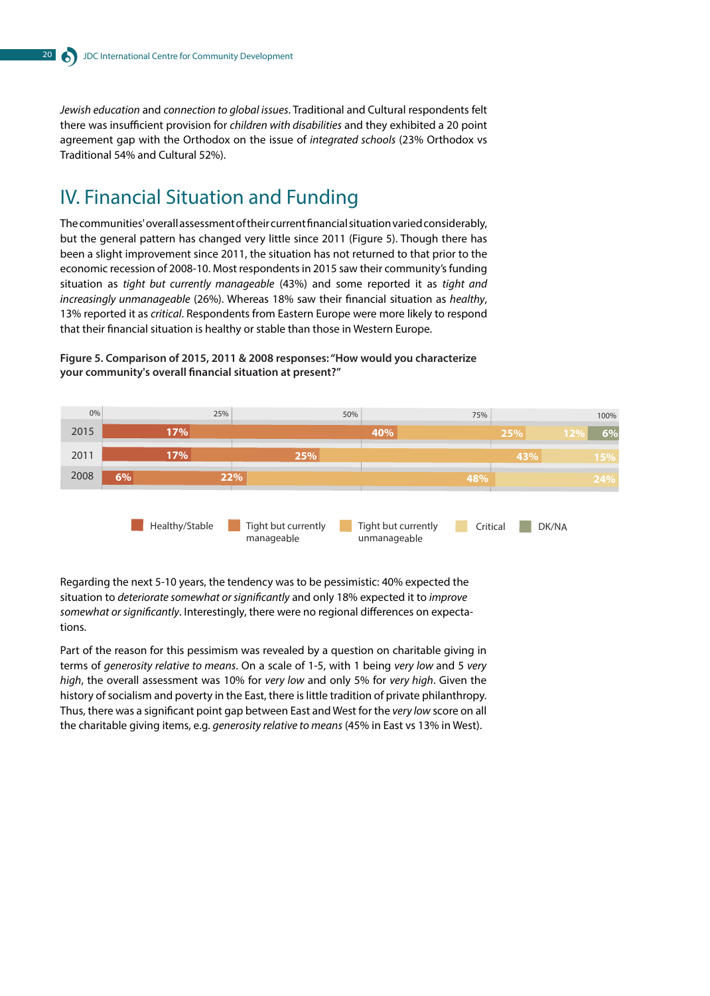*Jewish education* and *connection to global issues*. Traditional and Cultural respondents felt there was insufficient provision for *children with disabilities* and they exhibited a 20 point agreement gap with the Orthodox on the issue of *integrated schools* (23% Orthodox vs Traditional 54% and Cultural 52%).

# IV. Financial Situation and Funding

The communities' overall assessment of their current financial situation varied considerably, but the general pattern has changed very little since 2011 (Figure 5). Though there has been a slight improvement since 2011, the situation has not returned to that prior to the economic recession of 2008-10. Most respondents in 2015 saw their community's funding situation as *tight but currently manageable* (43%) and some reported it as *tight and increasingly unmanageable* (26%). Whereas 18% saw their financial situation as *healthy*, 13% reported it as *critical*. Respondents from Eastern Europe were more likely to respond that their financial situation is healthy or stable than those in Western Europe.



**Figure 5. Comparison of 2015, 2011 & 2008 responses: "How would you characterize your community's overall financial situation at present?"**

Regarding the next 5-10 years, the tendency was to be pessimistic: 40% expected the situation to *deteriorate somewhat or significantly* and only 18% expected it to *improve somewhat or significantly*. Interestingly, there were no regional differences on expectations.

Part of the reason for this pessimism was revealed by a question on charitable giving in terms of *generosity relative to means*. On a scale of 1-5, with 1 being *very low* and 5 *very high*, the overall assessment was 10% for *very low* and only 5% for *very high*. Given the history of socialism and poverty in the East, there is little tradition of private philanthropy. Thus, there was a significant point gap between East and West for the *very low* score on all the charitable giving items, e.g. *generosity relative to means* (45% in East vs 13% in West).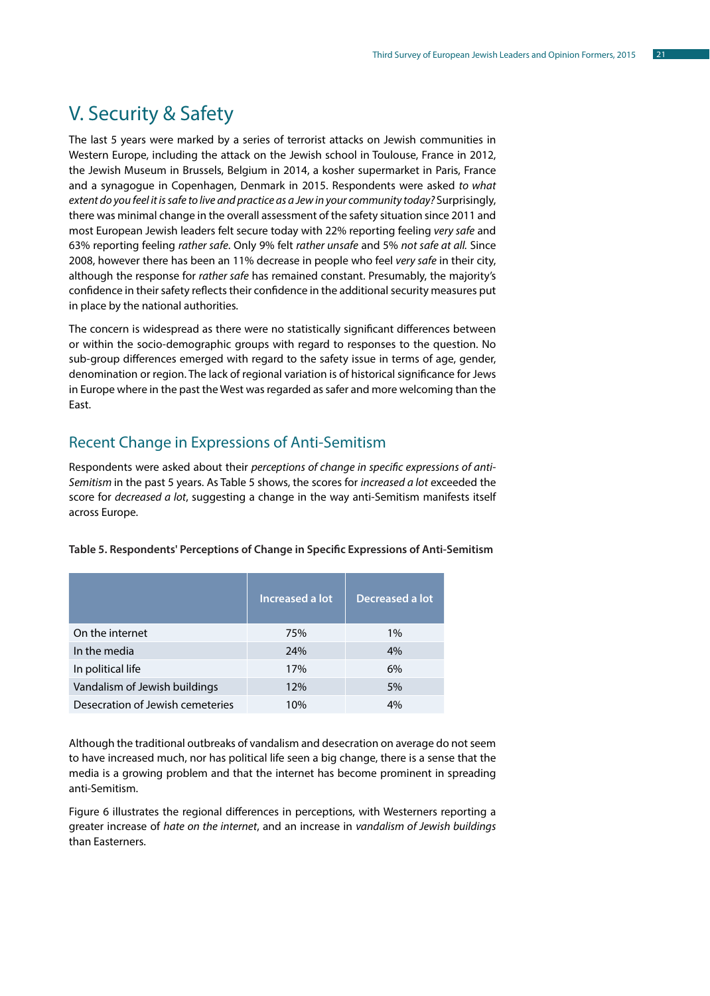# V. Security & Safety

The last 5 years were marked by a series of terrorist attacks on Jewish communities in Western Europe, including the attack on the Jewish school in Toulouse, France in 2012, the Jewish Museum in Brussels, Belgium in 2014, a kosher supermarket in Paris, France and a synagogue in Copenhagen, Denmark in 2015. Respondents were asked *to what extent do you feel it is safe to live and practice as a Jew in your community today?* Surprisingly, there was minimal change in the overall assessment of the safety situation since 2011 and most European Jewish leaders felt secure today with 22% reporting feeling *very safe* and 63% reporting feeling *rather safe*. Only 9% felt *rather unsafe* and 5% *not safe at all.* Since 2008, however there has been an 11% decrease in people who feel *very safe* in their city, although the response for *rather safe* has remained constant. Presumably, the majority's confidence in their safety reflects their confidence in the additional security measures put in place by the national authorities.

The concern is widespread as there were no statistically significant differences between or within the socio-demographic groups with regard to responses to the question. No sub-group differences emerged with regard to the safety issue in terms of age, gender, denomination or region. The lack of regional variation is of historical significance for Jews in Europe where in the past the West was regarded as safer and more welcoming than the East.

### Recent Change in Expressions of Anti-Semitism

Respondents were asked about their *perceptions of change in specific expressions of anti-Semitism* in the past 5 years. As Table 5 shows, the scores for *increased a lot* exceeded the score for *decreased a lot*, suggesting a change in the way anti-Semitism manifests itself across Europe.

|                                  | Increased a lot | Decreased a lot |
|----------------------------------|-----------------|-----------------|
| On the internet                  | 75%             | 1%              |
| In the media                     | 24%             | 4%              |
| In political life                | 17%             | 6%              |
| Vandalism of Jewish buildings    | 12%             | 5%              |
| Desecration of Jewish cemeteries | 10%             | 4%              |

**Table 5. Respondents' Perceptions of Change in Specific Expressions of Anti-Semitism**

Although the traditional outbreaks of vandalism and desecration on average do not seem to have increased much, nor has political life seen a big change, there is a sense that the media is a growing problem and that the internet has become prominent in spreading anti-Semitism.

Figure 6 illustrates the regional differences in perceptions, with Westerners reporting a greater increase of *hate on the internet*, and an increase in *vandalism of Jewish buildings* than Easterners.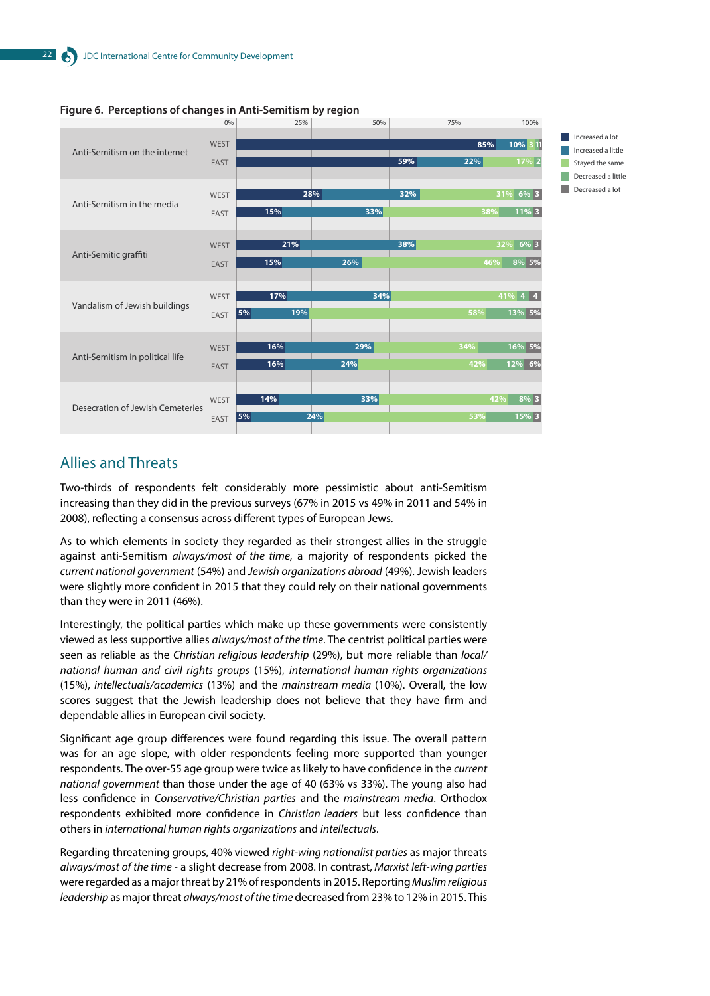

#### **Figure 6. Perceptions of changes in Anti-Semitism by region**

### Allies and Threats

Two-thirds of respondents felt considerably more pessimistic about anti-Semitism increasing than they did in the previous surveys (67% in 2015 vs 49% in 2011 and 54% in 2008), reflecting a consensus across different types of European Jews.

As to which elements in society they regarded as their strongest allies in the struggle against anti-Semitism *always/most of the time*, a majority of respondents picked the *current national government* (54%) and *Jewish organizations abroad* (49%). Jewish leaders were slightly more confident in 2015 that they could rely on their national governments than they were in 2011 (46%).

Interestingly, the political parties which make up these governments were consistently viewed as less supportive allies *always/most of the time*. The centrist political parties were seen as reliable as the *Christian religious leadership* (29%), but more reliable than *local/ national human and civil rights groups* (15%), *international human rights organizations* (15%), *intellectuals/academics* (13%) and the *mainstream media* (10%). Overall, the low scores suggest that the Jewish leadership does not believe that they have firm and dependable allies in European civil society.

Significant age group differences were found regarding this issue. The overall pattern was for an age slope, with older respondents feeling more supported than younger respondents. The over-55 age group were twice as likely to have confidence in the *current national government* than those under the age of 40 (63% vs 33%). The young also had less confidence in *Conservative/Christian parties* and the *mainstream media*. Orthodox respondents exhibited more confidence in *Christian leaders* but less confidence than others in *international human rights organizations* and *intellectuals*.

Regarding threatening groups, 40% viewed *right-wing nationalist parties* as major threats *always/most of the time* - a slight decrease from 2008. In contrast, *Marxist left-wing parties* were regarded as a major threat by 21% of respondents in 2015. Reporting *Muslim religious leadership* as major threat *always/most of the time* decreased from 23% to 12% in 2015. This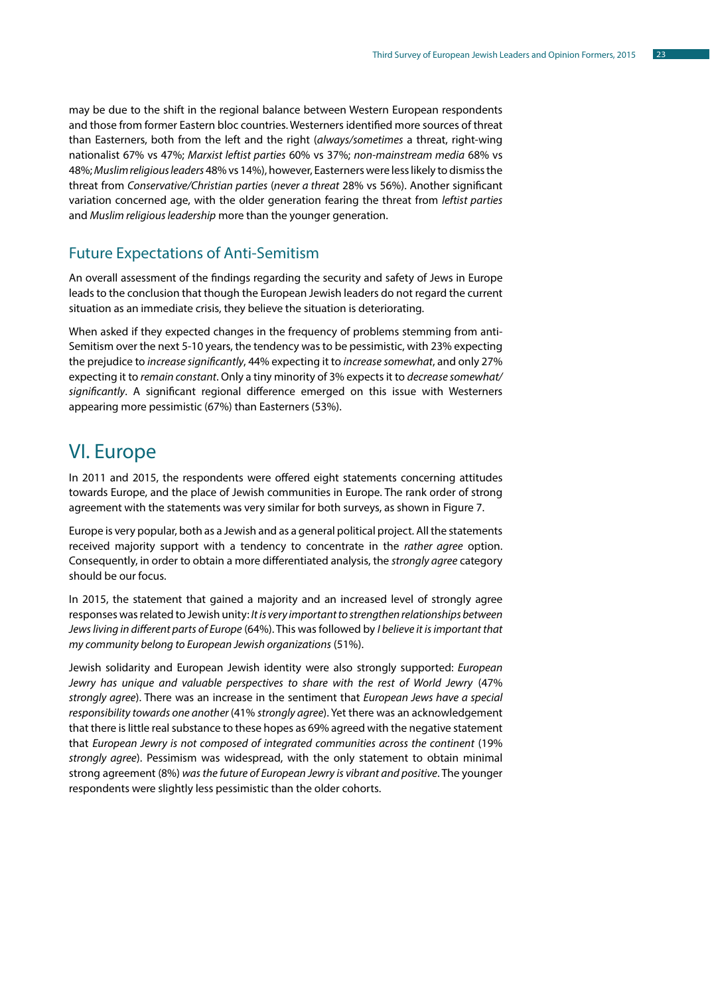may be due to the shift in the regional balance between Western European respondents and those from former Eastern bloc countries. Westerners identified more sources of threat than Easterners, both from the left and the right (*always/sometimes* a threat, right-wing nationalist 67% vs 47%; *Marxist leftist parties* 60% vs 37%; *non-mainstream media* 68% vs 48%; *Muslim religious leaders* 48% vs 14%), however, Easterners were less likely to dismiss the threat from *Conservative/Christian parties* (*never a threat* 28% vs 56%). Another significant variation concerned age, with the older generation fearing the threat from *leftist parties* and *Muslim religious leadership* more than the younger generation.

### Future Expectations of Anti-Semitism

An overall assessment of the findings regarding the security and safety of Jews in Europe leads to the conclusion that though the European Jewish leaders do not regard the current situation as an immediate crisis, they believe the situation is deteriorating.

When asked if they expected changes in the frequency of problems stemming from anti-Semitism over the next 5-10 years, the tendency was to be pessimistic, with 23% expecting the prejudice to *increase significantly*, 44% expecting it to *increase somewhat*, and only 27% expecting it to *remain constant*. Only a tiny minority of 3% expects it to *decrease somewhat/ significantly*. A significant regional difference emerged on this issue with Westerners appearing more pessimistic (67%) than Easterners (53%).

# VI. Europe

In 2011 and 2015, the respondents were offered eight statements concerning attitudes towards Europe, and the place of Jewish communities in Europe. The rank order of strong agreement with the statements was very similar for both surveys, as shown in Figure 7.

Europe is very popular, both as a Jewish and as a general political project. All the statements received majority support with a tendency to concentrate in the *rather agree* option. Consequently, in order to obtain a more differentiated analysis, the *strongly agree* category should be our focus.

In 2015, the statement that gained a majority and an increased level of strongly agree responses was related to Jewish unity: *It is very important to strengthen relationships between Jews living in different parts of Europe* (64%). This was followed by *I believe it is important that my community belong to European Jewish organizations* (51%).

Jewish solidarity and European Jewish identity were also strongly supported: *European Jewry has unique and valuable perspectives to share with the rest of World Jewry* (47% *strongly agree*). There was an increase in the sentiment that *European Jews have a special responsibility towards one another* (41% *strongly agree*). Yet there was an acknowledgement that there is little real substance to these hopes as 69% agreed with the negative statement that *European Jewry is not composed of integrated communities across the continent* (19% *strongly agree*). Pessimism was widespread, with the only statement to obtain minimal strong agreement (8%) *was the future of European Jewry is vibrant and positive*. The younger respondents were slightly less pessimistic than the older cohorts.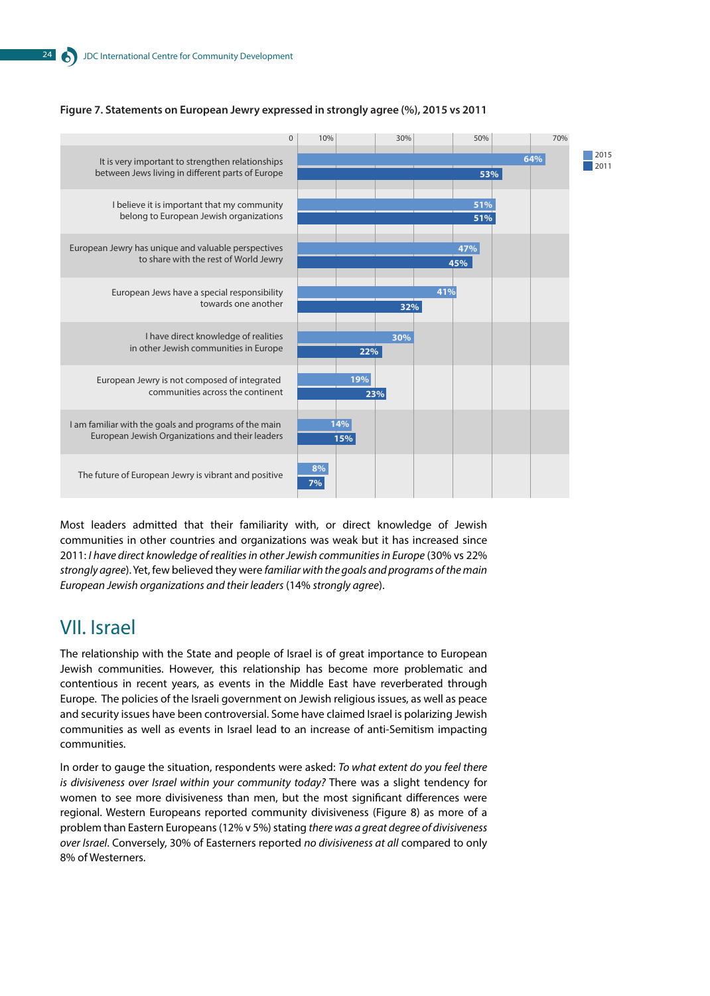

#### **Figure 7. Statements on European Jewry expressed in strongly agree (%), 2015 vs 2011**

Most leaders admitted that their familiarity with, or direct knowledge of Jewish communities in other countries and organizations was weak but it has increased since 2011: *I have direct knowledge of realities in other Jewish communities in Europe* (30% vs 22% *strongly agree*). Yet, few believed they were *familiar with the goals and programs of the main European Jewish organizations and their leaders* (14% *strongly agree*).

# VII. Israel

The relationship with the State and people of Israel is of great importance to European Jewish communities. However, this relationship has become more problematic and contentious in recent years, as events in the Middle East have reverberated through Europe. The policies of the Israeli government on Jewish religious issues, as well as peace and security issues have been controversial. Some have claimed Israel is polarizing Jewish communities as well as events in Israel lead to an increase of anti-Semitism impacting communities.

In order to gauge the situation, respondents were asked: *To what extent do you feel there is divisiveness over Israel within your community today?* There was a slight tendency for women to see more divisiveness than men, but the most significant differences were regional. Western Europeans reported community divisiveness (Figure 8) as more of a problem than Eastern Europeans (12% v 5%) stating *there was a great degree of divisiveness over Israel*. Conversely, 30% of Easterners reported *no divisiveness at all* compared to only 8% of Westerners.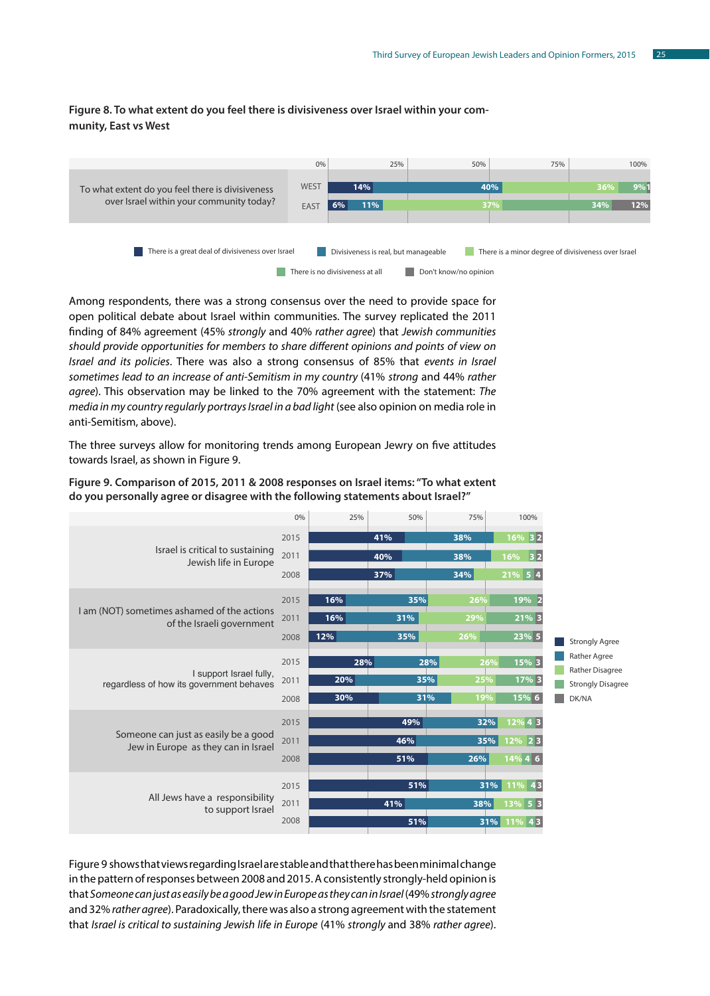#### **Figure 8. To what extent do you feel there is divisiveness over Israel within your community, East vs West**



Among respondents, there was a strong consensus over the need to provide space for open political debate about Israel within communities. The survey replicated the 2011 finding of 84% agreement (45% *strongly* and 40% *rather agree*) that *Jewish communities should provide opportunities for members to share different opinions and points of view on Israel and its policies*. There was also a strong consensus of 85% that *events in Israel sometimes lead to an increase of anti-Semitism in my country* (41% *strong* and 44% *rather agree*). This observation may be linked to the 70% agreement with the statement: *The media in my country regularly portrays Israel in a bad light* (see also opinion on media role in anti-Semitism, above).

The three surveys allow for monitoring trends among European Jewry on five attitudes towards Israel, as shown in Figure 9.



**Figure 9. Comparison of 2015, 2011 & 2008 responses on Israel items: "To what extent do you personally agree or disagree with the following statements about Israel?"**

Figure 9 shows that views regarding Israel are stable and that there has been minimal change in the pattern of responses between 2008 and 2015. A consistently strongly-held opinion is that *Someone can just as easily be a good Jew in Europe as they can in Israel* (49% *strongly agree* and 32% *rather agree*). Paradoxically, there was also a strong agreement with the statement that *Israel is critical to sustaining Jewish life in Europe* (41% *strongly* and 38% *rather agree*).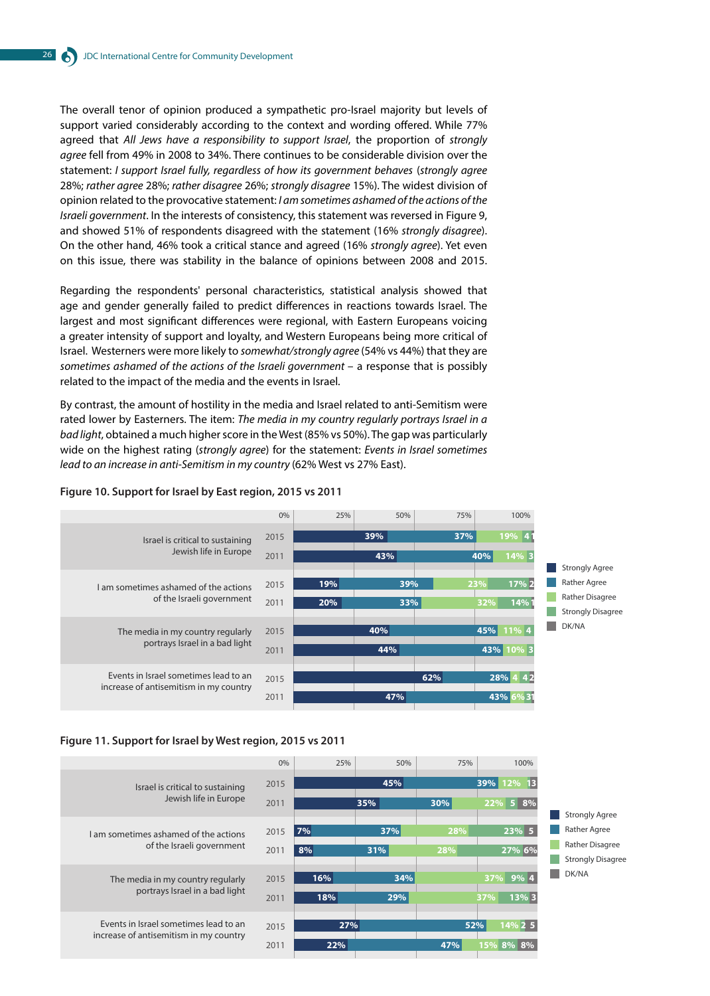The overall tenor of opinion produced a sympathetic pro-Israel majority but levels of support varied considerably according to the context and wording offered. While 77% agreed that *All Jews have a responsibility to support Israel*, the proportion of *strongly agree* fell from 49% in 2008 to 34%. There continues to be considerable division over the statement: *I support Israel fully, regardless of how its government behaves* (*strongly agree* 28%; *rather agree* 28%; *rather disagree* 26%; *strongly disagree* 15%). The widest division of opinion related to the provocative statement: *I am sometimes ashamed of the actions of the Israeli government*. In the interests of consistency, this statement was reversed in Figure 9, and showed 51% of respondents disagreed with the statement (16% *strongly disagree*). On the other hand, 46% took a critical stance and agreed (16% *strongly agree*). Yet even on this issue, there was stability in the balance of opinions between 2008 and 2015.

Regarding the respondents' personal characteristics, statistical analysis showed that age and gender generally failed to predict differences in reactions towards Israel. The largest and most significant differences were regional, with Eastern Europeans voicing a greater intensity of support and loyalty, and Western Europeans being more critical of Israel. Westerners were more likely to *somewhat/strongly agree* (54% vs 44%) that they are *sometimes ashamed of the actions of the Israeli government* – a response that is possibly related to the impact of the media and the events in Israel.

By contrast, the amount of hostility in the media and Israel related to anti-Semitism were rated lower by Easterners. The item: *The media in my country regularly portrays Israel in a bad light*, obtained a much higher score in the West (85% vs 50%). The gap was particularly wide on the highest rating (*strongly agree*) for the statement: *Events in Israel sometimes lead to an increase in anti-Semitism in my country* (62% West vs 27% East).

#### **Figure 10. Support for Israel by East region, 2015 vs 2011**





|                                        | 0%   | 25%     | 50% | 75% | 100%             |
|----------------------------------------|------|---------|-----|-----|------------------|
| Israel is critical to sustaining       | 2015 |         | 45% |     | 13<br>39%<br>12% |
| Jewish life in Europe                  | 2011 |         | 35% | 30% | 22% 5 8%         |
|                                        |      |         |     |     |                  |
| I am sometimes ashamed of the actions  | 2015 | $ 7\% $ | 37% | 28% | 23% 5            |
| of the Israeli government              | 2011 | 8%      | 31% | 28% | 27% 6%           |
|                                        |      |         |     |     |                  |
| The media in my country regularly      | 2015 | 16%     | 34% |     | 9% 4<br>37%      |
| portrays Israel in a bad light         | 2011 | 18%     | 29% |     | 13% 3<br>37%     |
| Events in Israel sometimes lead to an  |      |         |     |     |                  |
| increase of antisemitism in my country | 2015 | 27%     |     | 52% | 14% 2 5          |
|                                        | 2011 | 22%     |     | 47% | 15%<br>8% 8%     |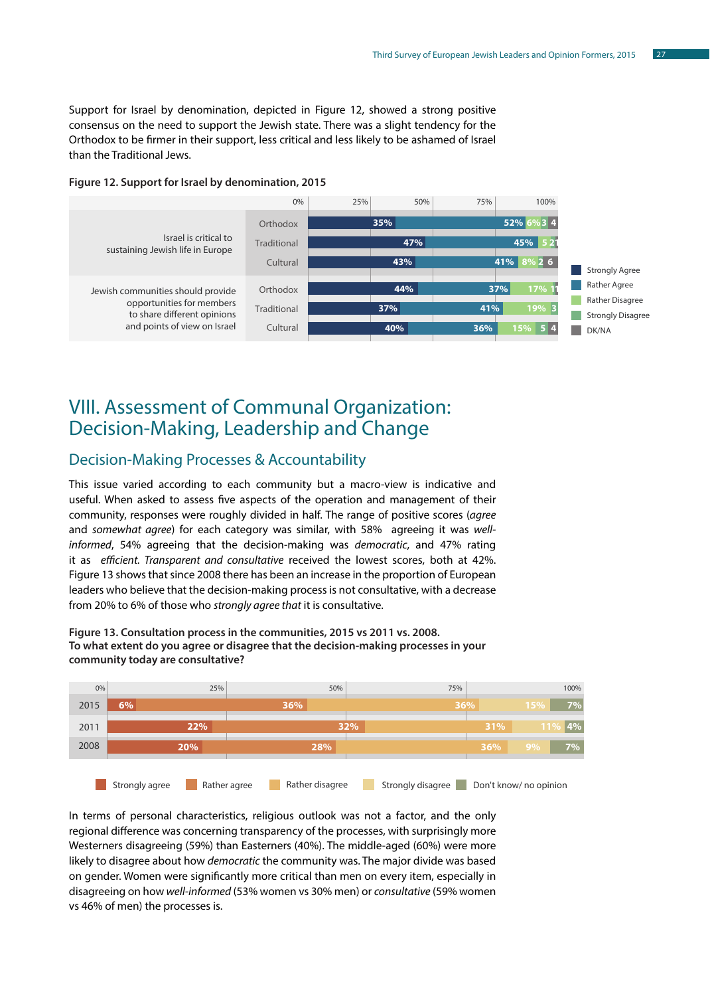Support for Israel by denomination, depicted in Figure 12, showed a strong positive consensus on the need to support the Jewish state. There was a slight tendency for the Orthodox to be firmer in their support, less critical and less likely to be ashamed of Israel than the Traditional Jews.





# VIII. Assessment of Communal Organization: Decision-Making, Leadership and Change

### Decision-Making Processes & Accountability

This issue varied according to each community but a macro-view is indicative and useful. When asked to assess five aspects of the operation and management of their community, responses were roughly divided in half. The range of positive scores (*agree* and *somewhat agree*) for each category was similar, with 58% agreeing it was *wellinformed*, 54% agreeing that the decision-making was *democratic*, and 47% rating it as *efficient. Transparent and consultative* received the lowest scores, both at 42%. Figure 13 shows that since 2008 there has been an increase in the proportion of European leaders who believe that the decision-making process is not consultative, with a decrease from 20% to 6% of those who *strongly agree that* it is consultative.

**Figure 13. Consultation process in the communities, 2015 vs 2011 vs. 2008. To what extent do you agree or disagree that the decision-making processes in your community today are consultative?**



In terms of personal characteristics, religious outlook was not a factor, and the only regional difference was concerning transparency of the processes, with surprisingly more Westerners disagreeing (59%) than Easterners (40%). The middle-aged (60%) were more likely to disagree about how *democratic* the community was. The major divide was based on gender. Women were significantly more critical than men on every item, especially in disagreeing on how *well-informed* (53% women vs 30% men) or *consultative* (59% women vs 46% of men) the processes is.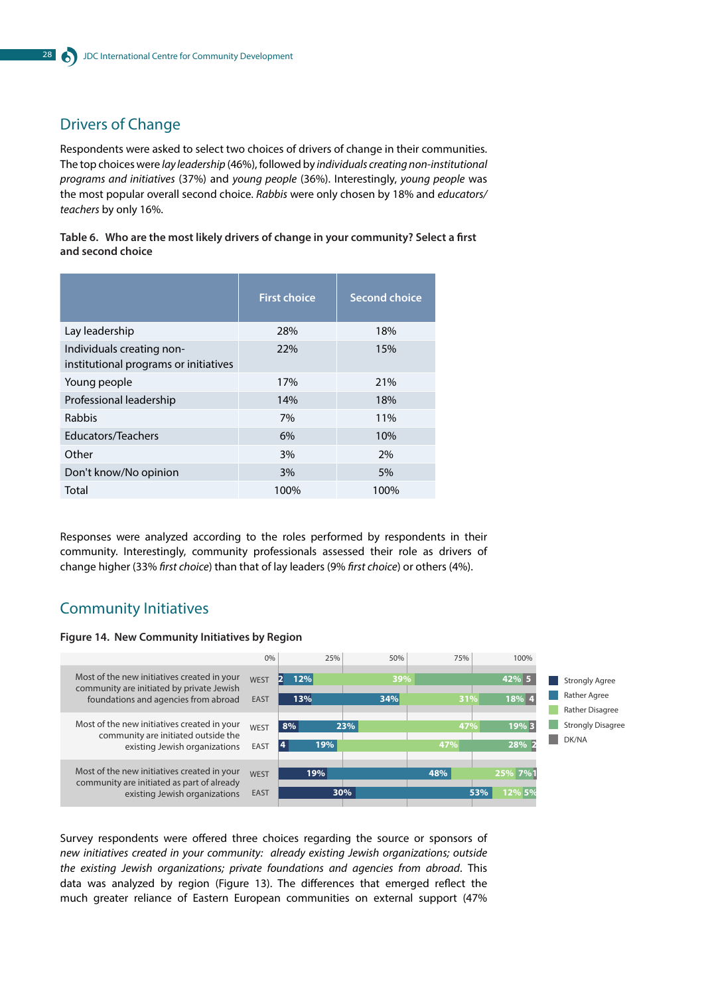# Drivers of Change

Respondents were asked to select two choices of drivers of change in their communities. The top choices were *lay leadership* (46%), followed by *individuals creating non-institutional programs and initiatives* (37%) and *young people* (36%). Interestingly, *young people* was the most popular overall second choice. *Rabbis* were only chosen by 18% and *educators/ teachers* by only 16%.

**Table 6. Who are the most likely drivers of change in your community? Select a first and second choice**

|                                                                    | <b>First choice</b> | <b>Second choice</b> |
|--------------------------------------------------------------------|---------------------|----------------------|
| Lay leadership                                                     | 28%                 | 18%                  |
| Individuals creating non-<br>institutional programs or initiatives | 22%                 | 15%                  |
| Young people                                                       | 17%                 | 21%                  |
| Professional leadership                                            | 14%                 | 18%                  |
| <b>Rabbis</b>                                                      | 7%                  | 11%                  |
| Educators/Teachers                                                 | 6%                  | 10%                  |
| Other                                                              | 3%                  | 2%                   |
| Don't know/No opinion                                              | 3%                  | 5%                   |
| Total                                                              | 100%                | 100%                 |

Responses were analyzed according to the roles performed by respondents in their community. Interestingly, community professionals assessed their role as drivers of change higher (33% *first choice*) than that of lay leaders (9% *first choice*) or others (4%).

### Community Initiatives

#### **Figure 14. New Community Initiatives by Region**



Survey respondents were offered three choices regarding the source or sponsors of *new initiatives created in your community: already existing Jewish organizations; outside the existing Jewish organizations; private foundations and agencies from abroad*. This data was analyzed by region (Figure 13). The differences that emerged reflect the much greater reliance of Eastern European communities on external support (47%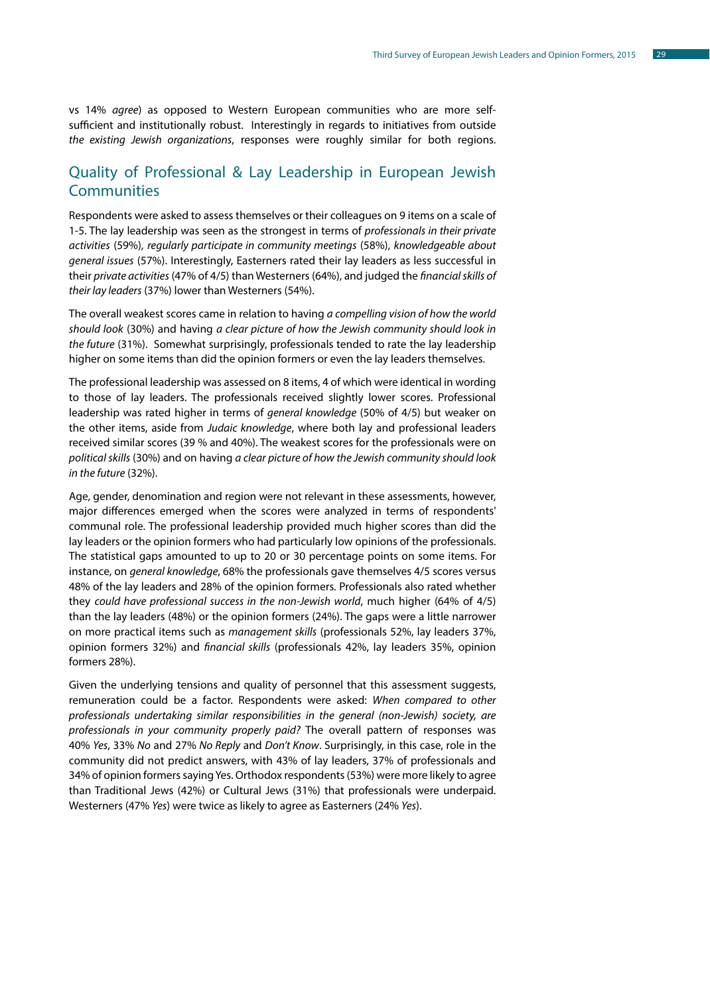vs 14% *agree*) as opposed to Western European communities who are more selfsufficient and institutionally robust. Interestingly in regards to initiatives from outside *the existing Jewish organizations*, responses were roughly similar for both regions.

# Quality of Professional & Lay Leadership in European Jewish **Communities**

Respondents were asked to assess themselves or their colleagues on 9 items on a scale of 1-5. The lay leadership was seen as the strongest in terms of *professionals in their private activities* (59%), *regularly participate in community meetings* (58%), *knowledgeable about general issues* (57%). Interestingly, Easterners rated their lay leaders as less successful in their *private activities* (47% of 4/5) than Westerners (64%), and judged the *financial skills of their lay leaders* (37%) lower than Westerners (54%).

The overall weakest scores came in relation to having *a compelling vision of how the world should look* (30%) and having *a clear picture of how the Jewish community should look in the future* (31%). Somewhat surprisingly, professionals tended to rate the lay leadership higher on some items than did the opinion formers or even the lay leaders themselves.

The professional leadership was assessed on 8 items, 4 of which were identical in wording to those of lay leaders. The professionals received slightly lower scores. Professional leadership was rated higher in terms of *general knowledge* (50% of 4/5) but weaker on the other items, aside from *Judaic knowledge*, where both lay and professional leaders received similar scores (39 % and 40%). The weakest scores for the professionals were on *political skills* (30%) and on having *a clear picture of how the Jewish community should look in the future* (32%).

Age, gender, denomination and region were not relevant in these assessments, however, major differences emerged when the scores were analyzed in terms of respondents' communal role. The professional leadership provided much higher scores than did the lay leaders or the opinion formers who had particularly low opinions of the professionals. The statistical gaps amounted to up to 20 or 30 percentage points on some items. For instance, on *general knowledge*, 68% the professionals gave themselves 4/5 scores versus 48% of the lay leaders and 28% of the opinion formers. Professionals also rated whether they *could have professional success in the non-Jewish world*, much higher (64% of 4/5) than the lay leaders (48%) or the opinion formers (24%). The gaps were a little narrower on more practical items such as *management skills* (professionals 52%, lay leaders 37%, opinion formers 32%) and *financial skills* (professionals 42%, lay leaders 35%, opinion formers 28%).

Given the underlying tensions and quality of personnel that this assessment suggests, remuneration could be a factor. Respondents were asked: *When compared to other professionals undertaking similar responsibilities in the general (non-Jewish) society, are professionals in your community properly paid?* The overall pattern of responses was 40% *Yes*, 33% *No* and 27% *No Reply* and *Don't Know*. Surprisingly, in this case, role in the community did not predict answers, with 43% of lay leaders, 37% of professionals and 34% of opinion formers saying Yes. Orthodox respondents (53%) were more likely to agree than Traditional Jews (42%) or Cultural Jews (31%) that professionals were underpaid. Westerners (47% *Yes*) were twice as likely to agree as Easterners (24% *Yes*).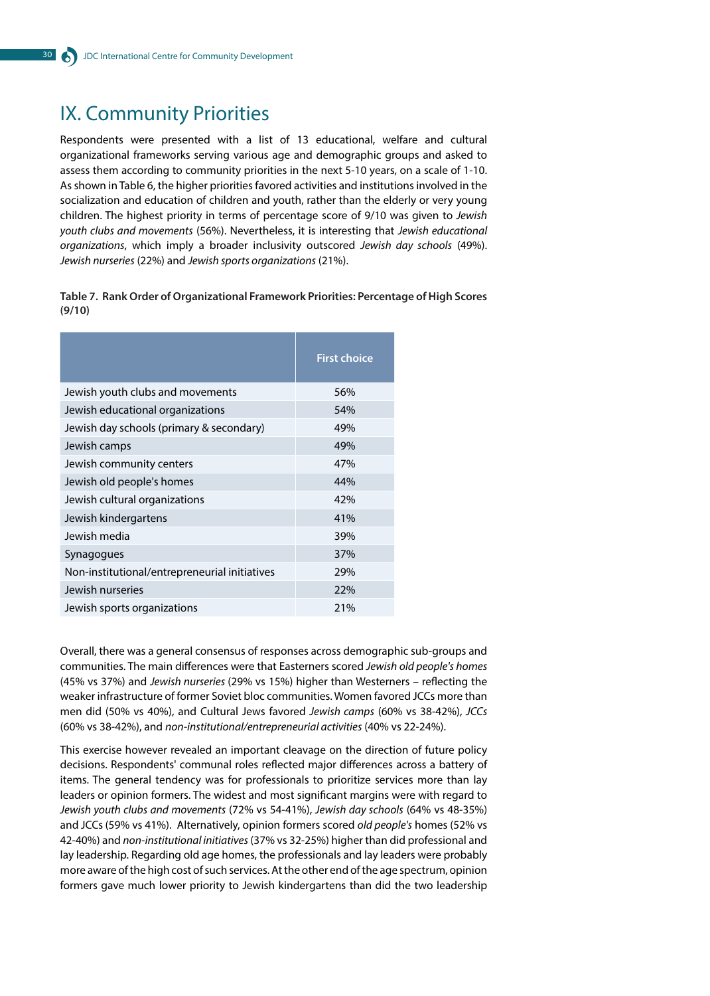# IX. Community Priorities

Respondents were presented with a list of 13 educational, welfare and cultural organizational frameworks serving various age and demographic groups and asked to assess them according to community priorities in the next 5-10 years, on a scale of 1-10. As shown in Table 6, the higher priorities favored activities and institutions involved in the socialization and education of children and youth, rather than the elderly or very young children. The highest priority in terms of percentage score of 9/10 was given to *Jewish youth clubs and movements* (56%). Nevertheless, it is interesting that *Jewish educational organizations*, which imply a broader inclusivity outscored *Jewish day schools* (49%). *Jewish nurseries* (22%) and *Jewish sports organizations* (21%).

**Table 7. Rank Order of Organizational Framework Priorities: Percentage of High Scores (9/10)**

|                                               | <b>First choice</b> |
|-----------------------------------------------|---------------------|
| Jewish youth clubs and movements              | 56%                 |
| Jewish educational organizations              | 54%                 |
| Jewish day schools (primary & secondary)      | 49%                 |
| Jewish camps                                  | 49%                 |
| Jewish community centers                      | 47%                 |
| Jewish old people's homes                     | 44%                 |
| Jewish cultural organizations                 | 42%                 |
| Jewish kindergartens                          | 41%                 |
| Jewish media                                  | 39%                 |
| Synagogues                                    | 37%                 |
| Non-institutional/entrepreneurial initiatives | 29%                 |
| Jewish nurseries                              | 22%                 |
| Jewish sports organizations                   | 21%                 |

Overall, there was a general consensus of responses across demographic sub-groups and communities. The main differences were that Easterners scored *Jewish old people's homes* (45% vs 37%) and *Jewish nurseries* (29% vs 15%) higher than Westerners – reflecting the weaker infrastructure of former Soviet bloc communities. Women favored JCCs more than men did (50% vs 40%), and Cultural Jews favored *Jewish camps* (60% vs 38-42%), *JCCs* (60% vs 38-42%), and *non-institutional/entrepreneurial activities* (40% vs 22-24%).

This exercise however revealed an important cleavage on the direction of future policy decisions. Respondents' communal roles reflected major differences across a battery of items. The general tendency was for professionals to prioritize services more than lay leaders or opinion formers. The widest and most significant margins were with regard to *Jewish youth clubs and movements* (72% vs 54-41%), *Jewish day schools* (64% vs 48-35%) and JCCs(59% vs 41%). Alternatively, opinion formers scored *old people's* homes (52% vs 42-40%) and *non-institutional initiatives* (37% vs 32-25%) higher than did professional and lay leadership. Regarding old age homes, the professionals and lay leaders were probably more aware of the high cost of such services. At the other end of the age spectrum, opinion formers gave much lower priority to Jewish kindergartens than did the two leadership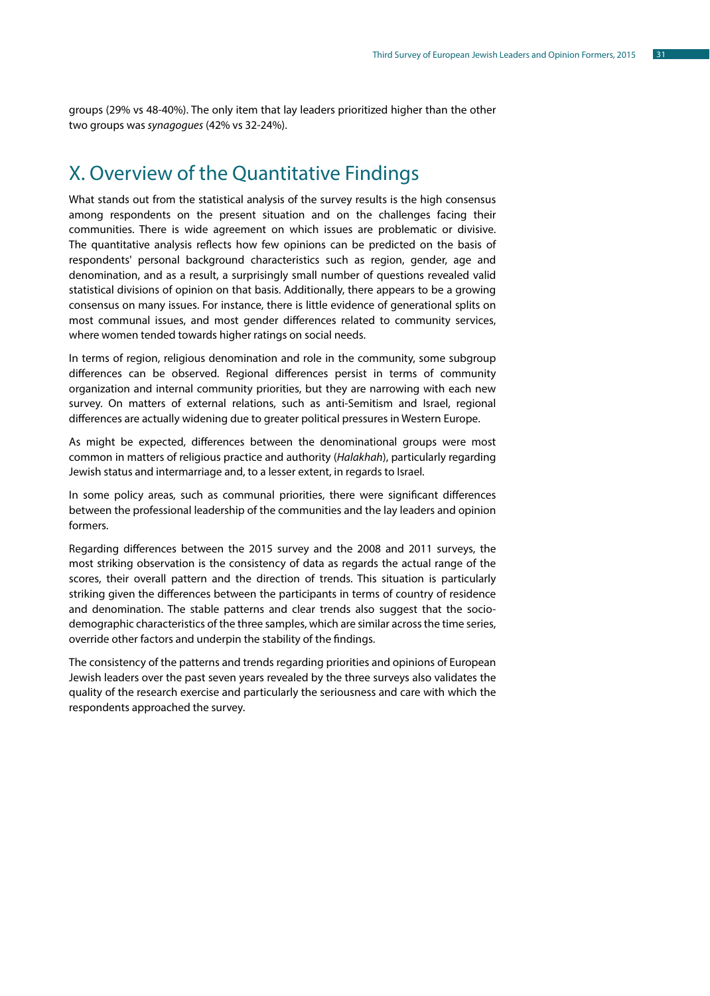groups (29% vs 48-40%). The only item that lay leaders prioritized higher than the other two groups was *synagogues* (42% vs 32-24%).

# X. Overview of the Quantitative Findings

What stands out from the statistical analysis of the survey results is the high consensus among respondents on the present situation and on the challenges facing their communities. There is wide agreement on which issues are problematic or divisive. The quantitative analysis reflects how few opinions can be predicted on the basis of respondents' personal background characteristics such as region, gender, age and denomination, and as a result, a surprisingly small number of questions revealed valid statistical divisions of opinion on that basis. Additionally, there appears to be a growing consensus on many issues. For instance, there is little evidence of generational splits on most communal issues, and most gender differences related to community services, where women tended towards higher ratings on social needs.

In terms of region, religious denomination and role in the community, some subgroup differences can be observed. Regional differences persist in terms of community organization and internal community priorities, but they are narrowing with each new survey. On matters of external relations, such as anti-Semitism and Israel, regional differences are actually widening due to greater political pressures in Western Europe.

As might be expected, differences between the denominational groups were most common in matters of religious practice and authority (*Halakhah*), particularly regarding Jewish status and intermarriage and, to a lesser extent, in regards to Israel.

In some policy areas, such as communal priorities, there were significant differences between the professional leadership of the communities and the lay leaders and opinion formers.

Regarding differences between the 2015 survey and the 2008 and 2011 surveys, the most striking observation is the consistency of data as regards the actual range of the scores, their overall pattern and the direction of trends. This situation is particularly striking given the differences between the participants in terms of country of residence and denomination. The stable patterns and clear trends also suggest that the sociodemographic characteristics of the three samples, which are similar across the time series, override other factors and underpin the stability of the findings.

The consistency of the patterns and trends regarding priorities and opinions of European Jewish leaders over the past seven years revealed by the three surveys also validates the quality of the research exercise and particularly the seriousness and care with which the respondents approached the survey.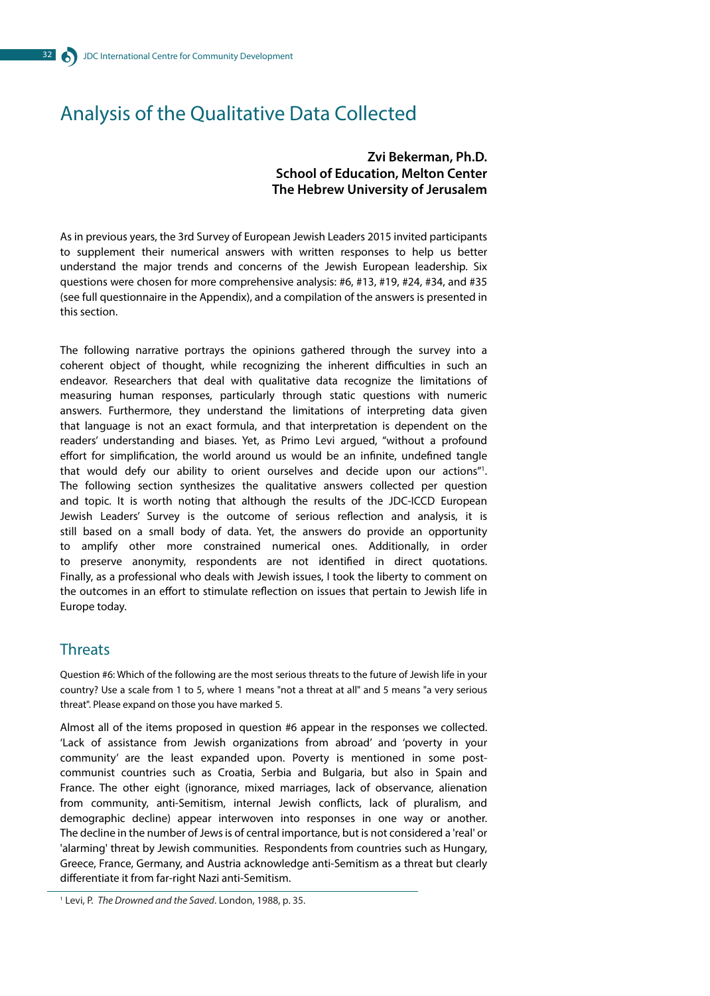# Analysis of the Qualitative Data Collected

#### **Zvi Bekerman, Ph.D. School of Education, Melton Center The Hebrew University of Jerusalem**

As in previous years, the 3rd Survey of European Jewish Leaders 2015 invited participants to supplement their numerical answers with written responses to help us better understand the major trends and concerns of the Jewish European leadership. Six questions were chosen for more comprehensive analysis: #6, #13, #19, #24, #34, and #35 (see full questionnaire in the Appendix), and a compilation of the answers is presented in this section.

The following narrative portrays the opinions gathered through the survey into a coherent object of thought, while recognizing the inherent difficulties in such an endeavor. Researchers that deal with qualitative data recognize the limitations of measuring human responses, particularly through static questions with numeric answers. Furthermore, they understand the limitations of interpreting data given that language is not an exact formula, and that interpretation is dependent on the readers' understanding and biases. Yet, as Primo Levi argued, "without a profound effort for simplification, the world around us would be an infinite, undefined tangle that would defy our ability to orient ourselves and decide upon our actions"1 . The following section synthesizes the qualitative answers collected per question and topic. It is worth noting that although the results of the JDC-ICCD European Jewish Leaders' Survey is the outcome of serious reflection and analysis, it is still based on a small body of data. Yet, the answers do provide an opportunity to amplify other more constrained numerical ones. Additionally, in order to preserve anonymity, respondents are not identified in direct quotations. Finally, as a professional who deals with Jewish issues, I took the liberty to comment on the outcomes in an effort to stimulate reflection on issues that pertain to Jewish life in Europe today.

### **Threats**

Question #6: Which of the following are the most serious threats to the future of Jewish life in your country? Use a scale from 1 to 5, where 1 means "not a threat at all" and 5 means "a very serious threat". Please expand on those you have marked 5.

Almost all of the items proposed in question #6 appear in the responses we collected. 'Lack of assistance from Jewish organizations from abroad' and 'poverty in your community' are the least expanded upon. Poverty is mentioned in some postcommunist countries such as Croatia, Serbia and Bulgaria, but also in Spain and France. The other eight (ignorance, mixed marriages, lack of observance, alienation from community, anti-Semitism, internal Jewish conflicts, lack of pluralism, and demographic decline) appear interwoven into responses in one way or another. The decline in the number of Jews is of central importance, but is not considered a 'real' or 'alarming' threat by Jewish communities. Respondents from countries such as Hungary, Greece, France, Germany, and Austria acknowledge anti-Semitism as a threat but clearly differentiate it from far-right Nazi anti-Semitism.

1 Levi, P. *The Drowned and the Saved*. London, 1988, p. 35.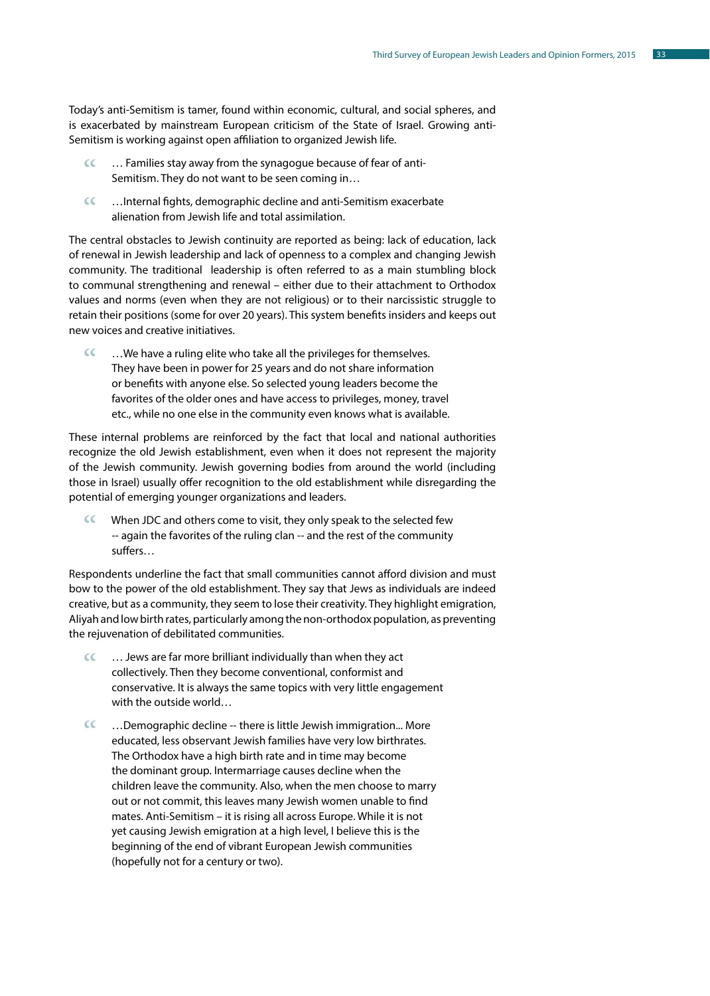Today's anti-Semitism is tamer, found within economic, cultural, and social spheres, and is exacerbated by mainstream European criticism of the State of Israel. Growing anti-Semitism is working against open affiliation to organized Jewish life.

- … Families stay away from the synagogue because of fear of anti-Semitism. They do not want to be seen coming in…  $\epsilon$
- …Internal fights, demographic decline and anti-Semitism exacerbate alienation from Jewish life and total assimilation.  $\epsilon$

The central obstacles to Jewish continuity are reported as being: lack of education, lack of renewal in Jewish leadership and lack of openness to a complex and changing Jewish community. The traditional leadership is often referred to as a main stumbling block to communal strengthening and renewal – either due to their attachment to Orthodox values and norms (even when they are not religious) or to their narcissistic struggle to retain their positions (some for over 20 years). This system benefits insiders and keeps out new voices and creative initiatives.

…We have a ruling elite who take all the privileges for themselves. They have been in power for 25 years and do not share information or benefits with anyone else. So selected young leaders become the favorites of the older ones and have access to privileges, money, travel etc., while no one else in the community even knows what is available.  $\epsilon$ 

These internal problems are reinforced by the fact that local and national authorities recognize the old Jewish establishment, even when it does not represent the majority of the Jewish community. Jewish governing bodies from around the world (including those in Israel) usually offer recognition to the old establishment while disregarding the potential of emerging younger organizations and leaders.

When JDC and others come to visit, they only speak to the selected few -- again the favorites of the ruling clan -- and the rest of the community suffers…  $\epsilon$ 

Respondents underline the fact that small communities cannot afford division and must bow to the power of the old establishment. They say that Jews as individuals are indeed creative, but as a community, they seem to lose their creativity. They highlight emigration, Aliyah and low birth rates, particularly among the non-orthodox population, as preventing the rejuvenation of debilitated communities.

- … Jews are far more brilliant individually than when they act collectively. Then they become conventional, conformist and conservative. It is always the same topics with very little engagement with the outside world…  $\epsilon$
- …Demographic decline -- there is little Jewish immigration... More educated, less observant Jewish families have very low birthrates. The Orthodox have a high birth rate and in time may become the dominant group. Intermarriage causes decline when the children leave the community. Also, when the men choose to marry out or not commit, this leaves many Jewish women unable to find mates. Anti-Semitism – it is rising all across Europe. While it is not yet causing Jewish emigration at a high level, I believe this is the beginning of the end of vibrant European Jewish communities (hopefully not for a century or two).  $cc$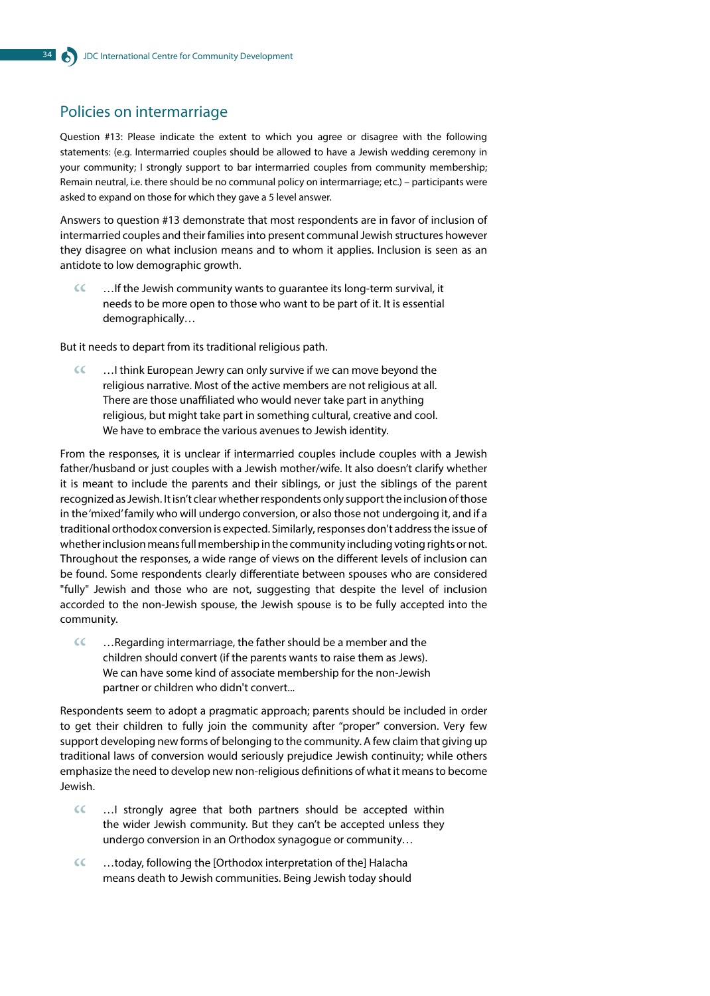## Policies on intermarriage

Question #13: Please indicate the extent to which you agree or disagree with the following statements: (e.g. Intermarried couples should be allowed to have a Jewish wedding ceremony in your community; I strongly support to bar intermarried couples from community membership; Remain neutral, i.e. there should be no communal policy on intermarriage; etc.) – participants were asked to expand on those for which they gave a 5 level answer.

Answers to question #13 demonstrate that most respondents are in favor of inclusion of intermarried couples and their families into present communal Jewish structures however they disagree on what inclusion means and to whom it applies. Inclusion is seen as an antidote to low demographic growth.

…If the Jewish community wants to guarantee its long-term survival, it needs to be more open to those who want to be part of it. It is essential demographically…  $cc$ 

But it needs to depart from its traditional religious path.

…I think European Jewry can only survive if we can move beyond the religious narrative. Most of the active members are not religious at all. There are those unaffiliated who would never take part in anything religious, but might take part in something cultural, creative and cool. We have to embrace the various avenues to Jewish identity.  $cc$ 

From the responses, it is unclear if intermarried couples include couples with a Jewish father/husband or just couples with a Jewish mother/wife. It also doesn't clarify whether it is meant to include the parents and their siblings, or just the siblings of the parent recognized as Jewish. It isn't clear whether respondents only support the inclusion of those in the 'mixed' family who will undergo conversion, or also those not undergoing it, and if a traditional orthodox conversion is expected. Similarly, responses don't address the issue of whether inclusion means full membership in the community including voting rights or not. Throughout the responses, a wide range of views on the different levels of inclusion can be found. Some respondents clearly differentiate between spouses who are considered "fully" Jewish and those who are not, suggesting that despite the level of inclusion accorded to the non-Jewish spouse, the Jewish spouse is to be fully accepted into the community.

…Regarding intermarriage, the father should be a member and the children should convert (if the parents wants to raise them as Jews). We can have some kind of associate membership for the non-Jewish partner or children who didn't convert...  $cc$ 

Respondents seem to adopt a pragmatic approach; parents should be included in order to get their children to fully join the community after "proper" conversion. Very few support developing new forms of belonging to the community. A few claim that giving up traditional laws of conversion would seriously prejudice Jewish continuity; while others emphasize the need to develop new non-religious definitions of what it means to become Jewish.

- …I strongly agree that both partners should be accepted within the wider Jewish community. But they can't be accepted unless they undergo conversion in an Orthodox synagogue or community…  $\epsilon$
- …today, following the [Orthodox interpretation of the] Halacha means death to Jewish communities. Being Jewish today should  $cc$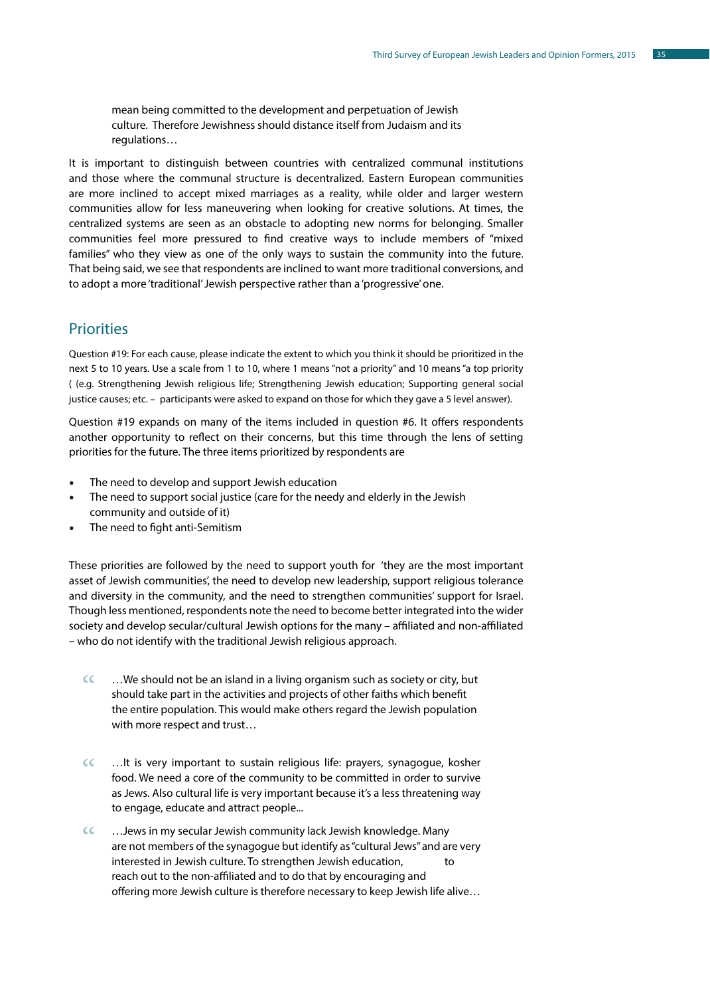mean being committed to the development and perpetuation of Jewish culture. Therefore Jewishness should distance itself from Judaism and its regulations…

It is important to distinguish between countries with centralized communal institutions and those where the communal structure is decentralized. Eastern European communities are more inclined to accept mixed marriages as a reality, while older and larger western communities allow for less maneuvering when looking for creative solutions. At times, the centralized systems are seen as an obstacle to adopting new norms for belonging. Smaller communities feel more pressured to find creative ways to include members of "mixed families" who they view as one of the only ways to sustain the community into the future. That being said, we see that respondents are inclined to want more traditional conversions, and to adopt a more 'traditional' Jewish perspective rather than a 'progressive' one.

#### **Priorities**

Question #19: For each cause, please indicate the extent to which you think it should be prioritized in the next 5 to 10 years. Use a scale from 1 to 10, where 1 means "not a priority" and 10 means "a top priority ( (e.g. Strengthening Jewish religious life; Strengthening Jewish education; Supporting general social justice causes; etc. – participants were asked to expand on those for which they gave a 5 level answer).

Question #19 expands on many of the items included in question #6. It offers respondents another opportunity to reflect on their concerns, but this time through the lens of setting priorities for the future. The three items prioritized by respondents are

- The need to develop and support Jewish education
- The need to support social justice (care for the needy and elderly in the Jewish community and outside of it)
- The need to fight anti-Semitism

These priorities are followed by the need to support youth for 'they are the most important asset of Jewish communities', the need to develop new leadership, support religious tolerance and diversity in the community, and the need to strengthen communities' support for Israel. Though less mentioned, respondents note the need to become better integrated into the wider society and develop secular/cultural Jewish options for the many – affiliated and non-affiliated – who do not identify with the traditional Jewish religious approach.

- …We should not be an island in a living organism such as society or city, but should take part in the activities and projects of other faiths which benefit the entire population. This would make others regard the Jewish population with more respect and trust…  $\alpha$
- …It is very important to sustain religious life: prayers, synagogue, kosher food. We need a core of the community to be committed in order to survive as Jews. Also cultural life is very important because it's a less threatening way to engage, educate and attract people...  $cc$
- …Jews in my secular Jewish community lack Jewish knowledge. Many are not members of the synagogue but identify as "cultural Jews" and are very interested in Jewish culture. To strengthen Jewish education, reach out to the non-affiliated and to do that by encouraging and offering more Jewish culture is therefore necessary to keep Jewish life alive…  $\alpha$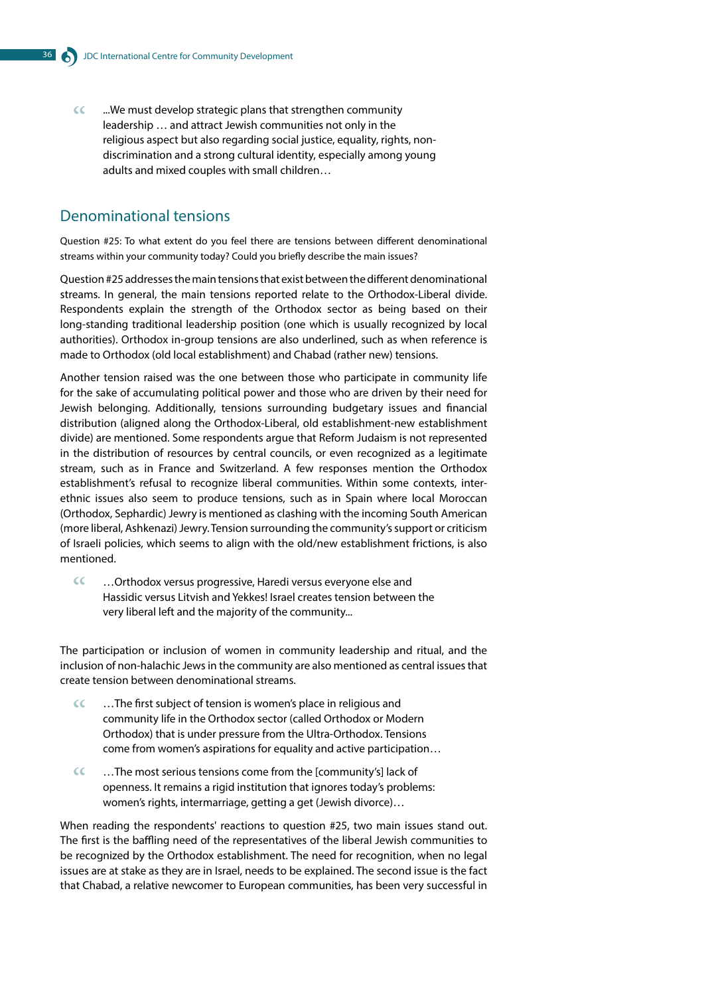...We must develop strategic plans that strengthen community leadership … and attract Jewish communities not only in the religious aspect but also regarding social justice, equality, rights, nondiscrimination and a strong cultural identity, especially among young adults and mixed couples with small children…  $cc$ 

## Denominational tensions

Question #25: To what extent do you feel there are tensions between different denominational streams within your community today? Could you briefly describe the main issues?

Question #25 addresses the main tensions that exist between the different denominational streams. In general, the main tensions reported relate to the Orthodox-Liberal divide. Respondents explain the strength of the Orthodox sector as being based on their long-standing traditional leadership position (one which is usually recognized by local authorities). Orthodox in-group tensions are also underlined, such as when reference is made to Orthodox (old local establishment) and Chabad (rather new) tensions.

Another tension raised was the one between those who participate in community life for the sake of accumulating political power and those who are driven by their need for Jewish belonging. Additionally, tensions surrounding budgetary issues and financial distribution (aligned along the Orthodox-Liberal, old establishment-new establishment divide) are mentioned. Some respondents argue that Reform Judaism is not represented in the distribution of resources by central councils, or even recognized as a legitimate stream, such as in France and Switzerland. A few responses mention the Orthodox establishment's refusal to recognize liberal communities. Within some contexts, interethnic issues also seem to produce tensions, such as in Spain where local Moroccan (Orthodox, Sephardic) Jewry is mentioned as clashing with the incoming South American (more liberal, Ashkenazi) Jewry. Tension surrounding the community's support or criticism of Israeli policies, which seems to align with the old/new establishment frictions, is also mentioned.

…Orthodox versus progressive, Haredi versus everyone else and Hassidic versus Litvish and Yekkes! Israel creates tension between the very liberal left and the majority of the community...  $cc$ 

The participation or inclusion of women in community leadership and ritual, and the inclusion of non-halachic Jews in the community are also mentioned as central issues that create tension between denominational streams.

- …The first subject of tension is women's place in religious and community life in the Orthodox sector (called Orthodox or Modern Orthodox) that is under pressure from the Ultra-Orthodox. Tensions come from women's aspirations for equality and active participation…  $\alpha$
- …The most serious tensions come from the [community's] lack of openness. It remains a rigid institution that ignores today's problems: women's rights, intermarriage, getting a get (Jewish divorce)…  $\epsilon$

When reading the respondents' reactions to question #25, two main issues stand out. The first is the baffling need of the representatives of the liberal Jewish communities to be recognized by the Orthodox establishment. The need for recognition, when no legal issues are at stake as they are in Israel, needs to be explained. The second issue is the fact that Chabad, a relative newcomer to European communities, has been very successful in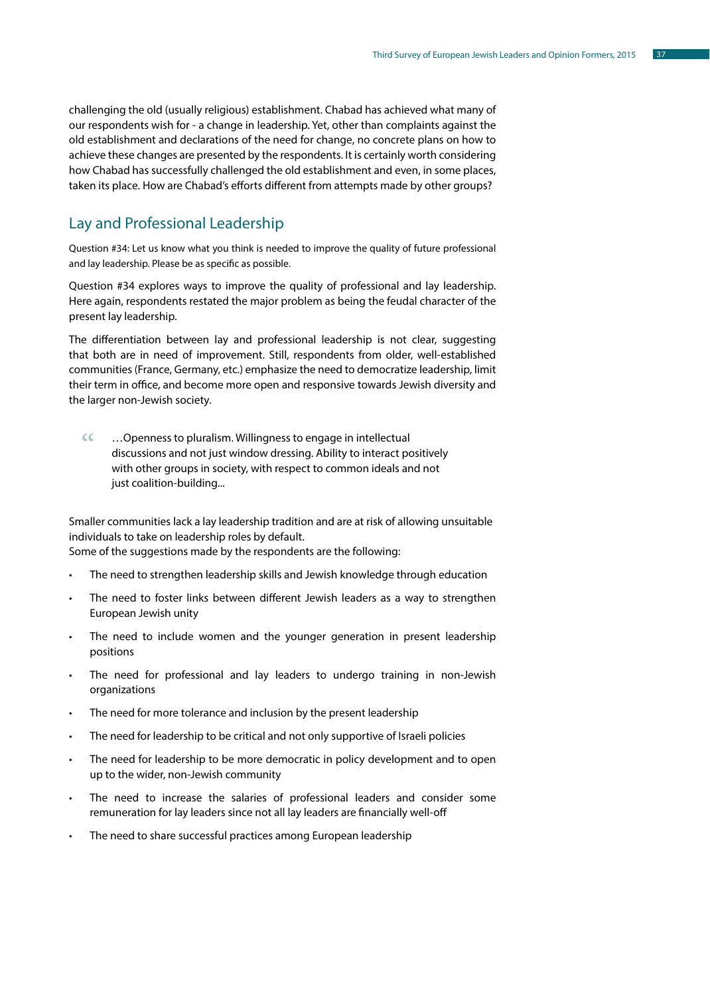challenging the old (usually religious) establishment. Chabad has achieved what many of our respondents wish for - a change in leadership. Yet, other than complaints against the old establishment and declarations of the need for change, no concrete plans on how to achieve these changes are presented by the respondents. It is certainly worth considering how Chabad has successfully challenged the old establishment and even, in some places, taken its place. How are Chabad's efforts different from attempts made by other groups?

# Lay and Professional Leadership

Question #34: Let us know what you think is needed to improve the quality of future professional and lay leadership. Please be as specific as possible.

Question #34 explores ways to improve the quality of professional and lay leadership. Here again, respondents restated the major problem as being the feudal character of the present lay leadership.

The differentiation between lay and professional leadership is not clear, suggesting that both are in need of improvement. Still, respondents from older, well-established communities (France, Germany, etc.) emphasize the need to democratize leadership, limit their term in office, and become more open and responsive towards Jewish diversity and the larger non-Jewish society.

…Openness to pluralism. Willingness to engage in intellectual discussions and not just window dressing. Ability to interact positively with other groups in society, with respect to common ideals and not just coalition-building...  $cc$ 

Smaller communities lack a lay leadership tradition and are at risk of allowing unsuitable individuals to take on leadership roles by default. Some of the suggestions made by the respondents are the following:

- The need to strengthen leadership skills and Jewish knowledge through education
- The need to foster links between different Jewish leaders as a way to strengthen European Jewish unity
- The need to include women and the younger generation in present leadership positions
- The need for professional and lay leaders to undergo training in non-Jewish organizations
- The need for more tolerance and inclusion by the present leadership
- The need for leadership to be critical and not only supportive of Israeli policies
- The need for leadership to be more democratic in policy development and to open up to the wider, non-Jewish community
- The need to increase the salaries of professional leaders and consider some remuneration for lay leaders since not all lay leaders are financially well-off
- The need to share successful practices among European leadership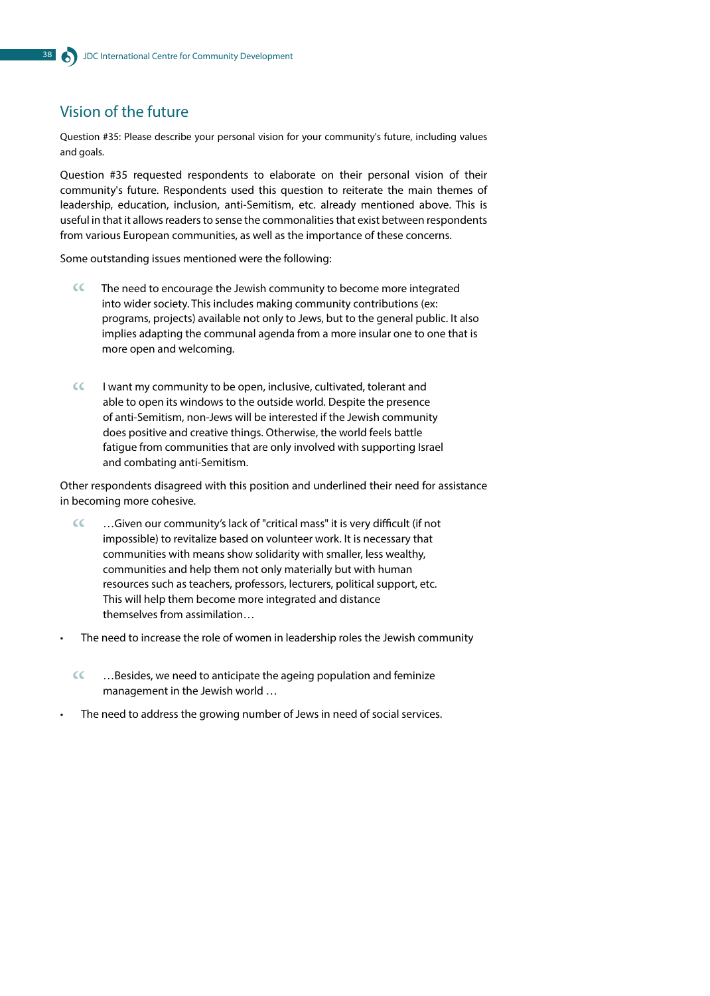# Vision of the future

Question #35: Please describe your personal vision for your community's future, including values and goals.

Question #35 requested respondents to elaborate on their personal vision of their community's future. Respondents used this question to reiterate the main themes of leadership, education, inclusion, anti-Semitism, etc. already mentioned above. This is useful in that it allows readers to sense the commonalities that exist between respondents from various European communities, as well as the importance of these concerns.

Some outstanding issues mentioned were the following:

- The need to encourage the Jewish community to become more integrated into wider society. This includes making community contributions (ex: programs, projects) available not only to Jews, but to the general public. It also implies adapting the communal agenda from a more insular one to one that is more open and welcoming.  $cc$
- I want my community to be open, inclusive, cultivated, tolerant and able to open its windows to the outside world. Despite the presence of anti-Semitism, non-Jews will be interested if the Jewish community does positive and creative things. Otherwise, the world feels battle fatigue from communities that are only involved with supporting Israel and combating anti-Semitism.  $\alpha$

Other respondents disagreed with this position and underlined their need for assistance in becoming more cohesive.

- …Given our community's lack of "critical mass" it is very difficult (if not impossible) to revitalize based on volunteer work. It is necessary that communities with means show solidarity with smaller, less wealthy, communities and help them not only materially but with human resources such as teachers, professors, lecturers, political support, etc. This will help them become more integrated and distance themselves from assimilation…  $cc$
- The need to increase the role of women in leadership roles the Jewish community
	- …Besides, we need to anticipate the ageing population and feminize management in the Jewish world …  $cc$
- The need to address the growing number of Jews in need of social services.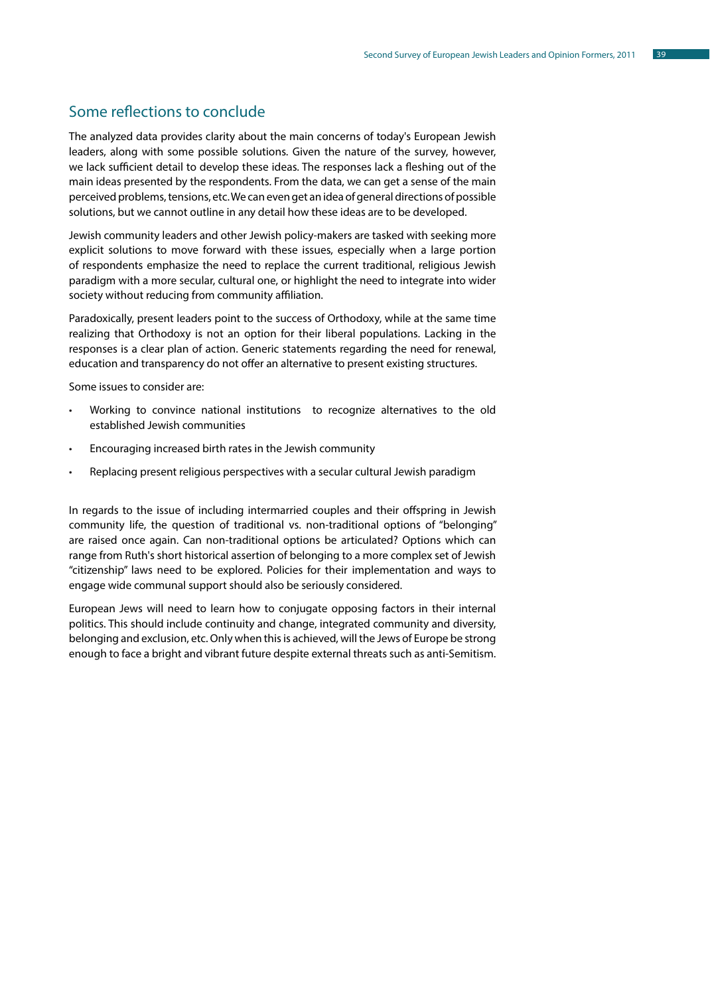# Some reflections to conclude

The analyzed data provides clarity about the main concerns of today's European Jewish leaders, along with some possible solutions. Given the nature of the survey, however, we lack sufficient detail to develop these ideas. The responses lack a fleshing out of the main ideas presented by the respondents. From the data, we can get a sense of the main perceived problems, tensions, etc. We can even get an idea of general directions of possible solutions, but we cannot outline in any detail how these ideas are to be developed.

Jewish community leaders and other Jewish policy-makers are tasked with seeking more explicit solutions to move forward with these issues, especially when a large portion of respondents emphasize the need to replace the current traditional, religious Jewish paradigm with a more secular, cultural one, or highlight the need to integrate into wider society without reducing from community affiliation.

Paradoxically, present leaders point to the success of Orthodoxy, while at the same time realizing that Orthodoxy is not an option for their liberal populations. Lacking in the responses is a clear plan of action. Generic statements regarding the need for renewal, education and transparency do not offer an alternative to present existing structures.

Some issues to consider are:

- Working to convince national institutions to recognize alternatives to the old established Jewish communities
- Encouraging increased birth rates in the Jewish community
- Replacing present religious perspectives with a secular cultural Jewish paradigm

In regards to the issue of including intermarried couples and their offspring in Jewish community life, the question of traditional vs. non-traditional options of "belonging" are raised once again. Can non-traditional options be articulated? Options which can range from Ruth's short historical assertion of belonging to a more complex set of Jewish "citizenship" laws need to be explored. Policies for their implementation and ways to engage wide communal support should also be seriously considered.

European Jews will need to learn how to conjugate opposing factors in their internal politics. This should include continuity and change, integrated community and diversity, belonging and exclusion, etc. Only when this is achieved, will the Jews of Europe be strong enough to face a bright and vibrant future despite external threats such as anti-Semitism.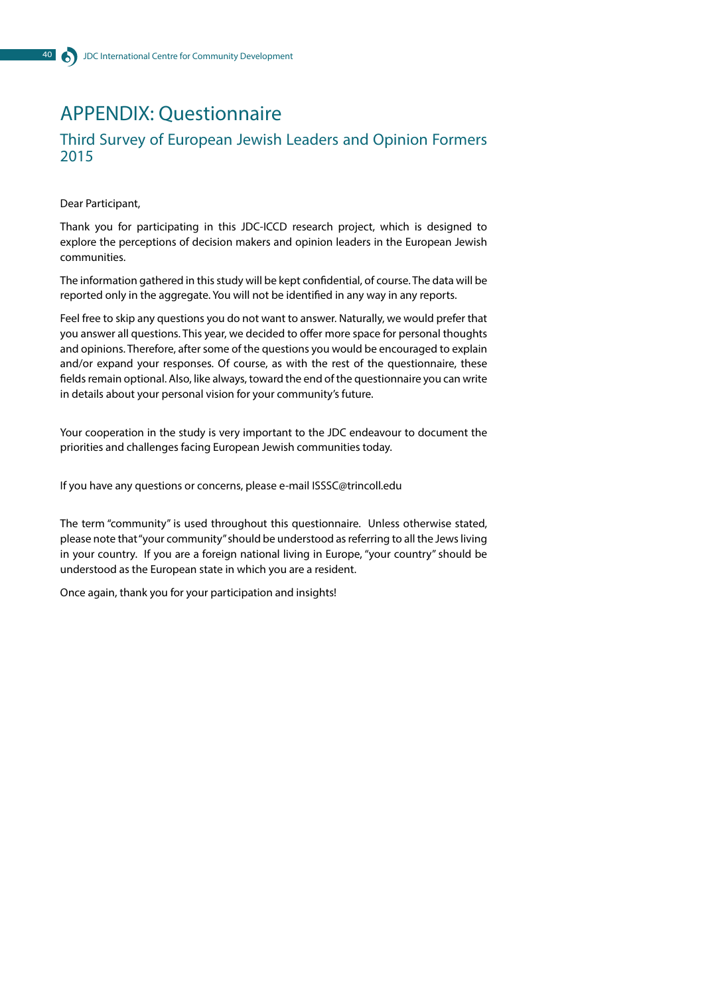# APPENDIX: Questionnaire

### Third Survey of European Jewish Leaders and Opinion Formers 2015

Dear Participant,

Thank you for participating in this JDC-ICCD research project, which is designed to explore the perceptions of decision makers and opinion leaders in the European Jewish communities.

The information gathered in this study will be kept confidential, of course. The data will be reported only in the aggregate. You will not be identified in any way in any reports.

Feel free to skip any questions you do not want to answer. Naturally, we would prefer that you answer all questions. This year, we decided to offer more space for personal thoughts and opinions. Therefore, after some of the questions you would be encouraged to explain and/or expand your responses. Of course, as with the rest of the questionnaire, these fields remain optional. Also, like always, toward the end of the questionnaire you can write in details about your personal vision for your community's future.

Your cooperation in the study is very important to the JDC endeavour to document the priorities and challenges facing European Jewish communities today.

If you have any questions or concerns, please e-mail ISSSC@trincoll.edu

The term "community" is used throughout this questionnaire. Unless otherwise stated, please note that "your community" should be understood as referring to all the Jews living in your country. If you are a foreign national living in Europe, "your country" should be understood as the European state in which you are a resident.

Once again, thank you for your participation and insights!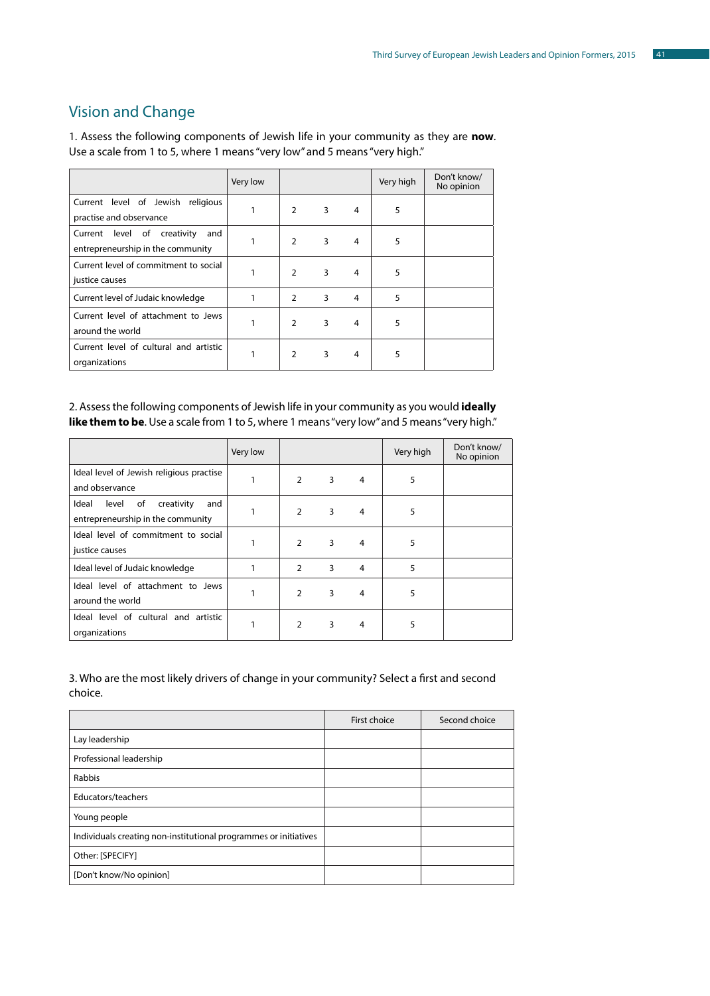# Vision and Change

1. Assess the following components of Jewish life in your community as they are **now**. Use a scale from 1 to 5, where 1 means "very low" and 5 means "very high."

|                                                                            | Very low |                |                |   | Very high | Don't know/<br>No opinion |
|----------------------------------------------------------------------------|----------|----------------|----------------|---|-----------|---------------------------|
| Current level of Jewish religious<br>practise and observance               | 1        | $\overline{2}$ | $3^{\circ}$    | 4 | 5         |                           |
| Current level of<br>creativity<br>and<br>entrepreneurship in the community | 1        | $\overline{2}$ | $\overline{3}$ | 4 | 5         |                           |
| Current level of commitment to social<br>justice causes                    | 1        | $\overline{2}$ | 3              | 4 | 5         |                           |
| Current level of Judaic knowledge                                          | 1        | $2^{\circ}$    | 3              | 4 | 5         |                           |
| Current level of attachment to Jews<br>around the world                    | 1        | $\mathcal{L}$  | 3              | 4 | 5         |                           |
| Current level of cultural and artistic<br>organizations                    | 1        | $\overline{2}$ | 3              | 4 | 5         |                           |

#### 2. Assess the following components of Jewish life in your community as you would **ideally**  like them to be. Use a scale from 1 to 5, where 1 means "very low" and 5 means "very high."

|                                                                                | Very low |               |   |                | Very high | Don't know/<br>No opinion |
|--------------------------------------------------------------------------------|----------|---------------|---|----------------|-----------|---------------------------|
| Ideal level of Jewish religious practise<br>and observance                     |          | $\mathcal{P}$ | 3 | 4              | 5         |                           |
| of<br>creativity<br>Ideal<br>level<br>and<br>entrepreneurship in the community |          | $\mathcal{P}$ | 3 | 4              | 5         |                           |
| Ideal level of commitment to social<br>justice causes                          |          | $\mathcal{P}$ | 3 | 4              | 5         |                           |
| Ideal level of Judaic knowledge                                                |          | 2             | 3 | 4              | 5         |                           |
| Ideal level of attachment to Jews<br>around the world                          |          | $\mathcal{P}$ | 3 | $\overline{4}$ | 5         |                           |
| Ideal level of cultural and artistic<br>organizations                          |          | $\mathcal{P}$ | 3 | $\overline{4}$ | 5         |                           |

#### 3. Who are the most likely drivers of change in your community? Select a first and second choice.

|                                                                  | First choice | Second choice |
|------------------------------------------------------------------|--------------|---------------|
| Lay leadership                                                   |              |               |
| Professional leadership                                          |              |               |
| Rabbis                                                           |              |               |
| Educators/teachers                                               |              |               |
| Young people                                                     |              |               |
| Individuals creating non-institutional programmes or initiatives |              |               |
| Other: [SPECIFY]                                                 |              |               |
| [Don't know/No opinion]                                          |              |               |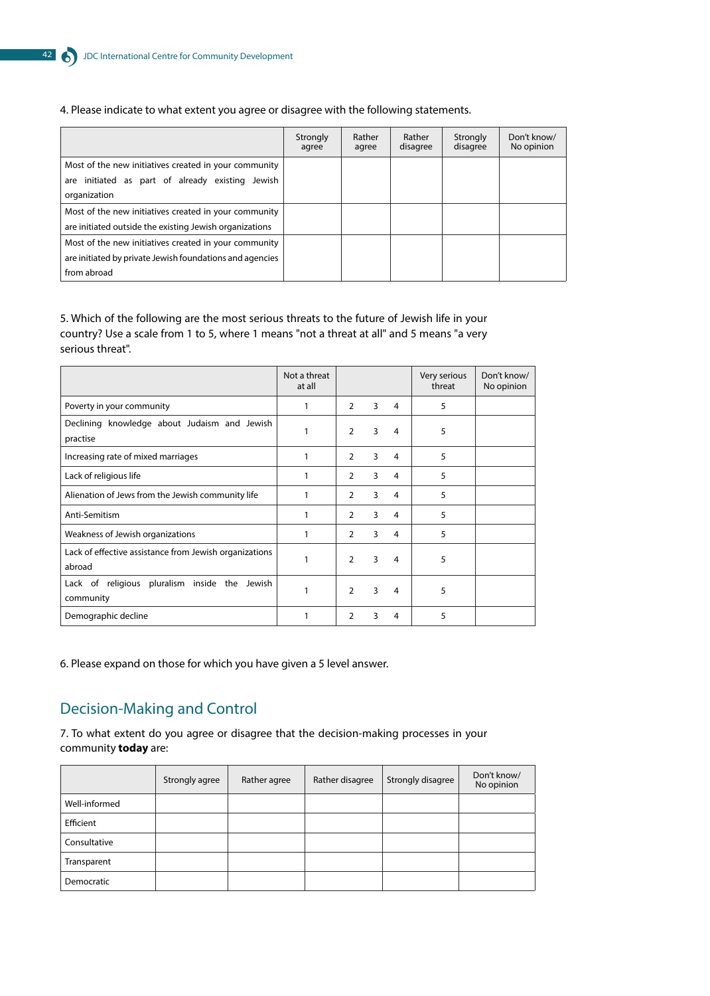#### 4. Please indicate to what extent you agree or disagree with the following statements.

|                                                          | Strongly<br>agree | Rather<br>agree | Rather<br>disagree | Strongly<br>disagree | Don't know/<br>No opinion |
|----------------------------------------------------------|-------------------|-----------------|--------------------|----------------------|---------------------------|
| Most of the new initiatives created in your community    |                   |                 |                    |                      |                           |
| are initiated as part of already existing Jewish         |                   |                 |                    |                      |                           |
| organization                                             |                   |                 |                    |                      |                           |
| Most of the new initiatives created in your community    |                   |                 |                    |                      |                           |
| are initiated outside the existing Jewish organizations  |                   |                 |                    |                      |                           |
| Most of the new initiatives created in your community    |                   |                 |                    |                      |                           |
| are initiated by private Jewish foundations and agencies |                   |                 |                    |                      |                           |
| from abroad                                              |                   |                 |                    |                      |                           |

#### 5. Which of the following are the most serious threats to the future of Jewish life in your country? Use a scale from 1 to 5, where 1 means "not a threat at all" and 5 means "a very serious threat".

|                                                                  | Not a threat<br>at all |                |   |   | Very serious<br>threat | Don't know/<br>No opinion |
|------------------------------------------------------------------|------------------------|----------------|---|---|------------------------|---------------------------|
| Poverty in your community                                        | 1                      | $\mathcal{P}$  | 3 | 4 | 5                      |                           |
| Declining knowledge about Judaism and Jewish<br>practise         | 1                      | $\mathcal{P}$  | 3 | 4 | 5                      |                           |
| Increasing rate of mixed marriages                               | 1                      | $\overline{2}$ | 3 | 4 | 5                      |                           |
| Lack of religious life                                           | 1                      | $\mathcal{P}$  | 3 | 4 | 5                      |                           |
| Alienation of Jews from the Jewish community life                |                        | $\overline{2}$ | 3 | 4 | 5                      |                           |
| Anti-Semitism                                                    |                        | 2              | 3 | 4 | 5                      |                           |
| Weakness of Jewish organizations                                 | 1                      | 2              | 3 | 4 | 5                      |                           |
| Lack of effective assistance from Jewish organizations<br>abroad | 1                      | $\mathcal{P}$  | 3 | 4 | 5                      |                           |
| Lack of religious pluralism inside the Jewish<br>community       | 1                      | $\mathcal{P}$  | 3 | 4 | 5                      |                           |
| Demographic decline                                              |                        | 2              | 3 | 4 | 5                      |                           |

6. Please expand on those for which you have given a 5 level answer.

# Decision-Making and Control

7. To what extent do you agree or disagree that the decision-making processes in your community **today** are:

|               | Strongly agree | Rather agree | Rather disagree | Strongly disagree | Don't know/<br>No opinion |
|---------------|----------------|--------------|-----------------|-------------------|---------------------------|
| Well-informed |                |              |                 |                   |                           |
| Efficient     |                |              |                 |                   |                           |
| Consultative  |                |              |                 |                   |                           |
| Transparent   |                |              |                 |                   |                           |
| Democratic    |                |              |                 |                   |                           |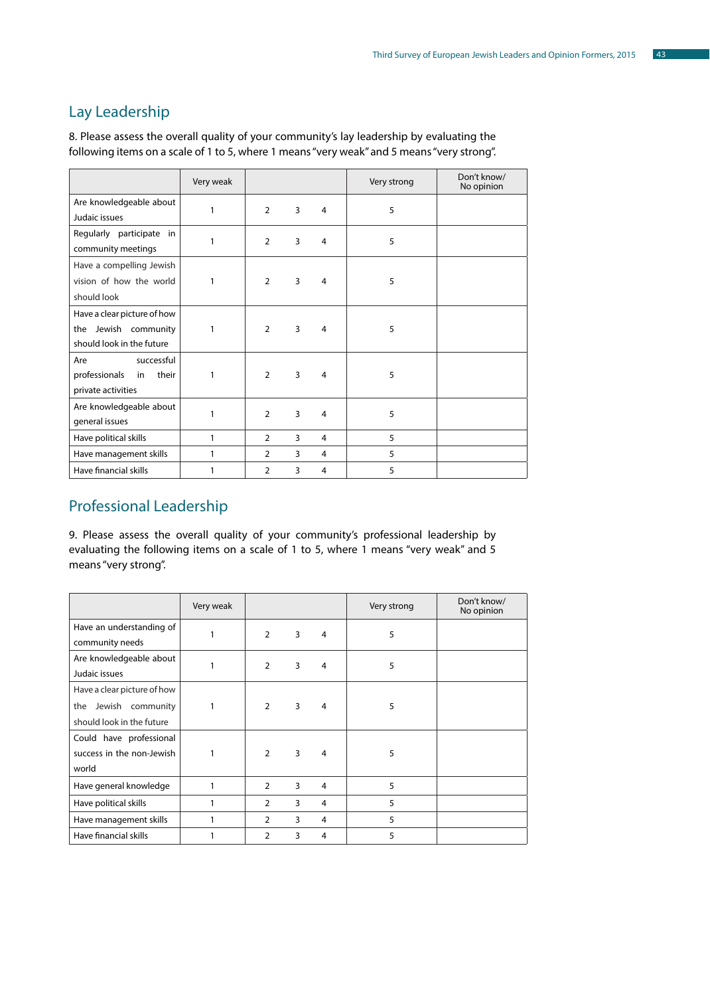# Lay Leadership

8. Please assess the overall quality of your community's lay leadership by evaluating the following items on a scale of 1 to 5, where 1 means "very weak" and 5 means "very strong".

|                                                                                     | Very weak    |                |                |   | Very strong | Don't know/<br>No opinion |
|-------------------------------------------------------------------------------------|--------------|----------------|----------------|---|-------------|---------------------------|
| Are knowledgeable about<br>Judaic issues                                            | 1            | $\overline{2}$ | 3              | 4 | 5           |                           |
| Regularly participate in<br>community meetings                                      | 1            | $\overline{2}$ | 3              | 4 | 5           |                           |
| Have a compelling Jewish<br>vision of how the world<br>should look                  | 1            | $\overline{2}$ | 3              | 4 | 5           |                           |
| Have a clear picture of how<br>Jewish community<br>the<br>should look in the future | 1            | $\mathcal{P}$  | 3              | 4 | 5           |                           |
| successful<br>Are<br>professionals<br>their<br>in<br>private activities             | 1            | $\mathcal{L}$  | $\overline{3}$ | 4 | 5           |                           |
| Are knowledgeable about<br>general issues                                           | 1            | $\mathcal{P}$  | 3              | 4 | 5           |                           |
| Have political skills                                                               | 1            | $\overline{2}$ | 3              | 4 | 5           |                           |
| Have management skills                                                              | $\mathbf{1}$ | $\overline{2}$ | 3              | 4 | 5           |                           |
| Have financial skills                                                               | 1            | $\overline{2}$ | 3              | 4 | 5           |                           |

# Professional Leadership

9. Please assess the overall quality of your community's professional leadership by evaluating the following items on a scale of 1 to 5, where 1 means "very weak" and 5 means "very strong".

|                                                                                  | Very weak |                |   |   | Very strong | Don't know/<br>No opinion |
|----------------------------------------------------------------------------------|-----------|----------------|---|---|-------------|---------------------------|
| Have an understanding of<br>community needs                                      |           | $\overline{2}$ | 3 | 4 | 5           |                           |
| Are knowledgeable about<br>Judaic issues                                         |           | $\overline{2}$ | 3 | 4 | 5           |                           |
| Have a clear picture of how<br>the Jewish community<br>should look in the future | 1         | $\overline{2}$ | 3 | 4 | 5           |                           |
| Could have professional<br>success in the non-Jewish<br>world                    | 1         | $\overline{2}$ | 3 | 4 | 5           |                           |
| Have general knowledge                                                           | 1         | 2              | 3 | 4 | 5           |                           |
| Have political skills                                                            |           | 2              | 3 | 4 | 5           |                           |
| Have management skills                                                           |           | 2              | 3 | 4 | 5           |                           |
| Have financial skills                                                            |           | 2              | 3 | 4 | 5           |                           |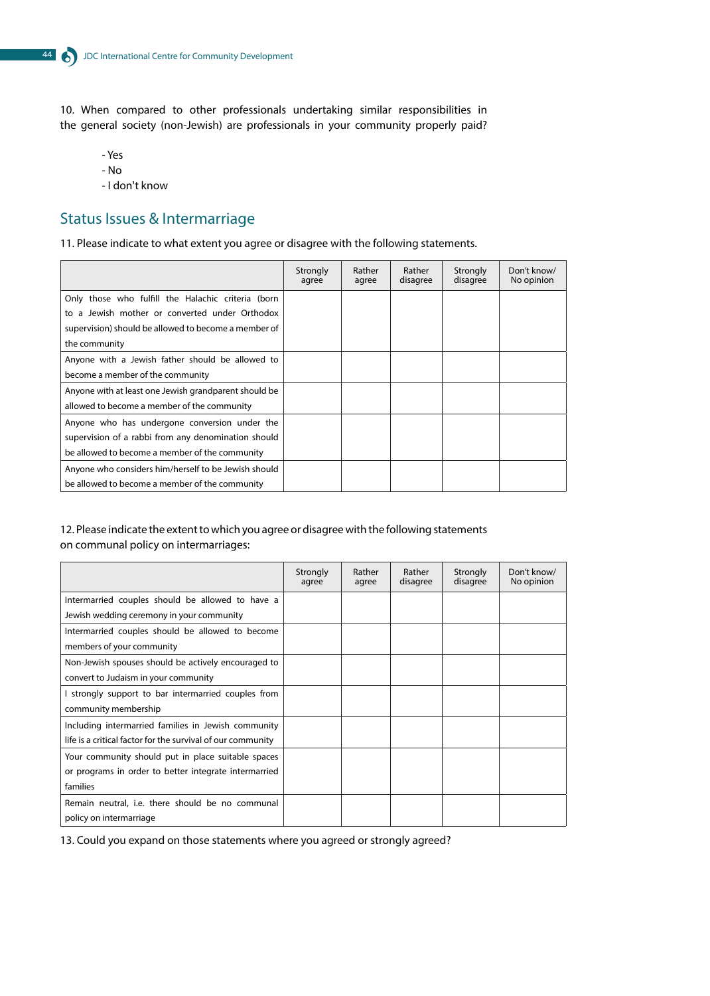10. When compared to other professionals undertaking similar responsibilities in the general society (non-Jewish) are professionals in your community properly paid?

- Yes - No

- I don't know

# Status Issues & Intermarriage

11. Please indicate to what extent you agree or disagree with the following statements.

|                                                       | Strongly<br>agree | Rather<br>agree | Rather<br>disagree | Strongly<br>disagree | Don't know/<br>No opinion |
|-------------------------------------------------------|-------------------|-----------------|--------------------|----------------------|---------------------------|
| Only those who fulfill the Halachic criteria (born    |                   |                 |                    |                      |                           |
| to a Jewish mother or converted under Orthodox        |                   |                 |                    |                      |                           |
| supervision) should be allowed to become a member of  |                   |                 |                    |                      |                           |
| the community                                         |                   |                 |                    |                      |                           |
| Anyone with a Jewish father should be allowed to      |                   |                 |                    |                      |                           |
| become a member of the community                      |                   |                 |                    |                      |                           |
| Anyone with at least one Jewish grandparent should be |                   |                 |                    |                      |                           |
| allowed to become a member of the community           |                   |                 |                    |                      |                           |
| Anyone who has undergone conversion under the         |                   |                 |                    |                      |                           |
| supervision of a rabbi from any denomination should   |                   |                 |                    |                      |                           |
| be allowed to become a member of the community        |                   |                 |                    |                      |                           |
| Anyone who considers him/herself to be Jewish should  |                   |                 |                    |                      |                           |
| be allowed to become a member of the community        |                   |                 |                    |                      |                           |

#### 12. Please indicate the extent to which you agree or disagree with the following statements on communal policy on intermarriages:

|                                                             | Strongly<br>agree | Rather<br>agree | Rather<br>disagree | Strongly<br>disagree | Don't know/<br>No opinion |
|-------------------------------------------------------------|-------------------|-----------------|--------------------|----------------------|---------------------------|
| Intermarried couples should be allowed to have a            |                   |                 |                    |                      |                           |
| Jewish wedding ceremony in your community                   |                   |                 |                    |                      |                           |
| Intermarried couples should be allowed to become            |                   |                 |                    |                      |                           |
| members of your community                                   |                   |                 |                    |                      |                           |
| Non-Jewish spouses should be actively encouraged to         |                   |                 |                    |                      |                           |
| convert to Judaism in your community                        |                   |                 |                    |                      |                           |
| I strongly support to bar intermarried couples from         |                   |                 |                    |                      |                           |
| community membership                                        |                   |                 |                    |                      |                           |
| Including intermarried families in Jewish community         |                   |                 |                    |                      |                           |
| life is a critical factor for the survival of our community |                   |                 |                    |                      |                           |
| Your community should put in place suitable spaces          |                   |                 |                    |                      |                           |
| or programs in order to better integrate intermarried       |                   |                 |                    |                      |                           |
| families                                                    |                   |                 |                    |                      |                           |
| Remain neutral, i.e. there should be no communal            |                   |                 |                    |                      |                           |
| policy on intermarriage                                     |                   |                 |                    |                      |                           |

13. Could you expand on those statements where you agreed or strongly agreed?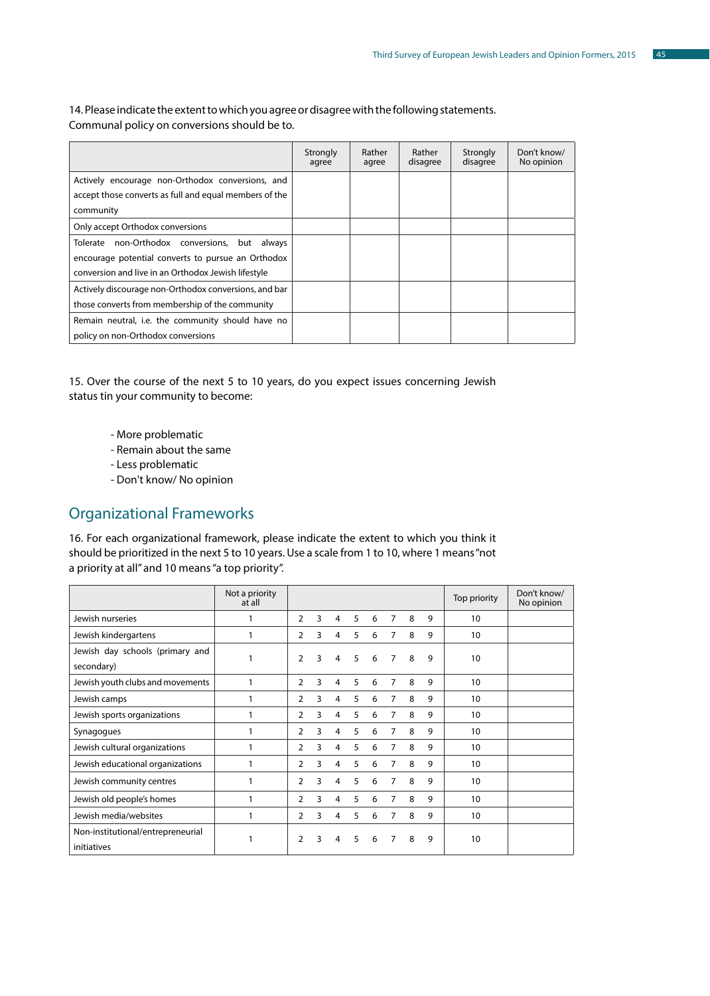14. Please indicate the extent to which you agree or disagree with the following statements. Communal policy on conversions should be to.

|                                                        | Strongly<br>agree | Rather<br>agree | Rather<br>disagree | Strongly<br>disagree | Don't know/<br>No opinion |
|--------------------------------------------------------|-------------------|-----------------|--------------------|----------------------|---------------------------|
| Actively encourage non-Orthodox conversions, and       |                   |                 |                    |                      |                           |
| accept those converts as full and equal members of the |                   |                 |                    |                      |                           |
| community                                              |                   |                 |                    |                      |                           |
| Only accept Orthodox conversions                       |                   |                 |                    |                      |                           |
| Tolerate non-Orthodox conversions, but always          |                   |                 |                    |                      |                           |
| encourage potential converts to pursue an Orthodox     |                   |                 |                    |                      |                           |
| conversion and live in an Orthodox Jewish lifestyle    |                   |                 |                    |                      |                           |
| Actively discourage non-Orthodox conversions, and bar  |                   |                 |                    |                      |                           |
| those converts from membership of the community        |                   |                 |                    |                      |                           |
| Remain neutral, i.e. the community should have no      |                   |                 |                    |                      |                           |
| policy on non-Orthodox conversions                     |                   |                 |                    |                      |                           |

15. Over the course of the next 5 to 10 years, do you expect issues concerning Jewish status tin your community to become:

- More problematic
- Remain about the same
- Less problematic
- Don't know/ No opinion

# Organizational Frameworks

16. For each organizational framework, please indicate the extent to which you think it should be prioritized in the next 5 to 10 years. Use a scale from 1 to 10, where 1 means "not a priority at all" and 10 means "a top priority".

|                                                  | Not a priority<br>at all |   |   |                |   |   |                |   |   | Top priority    | Don't know/<br>No opinion |
|--------------------------------------------------|--------------------------|---|---|----------------|---|---|----------------|---|---|-----------------|---------------------------|
| Jewish nurseries                                 |                          | 2 | 3 | 4              | 5 | 6 | 7              | 8 | 9 | 10              |                           |
| Jewish kindergartens                             | 1                        | 2 | 3 | 4              | 5 | 6 | $\overline{7}$ | 8 | 9 | 10 <sup>°</sup> |                           |
| Jewish day schools (primary and<br>secondary)    | 1                        | 2 | 3 | 4              | 5 | 6 | 7              | 8 | 9 | 10              |                           |
| Jewish youth clubs and movements                 | 1                        | 2 | 3 | 4              | 5 | 6 | $\overline{7}$ | 8 | 9 | 10              |                           |
| Jewish camps                                     |                          | 2 | 3 | 4              | 5 | 6 | $\overline{7}$ | 8 | 9 | 10              |                           |
| Jewish sports organizations                      | 1                        | 2 | 3 | $\overline{4}$ | 5 | 6 | 7              | 8 | 9 | 10              |                           |
| Synagogues                                       | 1                        | 2 | 3 | 4              | 5 | 6 | $\overline{7}$ | 8 | 9 | 10              |                           |
| Jewish cultural organizations                    | 1                        | 2 | 3 | 4              | 5 | 6 | 7              | 8 | 9 | 10              |                           |
| Jewish educational organizations                 |                          | 2 | 3 | 4              | 5 | 6 | $\overline{7}$ | 8 | 9 | 10              |                           |
| Jewish community centres                         | 1                        | 2 | 3 | 4              | 5 | 6 | $\overline{7}$ | 8 | 9 | 10              |                           |
| Jewish old people's homes                        | 1                        | 2 | 3 | 4              | 5 | 6 | $\overline{7}$ | 8 | 9 | 10              |                           |
| Jewish media/websites                            |                          | 2 | 3 | 4              | 5 | 6 | 7              | 8 | 9 | 10              |                           |
| Non-institutional/entrepreneurial<br>initiatives | 1                        | 2 | 3 | 4              | 5 | 6 | 7              | 8 | 9 | 10              |                           |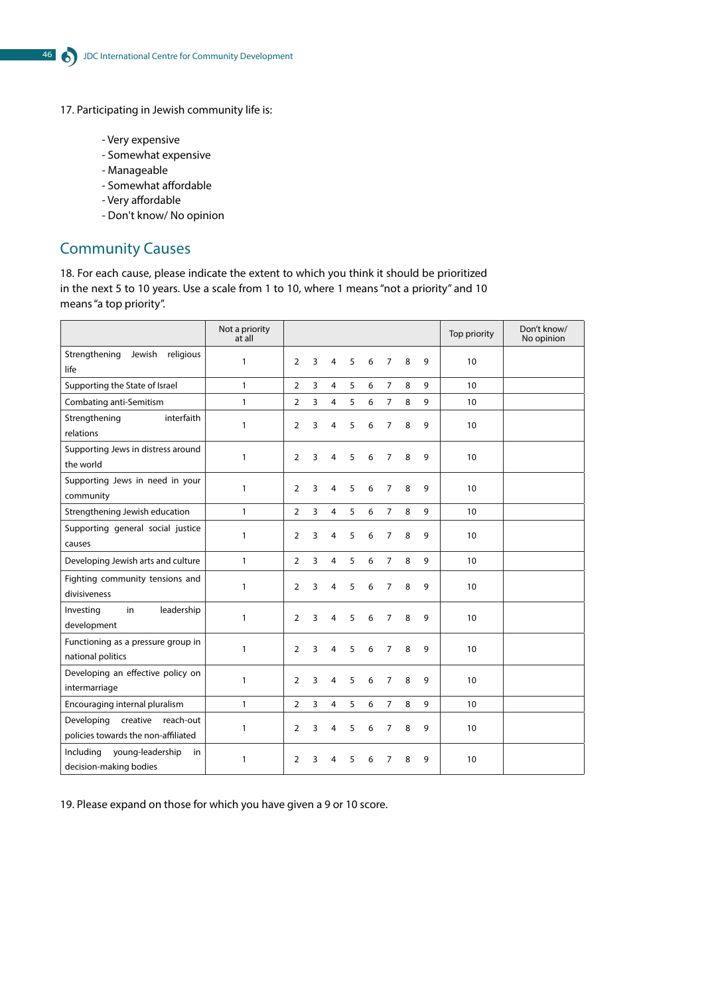17. Participating in Jewish community life is:

- Very expensive
- Somewhat expensive
- Manageable
- Somewhat affordable
- Very affordable
- Don't know/ No opinion

# Community Causes

18. For each cause, please indicate the extent to which you think it should be prioritized in the next 5 to 10 years. Use a scale from 1 to 10, where 1 means "not a priority" and 10 means "a top priority".

|                                                                            | Not a priority<br>at all |                |   |                |   |   |                |   |   | Top priority | Don't know/<br>No opinion |
|----------------------------------------------------------------------------|--------------------------|----------------|---|----------------|---|---|----------------|---|---|--------------|---------------------------|
| Strengthening<br>Jewish<br>religious<br>life                               | $\mathbf{1}$             | $\overline{2}$ | 3 | 4              | 5 | 6 | $\overline{7}$ | 8 | 9 | 10           |                           |
| Supporting the State of Israel                                             | $\mathbf{1}$             | $\overline{2}$ | 3 | $\overline{4}$ | 5 | 6 | $\overline{7}$ | 8 | 9 | 10           |                           |
| Combating anti-Semitism                                                    | $\mathbf{1}$             | $\overline{2}$ | 3 | $\overline{4}$ | 5 | 6 | $\overline{7}$ | 8 | 9 | 10           |                           |
| interfaith<br>Strengthening<br>relations                                   | $\mathbf{1}$             | $\overline{2}$ | 3 | 4              | 5 | 6 | $\overline{7}$ | 8 | 9 | 10           |                           |
| Supporting Jews in distress around<br>the world                            | $\mathbf{1}$             | 2              | 3 | 4              | 5 | 6 | $\overline{7}$ | 8 | 9 | 10           |                           |
| Supporting Jews in need in your<br>community                               | $\mathbf{1}$             | 2              | 3 | 4              | 5 | 6 | 7              | 8 | 9 | 10           |                           |
| Strengthening Jewish education                                             | $\mathbf{1}$             | $\overline{2}$ | 3 | $\overline{4}$ | 5 | 6 | $\overline{7}$ | 8 | 9 | 10           |                           |
| Supporting general social justice<br>causes                                | $\mathbf{1}$             | 2              | 3 | 4              | 5 | 6 | 7              | 8 | 9 | 10           |                           |
| Developing Jewish arts and culture                                         | $\mathbf{1}$             | $\overline{2}$ | 3 | $\overline{4}$ | 5 | 6 | $\overline{7}$ | 8 | 9 | 10           |                           |
| Fighting community tensions and<br>divisiveness                            | $\mathbf{1}$             | 2              | 3 | 4              | 5 | 6 | 7              | 8 | 9 | 10           |                           |
| Investing<br>in<br>leadership<br>development                               | $\mathbf{1}$             | 2              | 3 | 4              | 5 | 6 | 7              | 8 | 9 | 10           |                           |
| Functioning as a pressure group in<br>national politics                    | $\mathbf{1}$             | $\overline{2}$ | 3 | 4              | 5 | 6 | $\overline{7}$ | 8 | 9 | 10           |                           |
| Developing an effective policy on<br>intermarriage                         | $\mathbf{1}$             | $\overline{2}$ | 3 | 4              | 5 | 6 | 7              | 8 | 9 | 10           |                           |
| Encouraging internal pluralism                                             | $\mathbf{1}$             | $\overline{2}$ | 3 | $\overline{4}$ | 5 | 6 | $\overline{7}$ | 8 | 9 | 10           |                           |
| creative<br>reach-out<br>Developing<br>policies towards the non-affiliated | $\mathbf{1}$             | $\overline{2}$ | 3 | 4              | 5 | 6 | $\overline{7}$ | 8 | 9 | 10           |                           |
| Including<br>young-leadership<br>in<br>decision-making bodies              | 1                        | $\overline{2}$ | 3 | 4              | 5 | 6 | $\overline{7}$ | 8 | 9 | 10           |                           |

19. Please expand on those for which you have given a 9 or 10 score.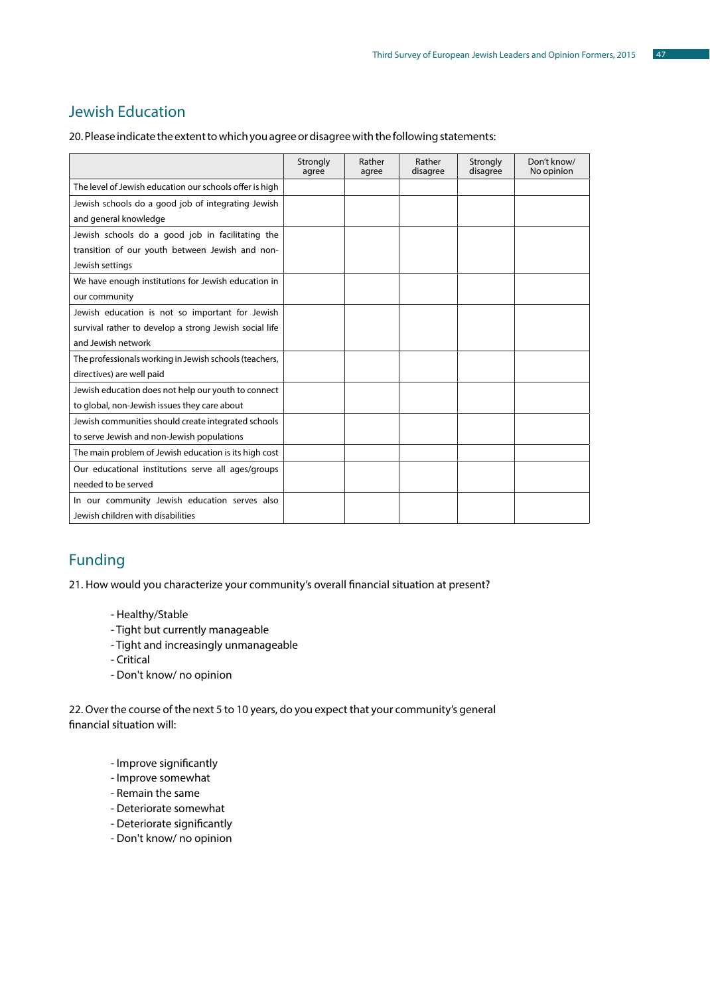# Jewish Education

20. Please indicate the extent to which you agree or disagree with the following statements:

|                                                                                    | Strongly<br>agree | Rather<br>agree | Rather<br>disagree | Strongly<br>disagree | Don't know/<br>No opinion |
|------------------------------------------------------------------------------------|-------------------|-----------------|--------------------|----------------------|---------------------------|
| The level of Jewish education our schools offer is high                            |                   |                 |                    |                      |                           |
| Jewish schools do a good job of integrating Jewish                                 |                   |                 |                    |                      |                           |
| and general knowledge                                                              |                   |                 |                    |                      |                           |
| Jewish schools do a good job in facilitating the                                   |                   |                 |                    |                      |                           |
| transition of our youth between Jewish and non-                                    |                   |                 |                    |                      |                           |
| Jewish settings                                                                    |                   |                 |                    |                      |                           |
| We have enough institutions for Jewish education in                                |                   |                 |                    |                      |                           |
| our community                                                                      |                   |                 |                    |                      |                           |
| Jewish education is not so important for Jewish                                    |                   |                 |                    |                      |                           |
| survival rather to develop a strong Jewish social life                             |                   |                 |                    |                      |                           |
| and Jewish network                                                                 |                   |                 |                    |                      |                           |
| The professionals working in Jewish schools (teachers,                             |                   |                 |                    |                      |                           |
| directives) are well paid                                                          |                   |                 |                    |                      |                           |
| Jewish education does not help our youth to connect                                |                   |                 |                    |                      |                           |
| to global, non-Jewish issues they care about                                       |                   |                 |                    |                      |                           |
| Jewish communities should create integrated schools                                |                   |                 |                    |                      |                           |
| to serve Jewish and non-Jewish populations                                         |                   |                 |                    |                      |                           |
| The main problem of Jewish education is its high cost                              |                   |                 |                    |                      |                           |
| Our educational institutions serve all ages/groups                                 |                   |                 |                    |                      |                           |
| needed to be served                                                                |                   |                 |                    |                      |                           |
| In our community Jewish education serves also<br>Jewish children with disabilities |                   |                 |                    |                      |                           |

# Funding

21. How would you characterize your community's overall financial situation at present?

#### - Healthy/Stable

- Tight but currently manageable
- Tight and increasingly unmanageable
- Critical
- Don't know/ no opinion

22. Over the course of the next 5 to 10 years, do you expect that your community's general financial situation will:

- Improve significantly
- Improve somewhat
- Remain the same
- Deteriorate somewhat
- Deteriorate significantly
- Don't know/ no opinion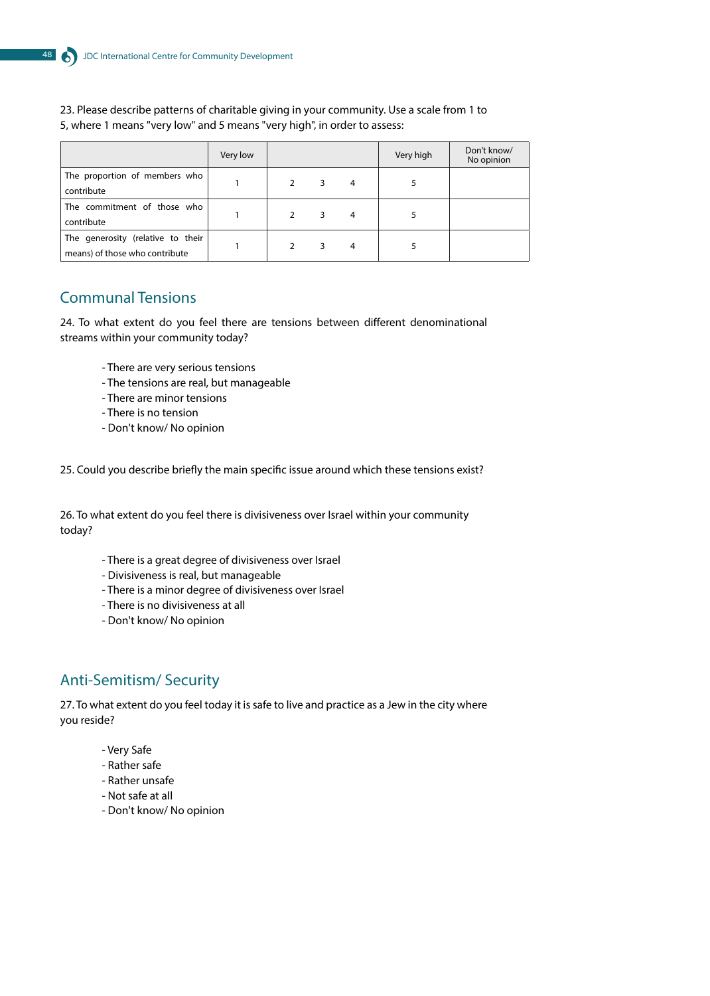#### 23. Please describe patterns of charitable giving in your community. Use a scale from 1 to 5, where 1 means "very low" and 5 means "very high", in order to assess:

|                                                                     | Very low |               |   |                | Very high | Don't know/<br>No opinion |
|---------------------------------------------------------------------|----------|---------------|---|----------------|-----------|---------------------------|
| The proportion of members who<br>contribute                         |          |               | 3 | $\overline{4}$ |           |                           |
| The commitment of those who<br>contribute                           |          |               | 3 | $\overline{4}$ |           |                           |
| The generosity (relative to their<br>means) of those who contribute |          | $\mathcal{P}$ | 3 | $\overline{4}$ |           |                           |

# Communal Tensions

24. To what extent do you feel there are tensions between different denominational streams within your community today?

- There are very serious tensions
- The tensions are real, but manageable
- There are minor tensions
- There is no tension
- Don't know/ No opinion

25. Could you describe briefly the main specific issue around which these tensions exist?

26. To what extent do you feel there is divisiveness over Israel within your community today?

- There is a great degree of divisiveness over Israel
- Divisiveness is real, but manageable
- There is a minor degree of divisiveness over Israel
- There is no divisiveness at all
- Don't know/ No opinion

# Anti-Semitism/ Security

27. To what extent do you feel today it is safe to live and practice as a Jew in the city where you reside?

- Very Safe
- Rather safe
- Rather unsafe
- Not safe at all
- Don't know/ No opinion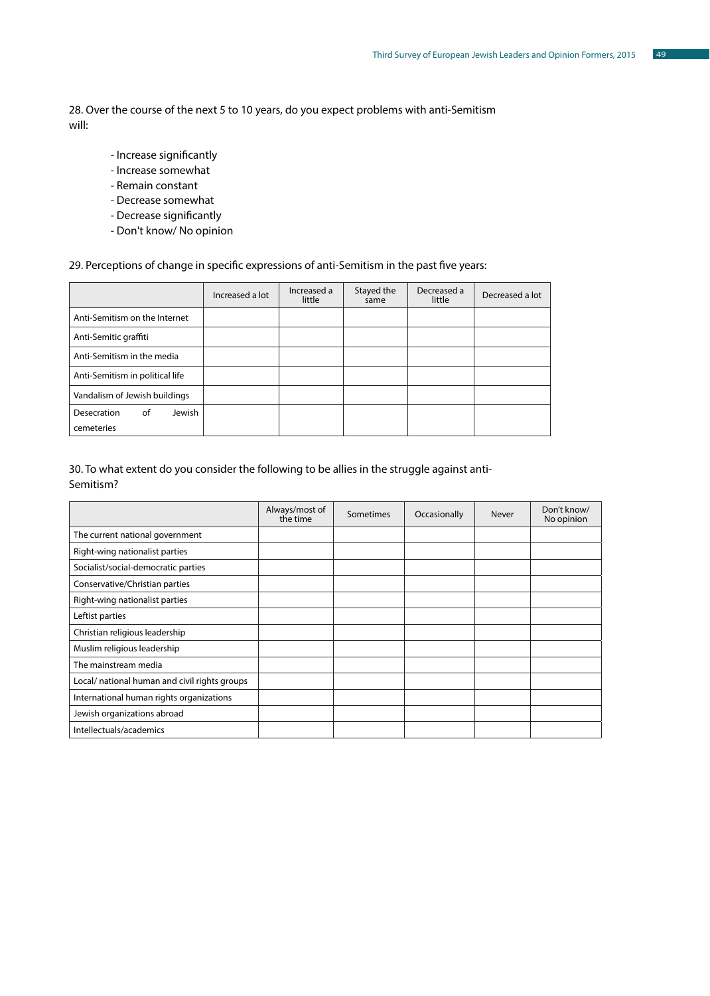28. Over the course of the next 5 to 10 years, do you expect problems with anti-Semitism will:

- Increase significantly
- Increase somewhat
- Remain constant
- Decrease somewhat
- Decrease significantly
- Don't know/ No opinion

#### 29. Perceptions of change in specific expressions of anti-Semitism in the past five years:

|                                 | Increased a lot | Increased a<br>little | Stayed the<br>same | Decreased a<br>little | Decreased a lot |
|---------------------------------|-----------------|-----------------------|--------------------|-----------------------|-----------------|
| Anti-Semitism on the Internet   |                 |                       |                    |                       |                 |
| Anti-Semitic graffiti           |                 |                       |                    |                       |                 |
| Anti-Semitism in the media      |                 |                       |                    |                       |                 |
| Anti-Semitism in political life |                 |                       |                    |                       |                 |
| Vandalism of Jewish buildings   |                 |                       |                    |                       |                 |
| Jewish<br>Desecration<br>of     |                 |                       |                    |                       |                 |
| cemeteries                      |                 |                       |                    |                       |                 |

#### 30. To what extent do you consider the following to be allies in the struggle against anti-Semitism?

|                                               | Always/most of<br>the time | Sometimes | Occasionally | Never | Don't know/<br>No opinion |
|-----------------------------------------------|----------------------------|-----------|--------------|-------|---------------------------|
| The current national government               |                            |           |              |       |                           |
| Right-wing nationalist parties                |                            |           |              |       |                           |
| Socialist/social-democratic parties           |                            |           |              |       |                           |
| Conservative/Christian parties                |                            |           |              |       |                           |
| Right-wing nationalist parties                |                            |           |              |       |                           |
| Leftist parties                               |                            |           |              |       |                           |
| Christian religious leadership                |                            |           |              |       |                           |
| Muslim religious leadership                   |                            |           |              |       |                           |
| The mainstream media                          |                            |           |              |       |                           |
| Local/ national human and civil rights groups |                            |           |              |       |                           |
| International human rights organizations      |                            |           |              |       |                           |
| Jewish organizations abroad                   |                            |           |              |       |                           |
| Intellectuals/academics                       |                            |           |              |       |                           |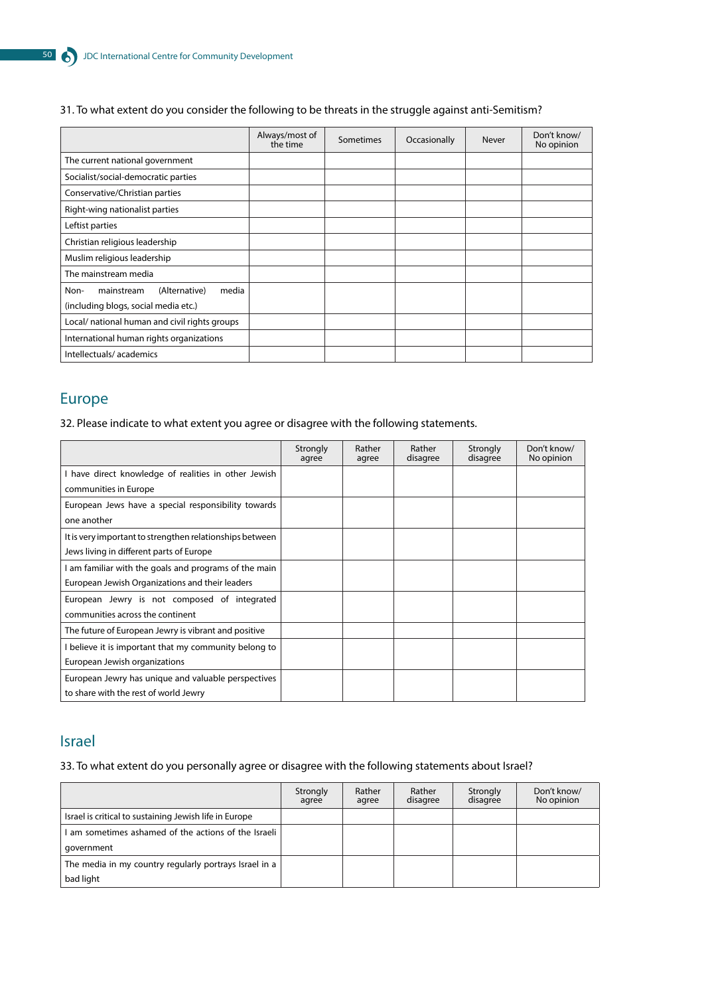#### 31. To what extent do you consider the following to be threats in the struggle against anti-Semitism?

|                                                                                      | Always/most of<br>the time | Sometimes | Occasionally | Never | Don't know/<br>No opinion |
|--------------------------------------------------------------------------------------|----------------------------|-----------|--------------|-------|---------------------------|
| The current national government                                                      |                            |           |              |       |                           |
| Socialist/social-democratic parties                                                  |                            |           |              |       |                           |
| Conservative/Christian parties                                                       |                            |           |              |       |                           |
| Right-wing nationalist parties                                                       |                            |           |              |       |                           |
| Leftist parties                                                                      |                            |           |              |       |                           |
| Christian religious leadership                                                       |                            |           |              |       |                           |
| Muslim religious leadership                                                          |                            |           |              |       |                           |
| The mainstream media                                                                 |                            |           |              |       |                           |
| (Alternative)<br>media<br>Non-<br>mainstream<br>(including blogs, social media etc.) |                            |           |              |       |                           |
| Local/ national human and civil rights groups                                        |                            |           |              |       |                           |
| International human rights organizations                                             |                            |           |              |       |                           |
| Intellectuals/academics                                                              |                            |           |              |       |                           |

# Europe

32. Please indicate to what extent you agree or disagree with the following statements.

|                                                          | Strongly<br>agree | Rather<br>agree | Rather<br>disagree | Strongly<br>disagree | Don't know/<br>No opinion |
|----------------------------------------------------------|-------------------|-----------------|--------------------|----------------------|---------------------------|
| I have direct knowledge of realities in other Jewish     |                   |                 |                    |                      |                           |
| communities in Europe                                    |                   |                 |                    |                      |                           |
| European Jews have a special responsibility towards      |                   |                 |                    |                      |                           |
| one another                                              |                   |                 |                    |                      |                           |
| It is very important to strengthen relationships between |                   |                 |                    |                      |                           |
| Jews living in different parts of Europe                 |                   |                 |                    |                      |                           |
| am familiar with the goals and programs of the main      |                   |                 |                    |                      |                           |
| European Jewish Organizations and their leaders          |                   |                 |                    |                      |                           |
| European Jewry is not composed of integrated             |                   |                 |                    |                      |                           |
| communities across the continent                         |                   |                 |                    |                      |                           |
| The future of European Jewry is vibrant and positive     |                   |                 |                    |                      |                           |
| believe it is important that my community belong to      |                   |                 |                    |                      |                           |
| European Jewish organizations                            |                   |                 |                    |                      |                           |
| European Jewry has unique and valuable perspectives      |                   |                 |                    |                      |                           |
| to share with the rest of world Jewry                    |                   |                 |                    |                      |                           |

## Israel

33. To what extent do you personally agree or disagree with the following statements about Israel?

|                                                        | Strongly<br>agree | Rather<br>agree | Rather<br>disagree | Strongly<br>disagree | Don't know/<br>No opinion |
|--------------------------------------------------------|-------------------|-----------------|--------------------|----------------------|---------------------------|
| Israel is critical to sustaining Jewish life in Europe |                   |                 |                    |                      |                           |
| am sometimes ashamed of the actions of the Israeli     |                   |                 |                    |                      |                           |
| qovernment                                             |                   |                 |                    |                      |                           |
| The media in my country regularly portrays Israel in a |                   |                 |                    |                      |                           |
| bad light                                              |                   |                 |                    |                      |                           |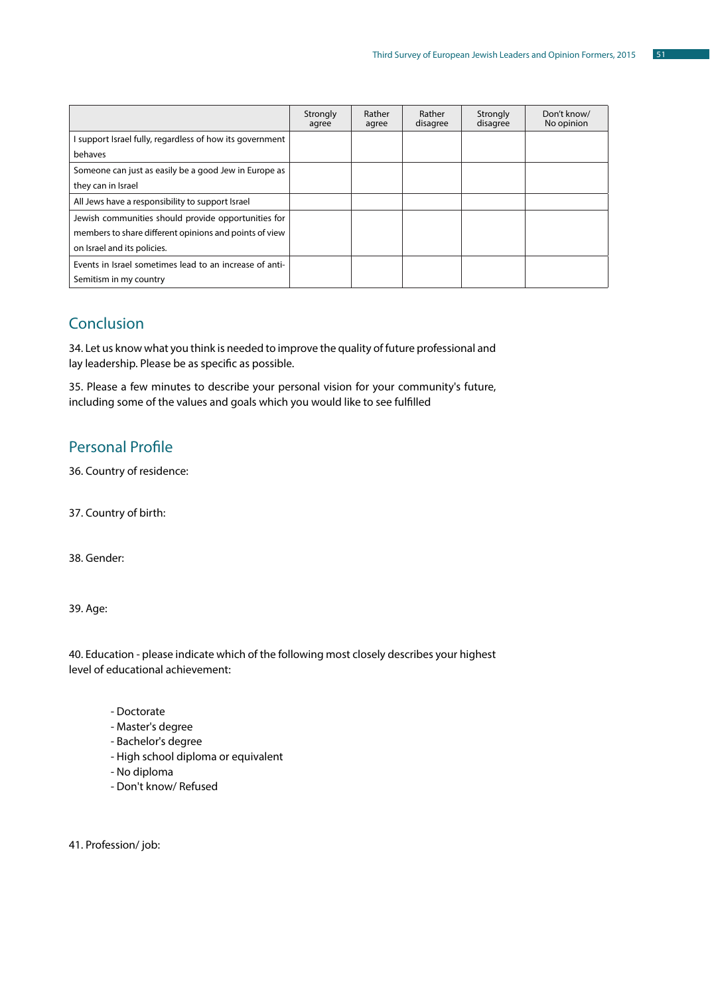|                                                          | Strongly<br>agree | Rather<br>agree | Rather<br>disagree | Strongly<br>disagree | Don't know/<br>No opinion |
|----------------------------------------------------------|-------------------|-----------------|--------------------|----------------------|---------------------------|
| I support Israel fully, regardless of how its government |                   |                 |                    |                      |                           |
| behaves                                                  |                   |                 |                    |                      |                           |
| Someone can just as easily be a good Jew in Europe as    |                   |                 |                    |                      |                           |
| they can in Israel                                       |                   |                 |                    |                      |                           |
| All Jews have a responsibility to support Israel         |                   |                 |                    |                      |                           |
| Jewish communities should provide opportunities for      |                   |                 |                    |                      |                           |
| members to share different opinions and points of view   |                   |                 |                    |                      |                           |
| on Israel and its policies.                              |                   |                 |                    |                      |                           |
| Events in Israel sometimes lead to an increase of anti-  |                   |                 |                    |                      |                           |
| Semitism in my country                                   |                   |                 |                    |                      |                           |

# **Conclusion**

34. Let us know what you think is needed to improve the quality of future professional and lay leadership. Please be as specific as possible.

35. Please a few minutes to describe your personal vision for your community's future, including some of the values and goals which you would like to see fulfilled

# Personal Profile

36. Country of residence:

37. Country of birth:

38. Gender:

39. Age:

40. Education - please indicate which of the following most closely describes your highest level of educational achievement:

- Doctorate
- Master's degree
- Bachelor's degree
- High school diploma or equivalent
- No diploma
- Don't know/ Refused

41. Profession/ job: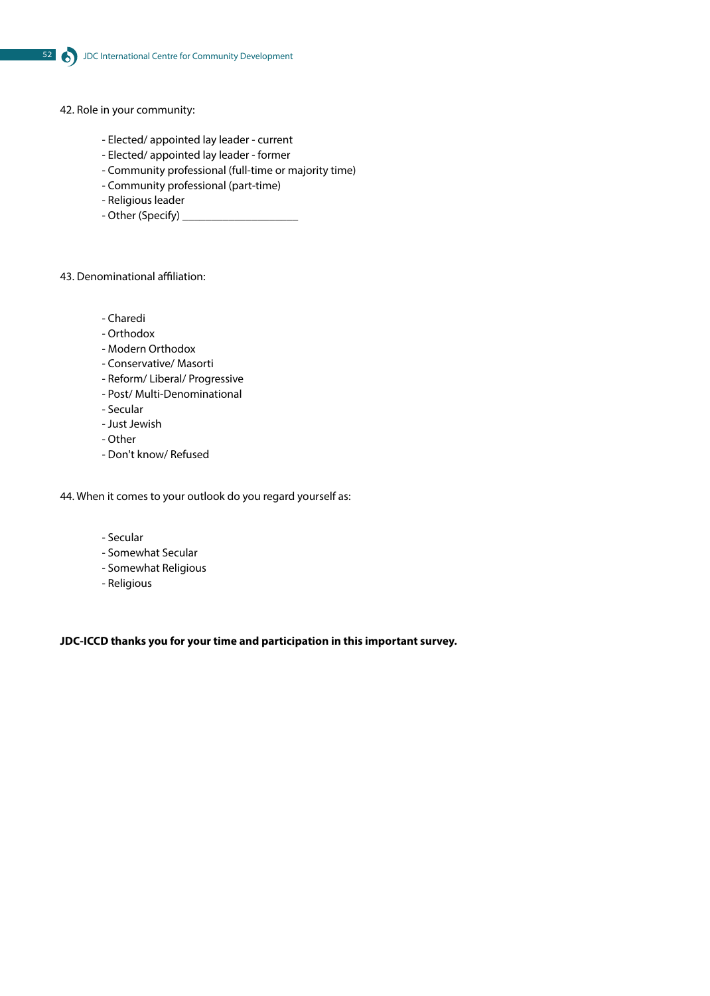- 42. Role in your community:
	- Elected/ appointed lay leader current
	- Elected/ appointed lay leader former
	- Community professional (full-time or majority time)
	- Community professional (part-time)
	- Religious leader
	- Other (Specify) \_\_\_\_\_

#### 43. Denominational affiliation:

- Charedi
- Orthodox
- Modern Orthodox
- Conservative/ Masorti
- Reform/ Liberal/ Progressive
- Post/ Multi-Denominational
- Secular
- Just Jewish
- Other
- Don't know/ Refused

44. When it comes to your outlook do you regard yourself as:

- Secular
- Somewhat Secular
- Somewhat Religious
- Religious

**JDC-ICCD thanks you for your time and participation in this important survey.**